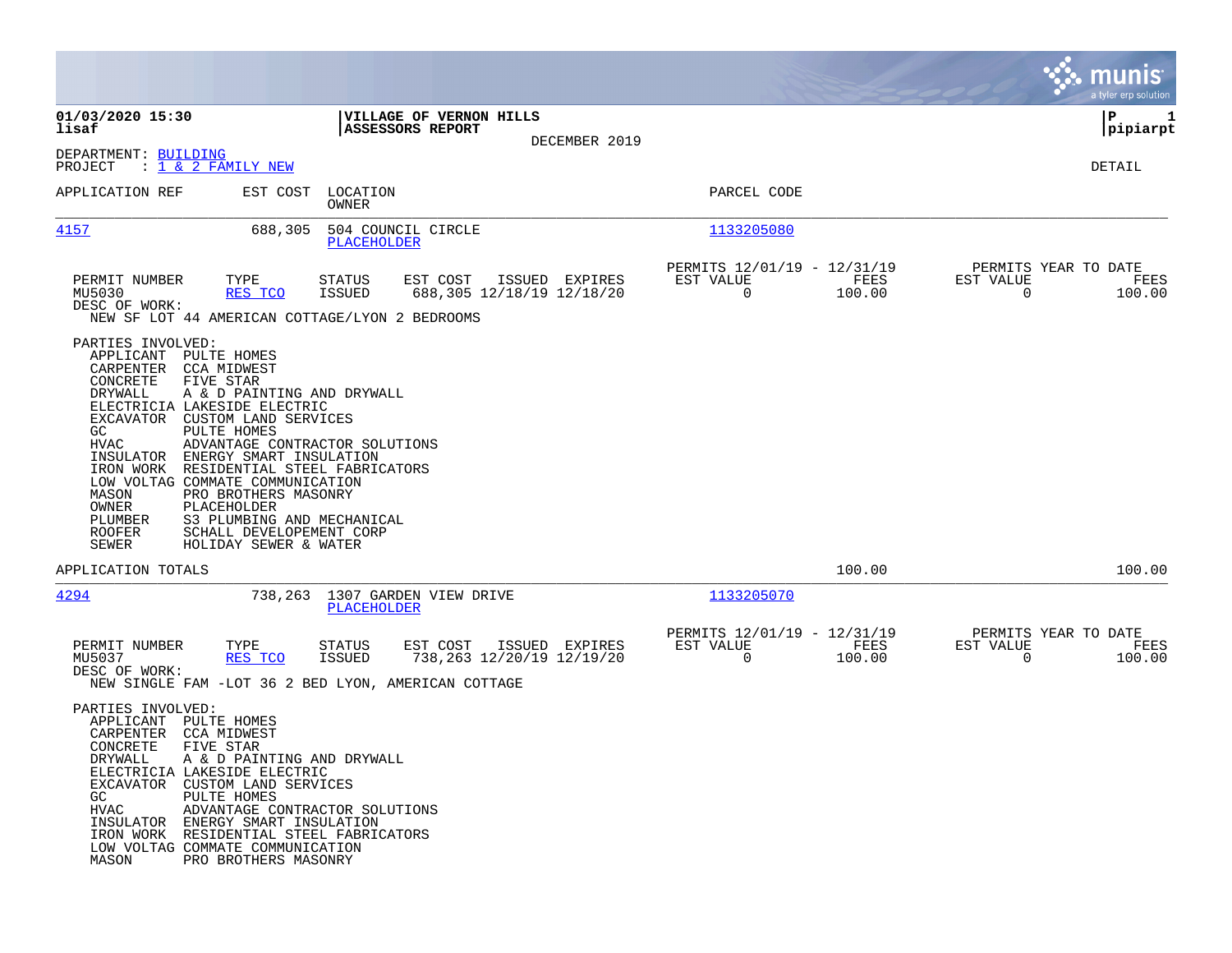|                                                                                                                                                                                                                                                                                                                       |                                                                                                                                                                                                                                                             |                |                                                                              | <b>munis</b><br>a tyler erp solution                            |
|-----------------------------------------------------------------------------------------------------------------------------------------------------------------------------------------------------------------------------------------------------------------------------------------------------------------------|-------------------------------------------------------------------------------------------------------------------------------------------------------------------------------------------------------------------------------------------------------------|----------------|------------------------------------------------------------------------------|-----------------------------------------------------------------|
| 01/03/2020 15:30<br>lisaf                                                                                                                                                                                                                                                                                             | VILLAGE OF VERNON HILLS<br>ASSESSORS REPORT                                                                                                                                                                                                                 |                |                                                                              | l P<br>1<br> pipiarpt                                           |
| DEPARTMENT: BUILDING<br>PROJECT<br>: <u>1 &amp; 2 FAMILY NEW</u>                                                                                                                                                                                                                                                      |                                                                                                                                                                                                                                                             | DECEMBER 2019  |                                                                              | DETAIL                                                          |
| APPLICATION REF                                                                                                                                                                                                                                                                                                       | EST COST LOCATION<br>OWNER                                                                                                                                                                                                                                  |                | PARCEL CODE                                                                  |                                                                 |
| 4157                                                                                                                                                                                                                                                                                                                  | 688,305<br>504 COUNCIL CIRCLE<br>PLACEHOLDER                                                                                                                                                                                                                |                | 1133205080                                                                   |                                                                 |
| PERMIT NUMBER<br>TYPE<br>MU5030<br>DESC OF WORK:                                                                                                                                                                                                                                                                      | EST COST<br><b>STATUS</b><br><b>ISSUED</b><br>688,305 12/18/19 12/18/20<br>RES TCO                                                                                                                                                                          | ISSUED EXPIRES | PERMITS 12/01/19 - 12/31/19<br>EST VALUE<br>FEES<br>$\overline{0}$<br>100.00 | PERMITS YEAR TO DATE<br>EST VALUE<br>FEES<br>100.00<br>$\Omega$ |
|                                                                                                                                                                                                                                                                                                                       | NEW SF LOT 44 AMERICAN COTTAGE/LYON 2 BEDROOMS                                                                                                                                                                                                              |                |                                                                              |                                                                 |
| PARTIES INVOLVED:<br>APPLICANT<br>PULTE HOMES<br>CARPENTER<br>CCA MIDWEST<br>CONCRETE<br>FIVE STAR<br>DRYWALL<br>ELECTRICIA LAKESIDE ELECTRIC<br>EXCAVATOR<br>GC.<br>PULTE HOMES<br>HVAC<br>INSULATOR<br>IRON WORK<br>LOW VOLTAG COMMATE COMMUNICATION<br>MASON<br>OWNER<br>PLACEHOLDER<br>PLUMBER<br>ROOFER<br>SEWER | A & D PAINTING AND DRYWALL<br>CUSTOM LAND SERVICES<br>ADVANTAGE CONTRACTOR SOLUTIONS<br>ENERGY SMART INSULATION<br>RESIDENTIAL STEEL FABRICATORS<br>PRO BROTHERS MASONRY<br>S3 PLUMBING AND MECHANICAL<br>SCHALL DEVELOPEMENT CORP<br>HOLIDAY SEWER & WATER |                |                                                                              |                                                                 |
| APPLICATION TOTALS                                                                                                                                                                                                                                                                                                    |                                                                                                                                                                                                                                                             |                | 100.00                                                                       | 100.00                                                          |
| 4294                                                                                                                                                                                                                                                                                                                  | 738,263 1307 GARDEN VIEW DRIVE<br>PLACEHOLDER                                                                                                                                                                                                               |                | 1133205070                                                                   |                                                                 |
| PERMIT NUMBER<br>TYPE<br>MU5037<br>DESC OF WORK:                                                                                                                                                                                                                                                                      | EST COST<br><b>STATUS</b><br>738, 263 12/20/19 12/19/20<br><b>ISSUED</b><br>RES TCO<br>NEW SINGLE FAM -LOT 36 2 BED LYON, AMERICAN COTTAGE                                                                                                                  | ISSUED EXPIRES | PERMITS 12/01/19 - 12/31/19<br>EST VALUE<br>FEES<br>$\mathbf 0$<br>100.00    | PERMITS YEAR TO DATE<br>EST VALUE<br>FEES<br>$\Omega$<br>100.00 |
| PARTIES INVOLVED:<br>APPLICANT PULTE HOMES<br>CARPENTER CCA MIDWEST<br>CONCRETE<br>FIVE STAR<br>DRYWALL<br>ELECTRICIA LAKESIDE ELECTRIC<br>EXCAVATOR CUSTOM LAND SERVICES<br>PULTE HOMES<br>GC<br>HVAC<br>INSULATOR ENERGY SMART INSULATION<br>LOW VOLTAG COMMATE COMMUNICATION<br>MASON                              | A & D PAINTING AND DRYWALL<br>ADVANTAGE CONTRACTOR SOLUTIONS<br>IRON WORK RESIDENTIAL STEEL FABRICATORS<br>PRO BROTHERS MASONRY                                                                                                                             |                |                                                                              |                                                                 |

 $\mathcal{L}^{\text{max}}$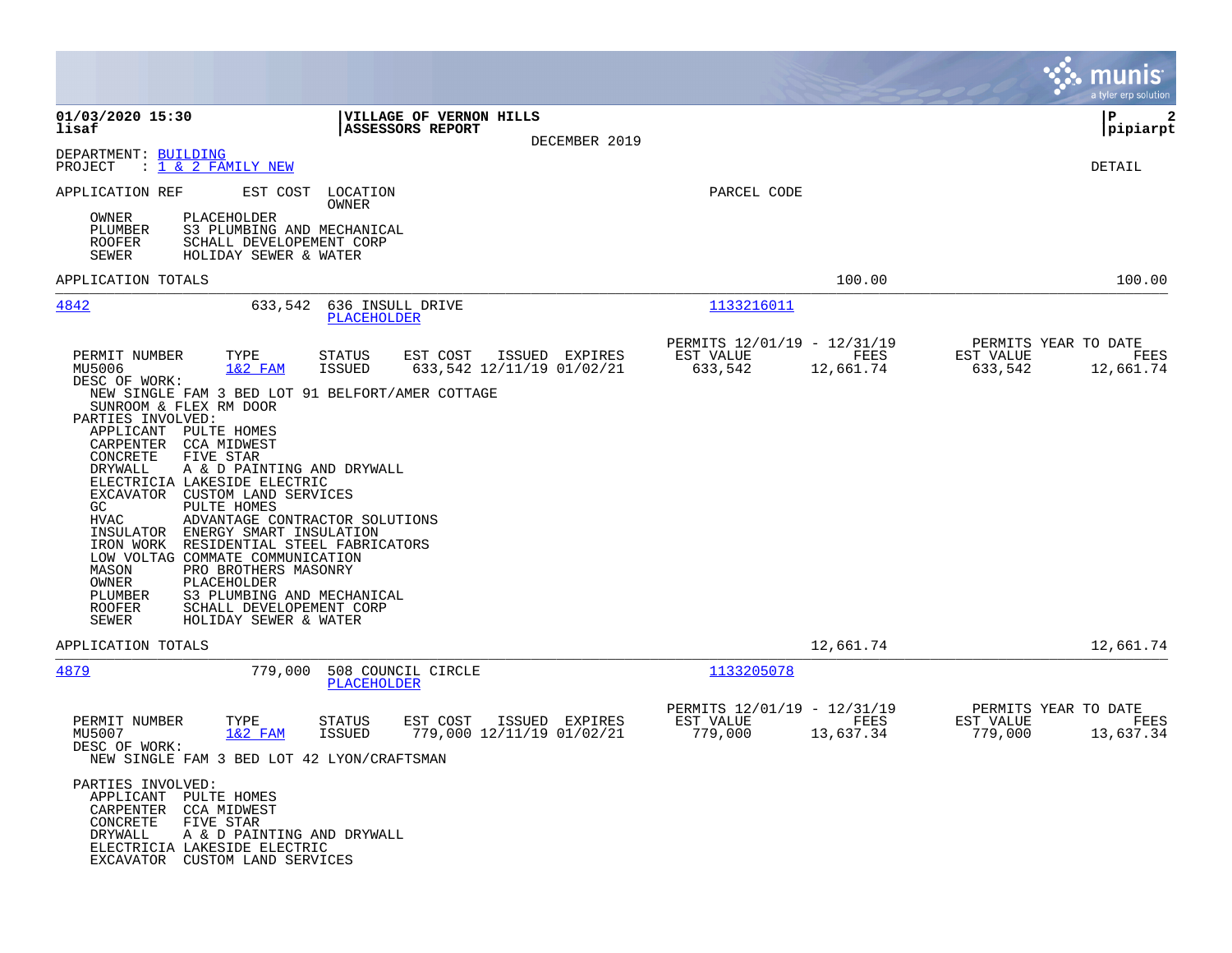|                                                                                                                                                                                                                                                                                                                                                                                                                                                                                                                                                                                                                                                                           |                                                                                    |                                                     |                   | munis<br>a tyler erp solution                                     |
|---------------------------------------------------------------------------------------------------------------------------------------------------------------------------------------------------------------------------------------------------------------------------------------------------------------------------------------------------------------------------------------------------------------------------------------------------------------------------------------------------------------------------------------------------------------------------------------------------------------------------------------------------------------------------|------------------------------------------------------------------------------------|-----------------------------------------------------|-------------------|-------------------------------------------------------------------|
| 01/03/2020 15:30<br>lisaf                                                                                                                                                                                                                                                                                                                                                                                                                                                                                                                                                                                                                                                 | VILLAGE OF VERNON HILLS<br>ASSESSORS REPORT<br>DECEMBER 2019                       |                                                     |                   | P<br>2<br> pipiarpt                                               |
| DEPARTMENT: BUILDING<br>PROJECT<br><u>: 1 &amp; 2 FAMILY NEW</u>                                                                                                                                                                                                                                                                                                                                                                                                                                                                                                                                                                                                          |                                                                                    |                                                     |                   | DETAIL                                                            |
| APPLICATION REF<br>EST COST                                                                                                                                                                                                                                                                                                                                                                                                                                                                                                                                                                                                                                               | LOCATION<br>OWNER                                                                  | PARCEL CODE                                         |                   |                                                                   |
| PLACEHOLDER<br>OWNER<br>PLUMBER<br>S3 PLUMBING AND MECHANICAL<br>ROOFER<br>SCHALL DEVELOPEMENT CORP<br>SEWER<br>HOLIDAY SEWER & WATER                                                                                                                                                                                                                                                                                                                                                                                                                                                                                                                                     |                                                                                    |                                                     |                   |                                                                   |
| APPLICATION TOTALS                                                                                                                                                                                                                                                                                                                                                                                                                                                                                                                                                                                                                                                        |                                                                                    |                                                     | 100.00            | 100.00                                                            |
| 4842<br>633,542                                                                                                                                                                                                                                                                                                                                                                                                                                                                                                                                                                                                                                                           | 636 INSULL DRIVE<br>PLACEHOLDER                                                    | 1133216011                                          |                   |                                                                   |
| PERMIT NUMBER<br>TYPE<br>MU5006<br>$1&2$ FAM<br>DESC OF WORK:                                                                                                                                                                                                                                                                                                                                                                                                                                                                                                                                                                                                             | STATUS<br>EST COST<br>ISSUED EXPIRES<br><b>ISSUED</b><br>633,542 12/11/19 01/02/21 | PERMITS 12/01/19 - 12/31/19<br>EST VALUE<br>633,542 | FEES<br>12,661.74 | PERMITS YEAR TO DATE<br>EST VALUE<br>FEES<br>633,542<br>12,661.74 |
| NEW SINGLE FAM 3 BED LOT 91 BELFORT/AMER COTTAGE<br>SUNROOM & FLEX RM DOOR<br>PARTIES INVOLVED:<br>APPLICANT<br>PULTE HOMES<br>CCA MIDWEST<br>CARPENTER<br>CONCRETE<br>FIVE STAR<br>DRYWALL<br>A & D PAINTING AND DRYWALL<br>ELECTRICIA LAKESIDE ELECTRIC<br>EXCAVATOR CUSTOM LAND SERVICES<br>GC<br>PULTE HOMES<br><b>HVAC</b><br>ADVANTAGE CONTRACTOR SOLUTIONS<br>INSULATOR<br>ENERGY SMART INSULATION<br>IRON WORK RESIDENTIAL STEEL FABRICATORS<br>LOW VOLTAG COMMATE COMMUNICATION<br>PRO BROTHERS MASONRY<br>MASON<br>OWNER<br>PLACEHOLDER<br>PLUMBER<br>S3 PLUMBING AND MECHANICAL<br><b>ROOFER</b><br>SCHALL DEVELOPEMENT CORP<br>SEWER<br>HOLIDAY SEWER & WATER |                                                                                    |                                                     |                   |                                                                   |
| APPLICATION TOTALS                                                                                                                                                                                                                                                                                                                                                                                                                                                                                                                                                                                                                                                        |                                                                                    |                                                     | 12,661.74         | 12,661.74                                                         |
| 779,000<br>4879                                                                                                                                                                                                                                                                                                                                                                                                                                                                                                                                                                                                                                                           | 508 COUNCIL CIRCLE<br><b>PLACEHOLDER</b>                                           | 1133205078                                          |                   |                                                                   |
| TYPE<br>PERMIT NUMBER<br>MU5007<br>$1&2$ FAM<br>DESC OF WORK:<br>NEW SINGLE FAM 3 BED LOT 42 LYON/CRAFTSMAN                                                                                                                                                                                                                                                                                                                                                                                                                                                                                                                                                               | EST COST<br>ISSUED EXPIRES<br>STATUS<br><b>ISSUED</b><br>779,000 12/11/19 01/02/21 | PERMITS 12/01/19 - 12/31/19<br>EST VALUE<br>779,000 | FEES<br>13,637.34 | PERMITS YEAR TO DATE<br>EST VALUE<br>FEES<br>779,000<br>13,637.34 |
| PARTIES INVOLVED:<br>APPLICANT PULTE HOMES<br>CARPENTER CCA MIDWEST<br>CONCRETE<br>FIVE STAR<br>DRYWALL<br>A & D PAINTING AND DRYWALL<br>ELECTRICIA LAKESIDE ELECTRIC<br>EXCAVATOR CUSTOM LAND SERVICES                                                                                                                                                                                                                                                                                                                                                                                                                                                                   |                                                                                    |                                                     |                   |                                                                   |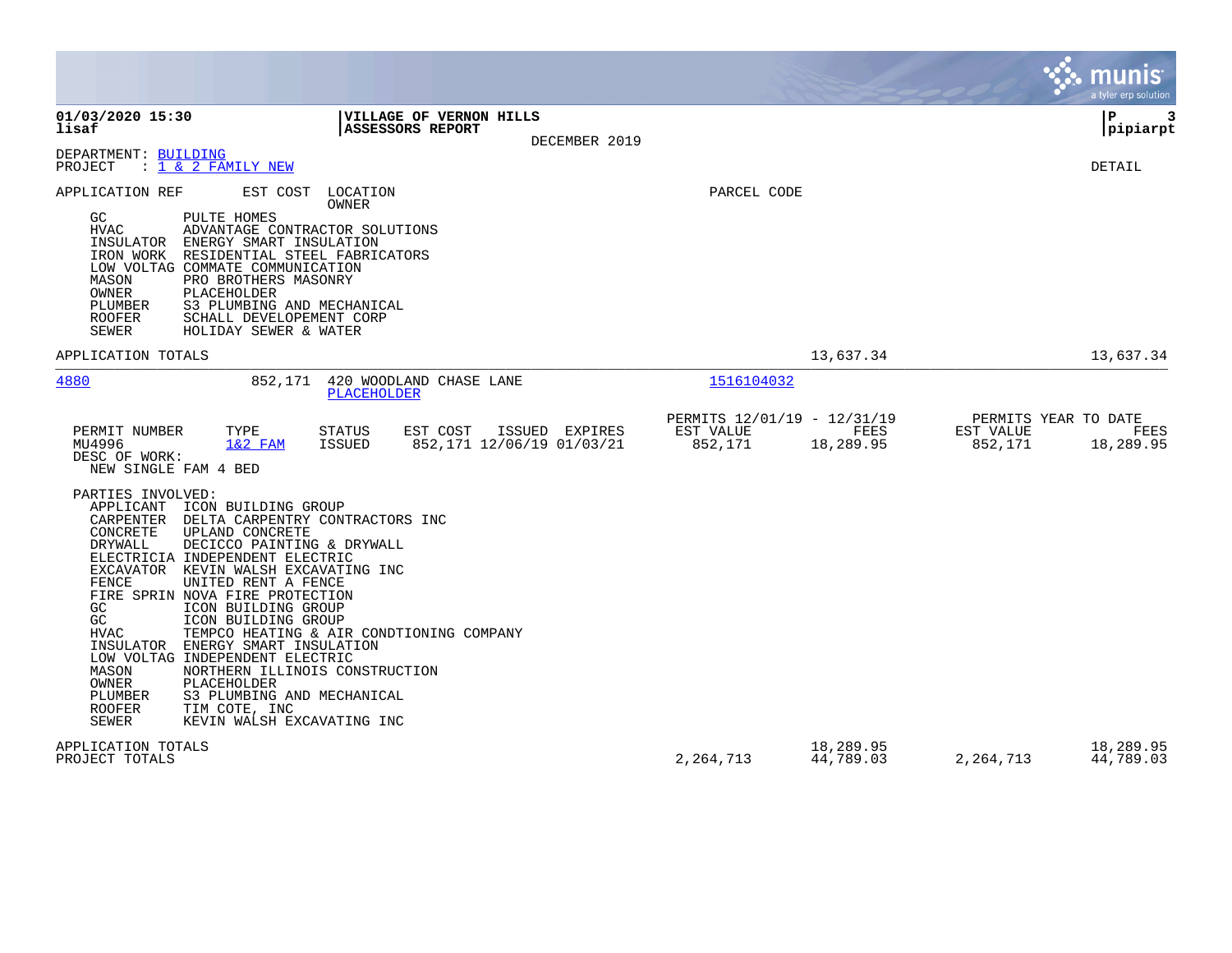|                                                                                                                                                                                                                                                                                                                                                                                                                                                                                                                                                                                                                                                                                                                                                                                                                |                                                     |                        |                                              | munis<br>a tyler erp solution |
|----------------------------------------------------------------------------------------------------------------------------------------------------------------------------------------------------------------------------------------------------------------------------------------------------------------------------------------------------------------------------------------------------------------------------------------------------------------------------------------------------------------------------------------------------------------------------------------------------------------------------------------------------------------------------------------------------------------------------------------------------------------------------------------------------------------|-----------------------------------------------------|------------------------|----------------------------------------------|-------------------------------|
| 01/03/2020 15:30<br>VILLAGE OF VERNON HILLS<br>lisaf<br>ASSESSORS REPORT<br>DECEMBER 2019                                                                                                                                                                                                                                                                                                                                                                                                                                                                                                                                                                                                                                                                                                                      |                                                     |                        |                                              | l P<br>3<br>pipiarpt          |
| DEPARTMENT: BUILDING<br>PROJECT<br>: <u>1 &amp; 2 FAMILY NEW</u>                                                                                                                                                                                                                                                                                                                                                                                                                                                                                                                                                                                                                                                                                                                                               |                                                     |                        |                                              | <b>DETAIL</b>                 |
| APPLICATION REF<br>EST COST<br>LOCATION<br>OWNER<br>PULTE HOMES<br>GC.<br>HVAC<br>ADVANTAGE CONTRACTOR SOLUTIONS<br>INSULATOR<br>ENERGY SMART INSULATION<br>RESIDENTIAL STEEL FABRICATORS<br>IRON WORK<br>LOW VOLTAG COMMATE COMMUNICATION<br>MASON<br>PRO BROTHERS MASONRY<br>OWNER<br>PLACEHOLDER<br>PLUMBER<br>S3 PLUMBING AND MECHANICAL<br><b>ROOFER</b><br>SCHALL DEVELOPEMENT CORP<br><b>SEWER</b><br>HOLIDAY SEWER & WATER                                                                                                                                                                                                                                                                                                                                                                             | PARCEL CODE                                         |                        |                                              |                               |
| APPLICATION TOTALS                                                                                                                                                                                                                                                                                                                                                                                                                                                                                                                                                                                                                                                                                                                                                                                             |                                                     | 13,637.34              |                                              | 13,637.34                     |
| 4880<br>852,171<br>420 WOODLAND CHASE LANE<br>PLACEHOLDER                                                                                                                                                                                                                                                                                                                                                                                                                                                                                                                                                                                                                                                                                                                                                      | 1516104032                                          |                        |                                              |                               |
| TYPE<br>EST COST<br>ISSUED EXPIRES<br>PERMIT NUMBER<br>STATUS<br>MU4996<br>$1&2$ FAM<br>ISSUED<br>852,171 12/06/19 01/03/21<br>DESC OF WORK:<br>NEW SINGLE FAM 4 BED<br>PARTIES INVOLVED:<br>APPLICANT<br>ICON BUILDING GROUP<br>CARPENTER<br>DELTA CARPENTRY CONTRACTORS INC<br>CONCRETE<br>UPLAND CONCRETE<br>DRYWALL<br>DECICCO PAINTING & DRYWALL<br>ELECTRICIA INDEPENDENT ELECTRIC<br>EXCAVATOR KEVIN WALSH EXCAVATING INC<br>FENCE<br>UNITED RENT A FENCE<br>FIRE SPRIN NOVA FIRE PROTECTION<br>GC<br>ICON BUILDING GROUP<br>$\rm GC$<br>ICON BUILDING GROUP<br>HVAC<br>TEMPCO HEATING & AIR CONDTIONING COMPANY<br>INSULATOR<br>ENERGY SMART INSULATION<br>LOW VOLTAG INDEPENDENT ELECTRIC<br>MASON<br>NORTHERN ILLINOIS CONSTRUCTION<br>OWNER<br>PLACEHOLDER<br>PLUMBER<br>S3 PLUMBING AND MECHANICAL | PERMITS 12/01/19 - 12/31/19<br>EST VALUE<br>852,171 | FEES<br>18,289.95      | PERMITS YEAR TO DATE<br>EST VALUE<br>852,171 | FEES<br>18,289.95             |
| <b>ROOFER</b><br>TIM COTE, INC<br>SEWER<br>KEVIN WALSH EXCAVATING INC<br>APPLICATION TOTALS<br>PROJECT TOTALS                                                                                                                                                                                                                                                                                                                                                                                                                                                                                                                                                                                                                                                                                                  | 2,264,713                                           | 18,289.95<br>44,789.03 | 2, 264, 713                                  | 18,289.95<br>44,789.03        |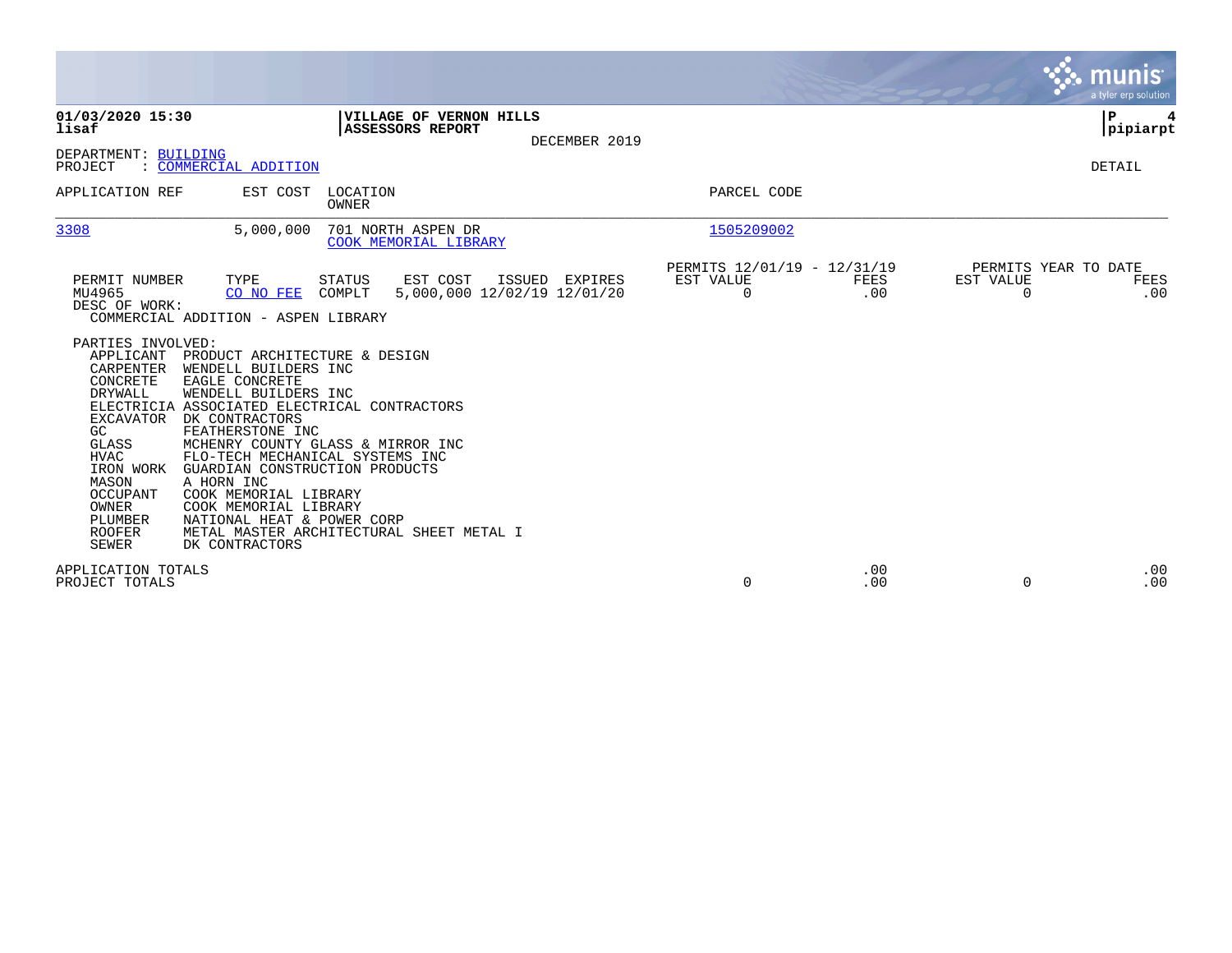|                                                                                                                                                                                                                                                                                                                                                                                                                                                                                                                                                                                                                                                                                    |                                                         |             |                                               | munis<br>a tyler erp solution |
|------------------------------------------------------------------------------------------------------------------------------------------------------------------------------------------------------------------------------------------------------------------------------------------------------------------------------------------------------------------------------------------------------------------------------------------------------------------------------------------------------------------------------------------------------------------------------------------------------------------------------------------------------------------------------------|---------------------------------------------------------|-------------|-----------------------------------------------|-------------------------------|
| VILLAGE OF VERNON HILLS<br>01/03/2020 15:30<br>lisaf<br>ASSESSORS REPORT<br>DECEMBER 2019<br>DEPARTMENT: BUILDING                                                                                                                                                                                                                                                                                                                                                                                                                                                                                                                                                                  |                                                         |             |                                               | ΙP<br> pipiarpt               |
| : COMMERCIAL ADDITION<br>PROJECT                                                                                                                                                                                                                                                                                                                                                                                                                                                                                                                                                                                                                                                   |                                                         |             |                                               | DETAIL                        |
| APPLICATION REF<br>EST COST<br>LOCATION<br>OWNER                                                                                                                                                                                                                                                                                                                                                                                                                                                                                                                                                                                                                                   | PARCEL CODE                                             |             |                                               |                               |
| 3308<br>5,000,000<br>701 NORTH ASPEN DR<br>COOK MEMORIAL LIBRARY                                                                                                                                                                                                                                                                                                                                                                                                                                                                                                                                                                                                                   | 1505209002                                              |             |                                               |                               |
| TYPE<br>PERMIT NUMBER<br>STATUS<br>EST COST<br>ISSUED EXPIRES<br>MU4965<br>5,000,000 12/02/19 12/01/20<br>CO NO FEE<br>COMPLT<br>DESC OF WORK:<br>COMMERCIAL ADDITION - ASPEN LIBRARY                                                                                                                                                                                                                                                                                                                                                                                                                                                                                              | PERMITS 12/01/19 - 12/31/19<br>EST VALUE<br>$\mathbf 0$ | FEES<br>.00 | PERMITS YEAR TO DATE<br>EST VALUE<br>$\Omega$ | FEES<br>.00                   |
| PARTIES INVOLVED:<br>APPLICANT<br>PRODUCT ARCHITECTURE & DESIGN<br>CARPENTER<br>WENDELL BUILDERS INC<br>CONCRETE<br>EAGLE CONCRETE<br><b>DRYWALL</b><br>WENDELL BUILDERS INC<br>ELECTRICIA ASSOCIATED ELECTRICAL CONTRACTORS<br>DK CONTRACTORS<br><b>EXCAVATOR</b><br>FEATHERSTONE INC<br>GC.<br>MCHENRY COUNTY GLASS & MIRROR INC<br>GLASS<br><b>HVAC</b><br>FLO-TECH MECHANICAL SYSTEMS INC<br>IRON WORK<br>GUARDIAN CONSTRUCTION PRODUCTS<br>A HORN INC<br>MASON<br>OCCUPANT<br>COOK MEMORIAL LIBRARY<br>OWNER<br>COOK MEMORIAL LIBRARY<br>PLUMBER<br>NATIONAL HEAT & POWER CORP<br>METAL MASTER ARCHITECTURAL SHEET METAL I<br><b>ROOFER</b><br><b>SEWER</b><br>DK CONTRACTORS |                                                         |             |                                               |                               |
| APPLICATION TOTALS<br>PROJECT TOTALS                                                                                                                                                                                                                                                                                                                                                                                                                                                                                                                                                                                                                                               | $\mathbf 0$                                             | .00<br>.00  | $\Omega$                                      | .00<br>.00                    |

**Contract**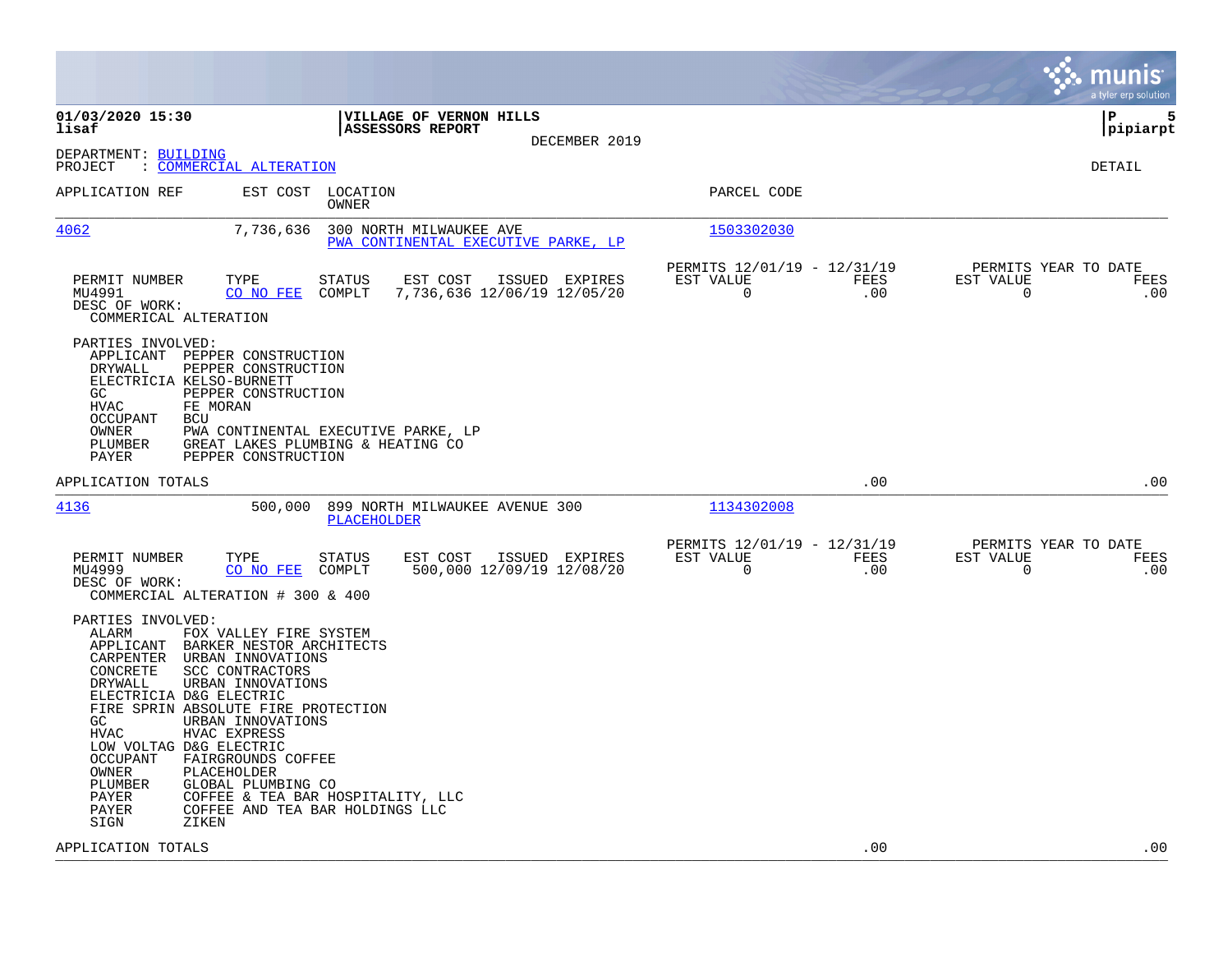|                                                                                                                                                                                                                                                                                                                                                                                                                                                                                                                                                             |                                                                        | munis<br>a tyler erp solution                                   |
|-------------------------------------------------------------------------------------------------------------------------------------------------------------------------------------------------------------------------------------------------------------------------------------------------------------------------------------------------------------------------------------------------------------------------------------------------------------------------------------------------------------------------------------------------------------|------------------------------------------------------------------------|-----------------------------------------------------------------|
| 01/03/2020 15:30<br>VILLAGE OF VERNON HILLS<br>lisaf<br><b>ASSESSORS REPORT</b><br>DECEMBER 2019                                                                                                                                                                                                                                                                                                                                                                                                                                                            |                                                                        | 5<br>l P<br> pipiarpt                                           |
| DEPARTMENT: BUILDING<br>: COMMERCIAL ALTERATION<br>PROJECT                                                                                                                                                                                                                                                                                                                                                                                                                                                                                                  |                                                                        | <b>DETAIL</b>                                                   |
| EST COST LOCATION<br>APPLICATION REF<br>OWNER                                                                                                                                                                                                                                                                                                                                                                                                                                                                                                               | PARCEL CODE                                                            |                                                                 |
| 4062<br>7,736,636<br>300 NORTH MILWAUKEE AVE<br>PWA CONTINENTAL EXECUTIVE PARKE, LP                                                                                                                                                                                                                                                                                                                                                                                                                                                                         | 1503302030                                                             |                                                                 |
| PERMIT NUMBER<br>TYPE<br><b>STATUS</b><br>EST COST<br>ISSUED EXPIRES<br>MU4991<br>CO NO FEE<br>COMPLT<br>7,736,636 12/06/19 12/05/20<br>DESC OF WORK:<br>COMMERICAL ALTERATION                                                                                                                                                                                                                                                                                                                                                                              | PERMITS 12/01/19 - 12/31/19<br>EST VALUE<br>FEES<br>$\mathbf 0$<br>.00 | PERMITS YEAR TO DATE<br>EST VALUE<br>FEES<br>$\mathbf 0$<br>.00 |
| PARTIES INVOLVED:<br>APPLICANT PEPPER CONSTRUCTION<br>DRYWALL<br>PEPPER CONSTRUCTION<br>ELECTRICIA KELSO-BURNETT<br>PEPPER CONSTRUCTION<br>GC<br><b>HVAC</b><br>FE MORAN<br><b>OCCUPANT</b><br>BCU<br>OWNER<br>PWA CONTINENTAL EXECUTIVE PARKE, LP<br>PLUMBER<br>GREAT LAKES PLUMBING & HEATING CO<br>PAYER<br>PEPPER CONSTRUCTION                                                                                                                                                                                                                          |                                                                        |                                                                 |
| APPLICATION TOTALS                                                                                                                                                                                                                                                                                                                                                                                                                                                                                                                                          | .00                                                                    | .00                                                             |
| 4136<br>500,000 899 NORTH MILWAUKEE AVENUE 300<br><b>PLACEHOLDER</b>                                                                                                                                                                                                                                                                                                                                                                                                                                                                                        | 1134302008                                                             |                                                                 |
| TYPE<br>EST COST ISSUED EXPIRES<br>PERMIT NUMBER<br><b>STATUS</b><br>500,000 12/09/19 12/08/20<br>MU4999<br>CO NO FEE<br>COMPLT<br>DESC OF WORK:<br>COMMERCIAL ALTERATION # 300 & 400                                                                                                                                                                                                                                                                                                                                                                       | PERMITS 12/01/19 - 12/31/19<br>EST VALUE<br>FEES<br>0<br>.00           | PERMITS YEAR TO DATE<br>EST VALUE<br>FEES<br>.00<br>0           |
| PARTIES INVOLVED:<br>ALARM<br>FOX VALLEY FIRE SYSTEM<br>APPLICANT<br>BARKER NESTOR ARCHITECTS<br>CARPENTER<br>URBAN INNOVATIONS<br>CONCRETE<br>SCC CONTRACTORS<br>DRYWALL<br>URBAN INNOVATIONS<br>ELECTRICIA D&G ELECTRIC<br>FIRE SPRIN ABSOLUTE FIRE PROTECTION<br>GC<br>URBAN INNOVATIONS<br>HVAC EXPRESS<br>HVAC<br>LOW VOLTAG D&G ELECTRIC<br><b>OCCUPANT</b><br>FAIRGROUNDS COFFEE<br>OWNER<br>PLACEHOLDER<br>PLUMBER<br>GLOBAL PLUMBING CO<br>PAYER<br>COFFEE & TEA BAR HOSPITALITY, LLC<br>COFFEE AND TEA BAR HOLDINGS LLC<br>PAYER<br>SIGN<br>ZIKEN |                                                                        |                                                                 |
| APPLICATION TOTALS                                                                                                                                                                                                                                                                                                                                                                                                                                                                                                                                          | .00                                                                    | .00                                                             |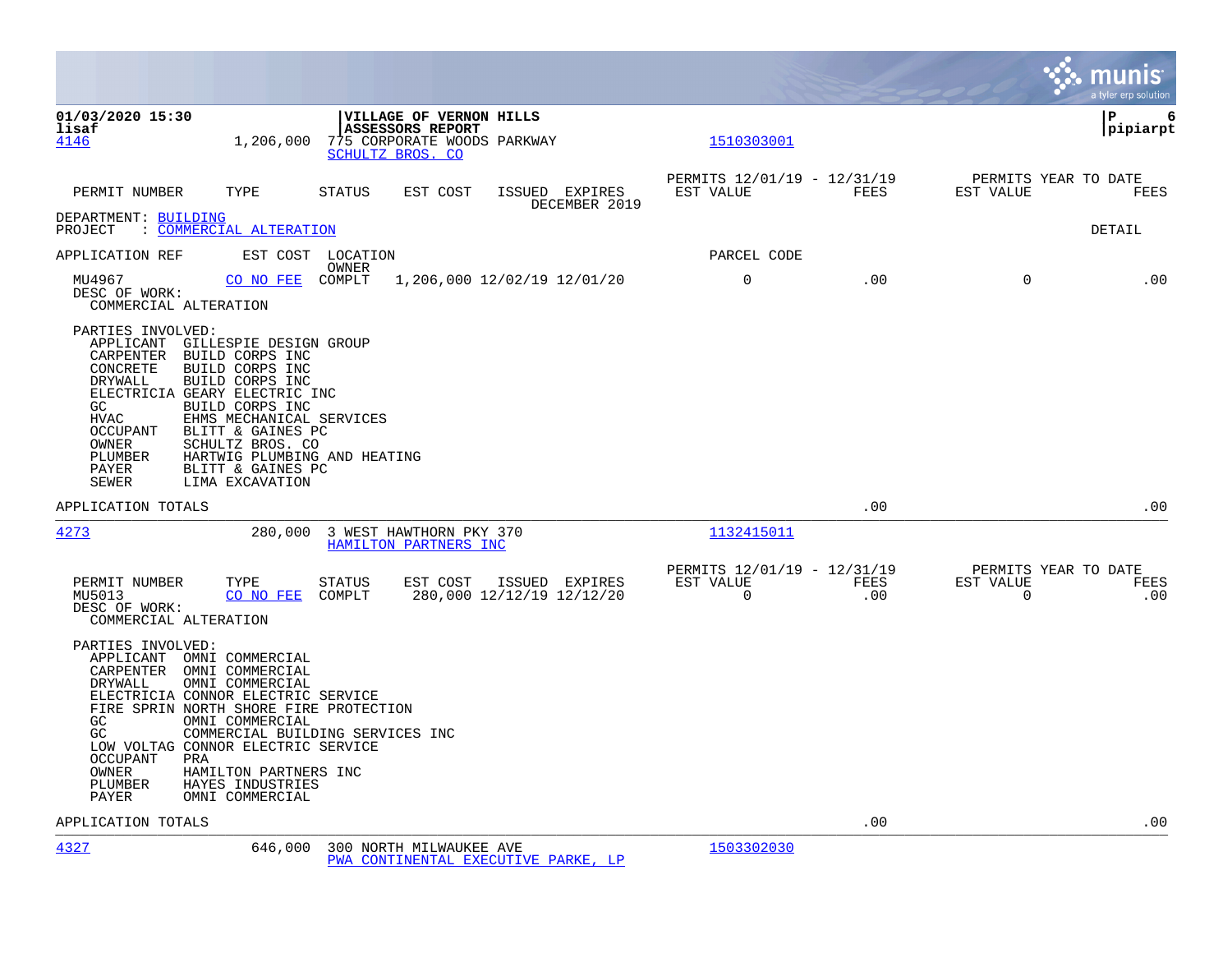|                                                                                                                                                                                                                                                                                                                                                                                                                                             |                                                         |                          | munis<br>a tyler erp solution                       |
|---------------------------------------------------------------------------------------------------------------------------------------------------------------------------------------------------------------------------------------------------------------------------------------------------------------------------------------------------------------------------------------------------------------------------------------------|---------------------------------------------------------|--------------------------|-----------------------------------------------------|
| 01/03/2020 15:30<br><b>VILLAGE OF VERNON HILLS</b><br>lisaf<br><b>ASSESSORS REPORT</b><br>1,206,000<br>775 CORPORATE WOODS PARKWAY<br>4146<br>SCHULTZ BROS. CO                                                                                                                                                                                                                                                                              | 1510303001                                              |                          | P<br>6<br> pipiarpt                                 |
| PERMIT NUMBER<br>TYPE<br>STATUS<br>EST COST<br>ISSUED EXPIRES<br>DECEMBER 2019                                                                                                                                                                                                                                                                                                                                                              | PERMITS 12/01/19 - 12/31/19<br>EST VALUE                | FEES<br>EST VALUE        | PERMITS YEAR TO DATE<br>FEES                        |
| DEPARTMENT: BUILDING<br>: COMMERCIAL ALTERATION<br>PROJECT                                                                                                                                                                                                                                                                                                                                                                                  |                                                         |                          | <b>DETAIL</b>                                       |
| APPLICATION REF<br>EST COST LOCATION<br>OWNER                                                                                                                                                                                                                                                                                                                                                                                               | PARCEL CODE                                             |                          |                                                     |
| 1,206,000 12/02/19 12/01/20<br>MU4967<br>CO NO FEE<br>COMPLT<br>DESC OF WORK:<br>COMMERCIAL ALTERATION                                                                                                                                                                                                                                                                                                                                      | 0                                                       | .00                      | $\Omega$<br>.00                                     |
| PARTIES INVOLVED:<br>APPLICANT<br>GILLESPIE DESIGN GROUP<br>BUILD CORPS INC<br>CARPENTER<br>BUILD CORPS INC<br>CONCRETE<br>DRYWALL<br>BUILD CORPS INC<br>ELECTRICIA GEARY ELECTRIC INC<br>GC<br>BUILD CORPS INC<br><b>HVAC</b><br>EHMS MECHANICAL SERVICES<br><b>OCCUPANT</b><br>BLITT & GAINES PC<br>OWNER<br>SCHULTZ BROS. CO<br>PLUMBER<br>HARTWIG PLUMBING AND HEATING<br>PAYER<br>BLITT & GAINES PC<br><b>SEWER</b><br>LIMA EXCAVATION |                                                         |                          |                                                     |
| APPLICATION TOTALS                                                                                                                                                                                                                                                                                                                                                                                                                          |                                                         | .00                      | .00                                                 |
| 4273<br>280,000 3 WEST HAWTHORN PKY 370<br>HAMILTON PARTNERS INC                                                                                                                                                                                                                                                                                                                                                                            | 1132415011                                              |                          |                                                     |
| TYPE<br>EST COST ISSUED EXPIRES<br>PERMIT NUMBER<br>STATUS<br>CO NO FEE<br>COMPLT<br>280,000 12/12/19 12/12/20<br>MU5013<br>DESC OF WORK:<br>COMMERCIAL ALTERATION                                                                                                                                                                                                                                                                          | PERMITS 12/01/19 - 12/31/19<br>EST VALUE<br>$\mathbf 0$ | FEES<br>EST VALUE<br>.00 | PERMITS YEAR TO DATE<br>FEES<br>$\mathsf{O}$<br>.00 |
| PARTIES INVOLVED:<br>APPLICANT OMNI COMMERCIAL<br>CARPENTER OMNI COMMERCIAL<br>DRYWALL<br>OMNI COMMERCIAL<br>ELECTRICIA CONNOR ELECTRIC SERVICE<br>FIRE SPRIN NORTH SHORE FIRE PROTECTION<br>OMNI COMMERCIAL<br>GC<br>GC<br>COMMERCIAL BUILDING SERVICES INC<br>LOW VOLTAG CONNOR ELECTRIC SERVICE<br>OCCUPANT<br>PRA<br>OWNER<br>HAMILTON PARTNERS INC<br>PLUMBER<br>HAYES INDUSTRIES<br>PAYER<br>OMNI COMMERCIAL                          |                                                         |                          |                                                     |
| APPLICATION TOTALS                                                                                                                                                                                                                                                                                                                                                                                                                          |                                                         | .00                      | .00                                                 |

[4327](http://vvh-munis1:55000/views/PassThru.aspx?-E=OtHxAAgOZVzU9A4E9flK6RNTGc6YlACfBhFK2vcEgGW/f05rchEM483js53sNQmp&) 646,000 300 NORTH MILWAUKEE AVE [1503302030](http://vvh-munis1:55000/views/PassThru.aspx?-E=%2BnCcuNkkOAANpCrIj2eogq6qFRa0me/bkbPLJS20hLJS%2BQP4iNLCqSdkLriPcAmo&) [PWA CONTINENTAL EXECUTIVE PARKE, LP](http://vvh-munis1:55000/views/PassThru.aspx?-E=0kPUbwM0STn4wVoeBhZflfdNaDl5bOiRPrOZFrAKqpU=&)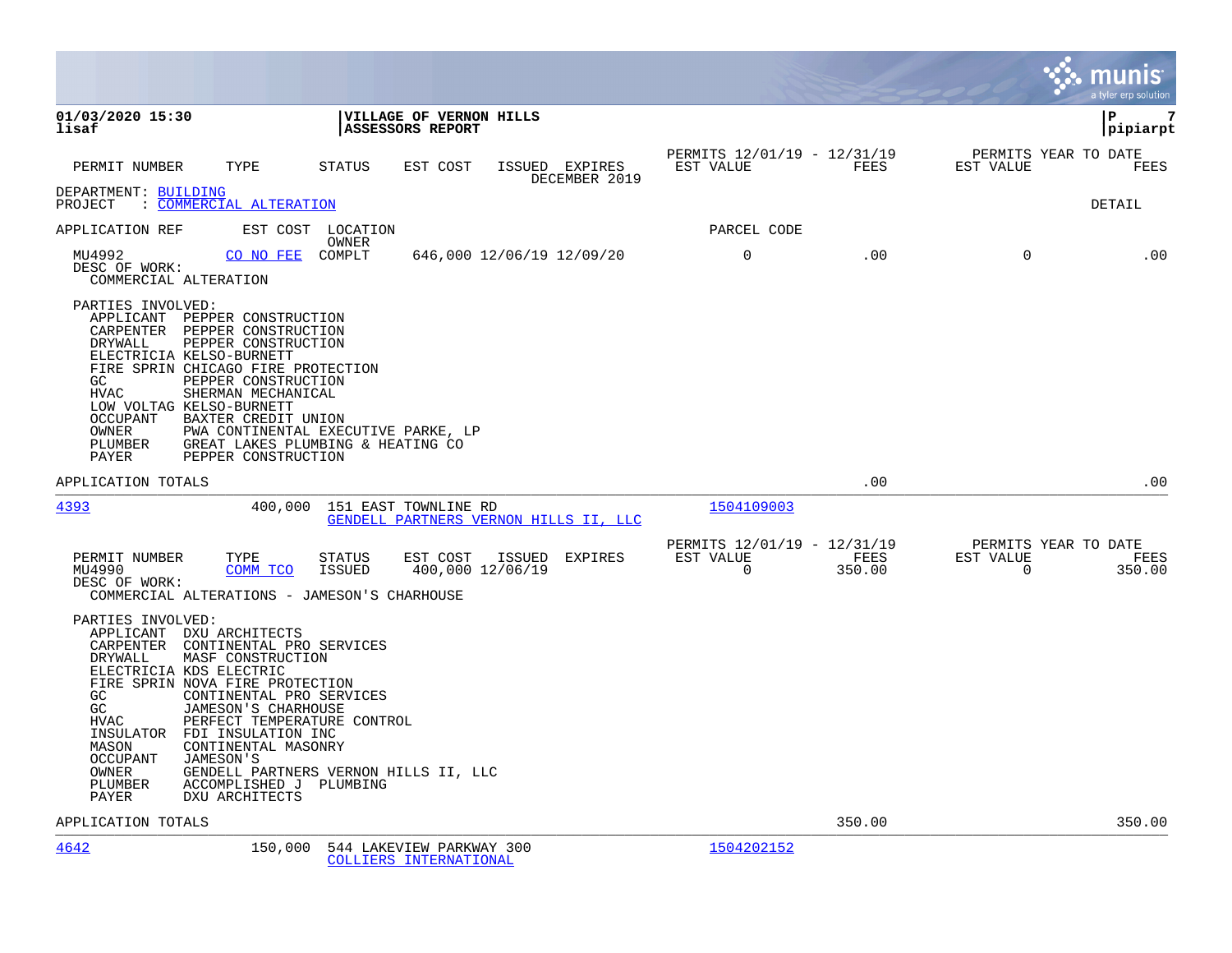|                                                                                                                                                                                                                                                                                               |                                                                                                                                                                                                                  |                  |                                                    |                                       |                                                      |                |                                               | munis<br>a tyler erp solution |
|-----------------------------------------------------------------------------------------------------------------------------------------------------------------------------------------------------------------------------------------------------------------------------------------------|------------------------------------------------------------------------------------------------------------------------------------------------------------------------------------------------------------------|------------------|----------------------------------------------------|---------------------------------------|------------------------------------------------------|----------------|-----------------------------------------------|-------------------------------|
| 01/03/2020 15:30<br>lisaf                                                                                                                                                                                                                                                                     |                                                                                                                                                                                                                  |                  | VILLAGE OF VERNON HILLS<br>ASSESSORS REPORT        |                                       |                                                      |                |                                               | 7<br>l P<br>pipiarpt          |
| PERMIT NUMBER                                                                                                                                                                                                                                                                                 | TYPE                                                                                                                                                                                                             | STATUS           | EST COST                                           | ISSUED EXPIRES<br>DECEMBER 2019       | PERMITS 12/01/19 - 12/31/19<br>EST VALUE             | FEES           | PERMITS YEAR TO DATE<br>EST VALUE             | FEES                          |
| DEPARTMENT: BUILDING<br>: COMMERCIAL ALTERATION<br>PROJECT                                                                                                                                                                                                                                    |                                                                                                                                                                                                                  |                  |                                                    |                                       |                                                      |                |                                               | DETAIL                        |
| APPLICATION REF                                                                                                                                                                                                                                                                               | EST COST LOCATION                                                                                                                                                                                                | OWNER            |                                                    |                                       | PARCEL CODE                                          |                |                                               |                               |
| MU4992<br>DESC OF WORK:<br>COMMERCIAL ALTERATION                                                                                                                                                                                                                                              | CO NO FEE COMPLT                                                                                                                                                                                                 |                  | 646,000 12/06/19 12/09/20                          |                                       | $\overline{0}$                                       | .00            | $\mathbf 0$                                   | .00                           |
| PARTIES INVOLVED:<br>APPLICANT PEPPER CONSTRUCTION<br>CARPENTER PEPPER CONSTRUCTION<br>DRYWALL<br>ELECTRICIA KELSO-BURNETT<br>FIRE SPRIN CHICAGO FIRE PROTECTION<br>GC<br><b>HVAC</b><br>LOW VOLTAG KELSO-BURNETT<br>OCCUPANT<br>OWNER<br>PLUMBER<br>PAYER                                    | PEPPER CONSTRUCTION<br>PEPPER CONSTRUCTION<br>SHERMAN MECHANICAL<br>BAXTER CREDIT UNION<br>PWA CONTINENTAL EXECUTIVE PARKE, LP<br>GREAT LAKES PLUMBING & HEATING CO<br>PEPPER CONSTRUCTION                       |                  |                                                    |                                       |                                                      |                |                                               |                               |
| APPLICATION TOTALS                                                                                                                                                                                                                                                                            |                                                                                                                                                                                                                  |                  |                                                    |                                       |                                                      | .00            |                                               | .00                           |
| 4393                                                                                                                                                                                                                                                                                          |                                                                                                                                                                                                                  |                  | 400,000 151 EAST TOWNLINE RD                       | GENDELL PARTNERS VERNON HILLS II, LLC | 1504109003                                           |                |                                               |                               |
| PERMIT NUMBER<br>MU4990<br>DESC OF WORK:<br>COMMERCIAL ALTERATIONS - JAMESON'S CHARHOUSE                                                                                                                                                                                                      | TYPE<br>COMM TCO                                                                                                                                                                                                 | STATUS<br>ISSUED | EST COST<br>400,000 12/06/19                       | ISSUED EXPIRES                        | PERMITS 12/01/19 - 12/31/19<br>EST VALUE<br>$\Omega$ | FEES<br>350.00 | PERMITS YEAR TO DATE<br>EST VALUE<br>$\Omega$ | FEES<br>350.00                |
| PARTIES INVOLVED:<br>APPLICANT DXU ARCHITECTS<br>CARPENTER CONTINENTAL PRO SERVICES<br><b>DRYWALL</b><br>ELECTRICIA KDS ELECTRIC<br>FIRE SPRIN NOVA FIRE PROTECTION<br>GC<br>GC<br><b>HVAC</b><br>INSULATOR FDI INSULATION INC<br>MASON<br>OCCUPANT<br>JAMESON'S<br>OWNER<br>PLUMBER<br>PAYER | MASF CONSTRUCTION<br>CONTINENTAL PRO SERVICES<br>JAMESON'S CHARHOUSE<br>PERFECT TEMPERATURE CONTROL<br>CONTINENTAL MASONRY<br>GENDELL PARTNERS VERNON HILLS II, LLC<br>ACCOMPLISHED J PLUMBING<br>DXU ARCHITECTS |                  |                                                    |                                       |                                                      |                |                                               |                               |
| APPLICATION TOTALS                                                                                                                                                                                                                                                                            |                                                                                                                                                                                                                  |                  |                                                    |                                       |                                                      | 350.00         |                                               | 350.00                        |
| 4642                                                                                                                                                                                                                                                                                          | 150,000                                                                                                                                                                                                          |                  | 544 LAKEVIEW PARKWAY 300<br>COLLIERS INTERNATIONAL |                                       | 1504202152                                           |                |                                               |                               |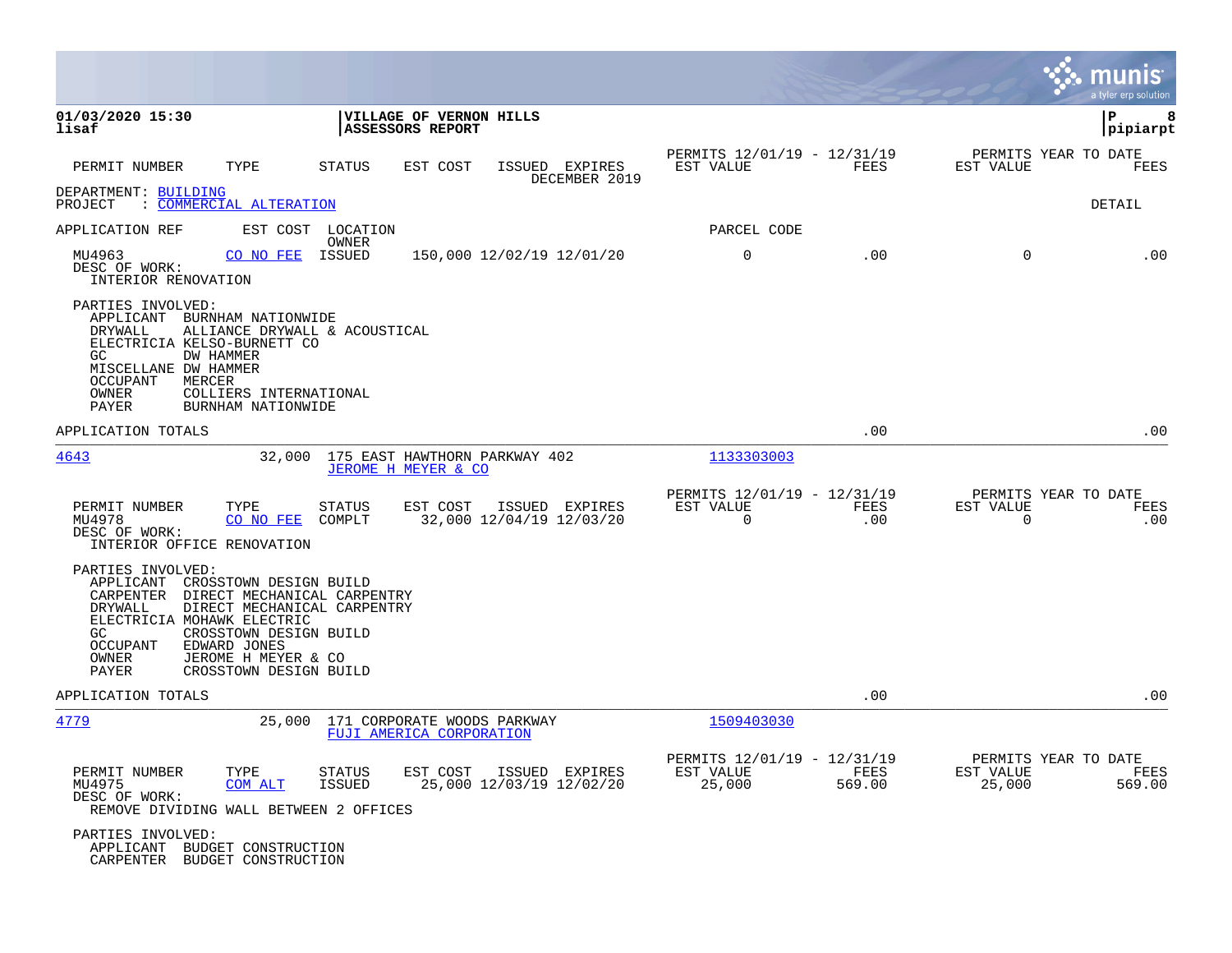|                                                                                                                                                                                 |                                                                                                                                                                                 |                         |                                                             |                                            |               |                                                         |                    |                                               | a tyler erp solution |
|---------------------------------------------------------------------------------------------------------------------------------------------------------------------------------|---------------------------------------------------------------------------------------------------------------------------------------------------------------------------------|-------------------------|-------------------------------------------------------------|--------------------------------------------|---------------|---------------------------------------------------------|--------------------|-----------------------------------------------|----------------------|
| 01/03/2020 15:30<br>lisaf                                                                                                                                                       |                                                                                                                                                                                 |                         | VILLAGE OF VERNON HILLS<br><b>ASSESSORS REPORT</b>          |                                            |               |                                                         |                    |                                               | lР<br>8<br> pipiarpt |
| PERMIT NUMBER<br>DEPARTMENT: BUILDING                                                                                                                                           | TYPE                                                                                                                                                                            | STATUS                  | EST COST                                                    | ISSUED EXPIRES                             | DECEMBER 2019 | PERMITS 12/01/19 - 12/31/19<br>EST VALUE                | FEES               | PERMITS YEAR TO DATE<br>EST VALUE             | FEES                 |
| PROJECT<br>: COMMERCIAL ALTERATION                                                                                                                                              |                                                                                                                                                                                 |                         |                                                             |                                            |               |                                                         |                    |                                               | DETAIL               |
| APPLICATION REF                                                                                                                                                                 | EST COST LOCATION                                                                                                                                                               | OWNER                   |                                                             |                                            |               | PARCEL CODE                                             |                    |                                               |                      |
| MU4963<br>DESC OF WORK:<br>INTERIOR RENOVATION                                                                                                                                  | CO NO FEE ISSUED                                                                                                                                                                |                         | 150,000 12/02/19 12/01/20                                   |                                            |               | 0                                                       | .00                | 0                                             | .00                  |
| PARTIES INVOLVED:<br>APPLICANT BURNHAM NATIONWIDE<br>DRYWALL<br>ELECTRICIA KELSO-BURNETT CO<br>DW HAMMER<br>GC.<br>MISCELLANE DW HAMMER<br>OCCUPANT<br>MERCER<br>OWNER<br>PAYER | ALLIANCE DRYWALL & ACOUSTICAL<br>COLLIERS INTERNATIONAL<br>BURNHAM NATIONWIDE                                                                                                   |                         |                                                             |                                            |               |                                                         |                    |                                               |                      |
| APPLICATION TOTALS                                                                                                                                                              |                                                                                                                                                                                 |                         |                                                             |                                            |               |                                                         | .00                |                                               | .00                  |
| 4643                                                                                                                                                                            |                                                                                                                                                                                 |                         | 32,000 175 EAST HAWTHORN PARKWAY 402<br>JEROME H MEYER & CO |                                            |               | 1133303003                                              |                    |                                               |                      |
| PERMIT NUMBER<br>MU4978<br>DESC OF WORK:<br>INTERIOR OFFICE RENOVATION                                                                                                          | TYPE<br>CO NO FEE                                                                                                                                                               | STATUS<br>COMPLT        | EST COST                                                    | ISSUED EXPIRES<br>32,000 12/04/19 12/03/20 |               | PERMITS 12/01/19 - 12/31/19<br>EST VALUE<br>$\mathbf 0$ | <b>FEES</b><br>.00 | PERMITS YEAR TO DATE<br>EST VALUE<br>$\Omega$ | FEES<br>.00          |
| PARTIES INVOLVED:<br>APPLICANT<br>CARPENTER<br>DRYWALL<br>ELECTRICIA MOHAWK ELECTRIC<br>GC.<br><b>OCCUPANT</b><br>OWNER<br>PAYER                                                | CROSSTOWN DESIGN BUILD<br>DIRECT MECHANICAL CARPENTRY<br>DIRECT MECHANICAL CARPENTRY<br>CROSSTOWN DESIGN BUILD<br>EDWARD JONES<br>JEROME H MEYER & CO<br>CROSSTOWN DESIGN BUILD |                         |                                                             |                                            |               |                                                         |                    |                                               |                      |
| APPLICATION TOTALS                                                                                                                                                              |                                                                                                                                                                                 |                         |                                                             |                                            |               |                                                         | .00                |                                               | .00                  |
| 4779                                                                                                                                                                            | 25,000                                                                                                                                                                          |                         | 171 CORPORATE WOODS PARKWAY<br>FUJI AMERICA CORPORATION     |                                            |               | 1509403030                                              |                    |                                               |                      |
| PERMIT NUMBER<br>MU4975<br>DESC OF WORK:<br>REMOVE DIVIDING WALL BETWEEN 2 OFFICES                                                                                              | TYPE<br>COM ALT                                                                                                                                                                 | STATUS<br><b>ISSUED</b> | EST COST                                                    | ISSUED EXPIRES<br>25,000 12/03/19 12/02/20 |               | PERMITS 12/01/19 - 12/31/19<br>EST VALUE<br>25,000      | FEES<br>569.00     | PERMITS YEAR TO DATE<br>EST VALUE<br>25,000   | FEES<br>569.00       |
| PARTIES INVOLVED:<br>APPLICANT BUDGET CONSTRUCTION<br>CARPENTER BUDGET CONSTRUCTION                                                                                             |                                                                                                                                                                                 |                         |                                                             |                                            |               |                                                         |                    |                                               |                      |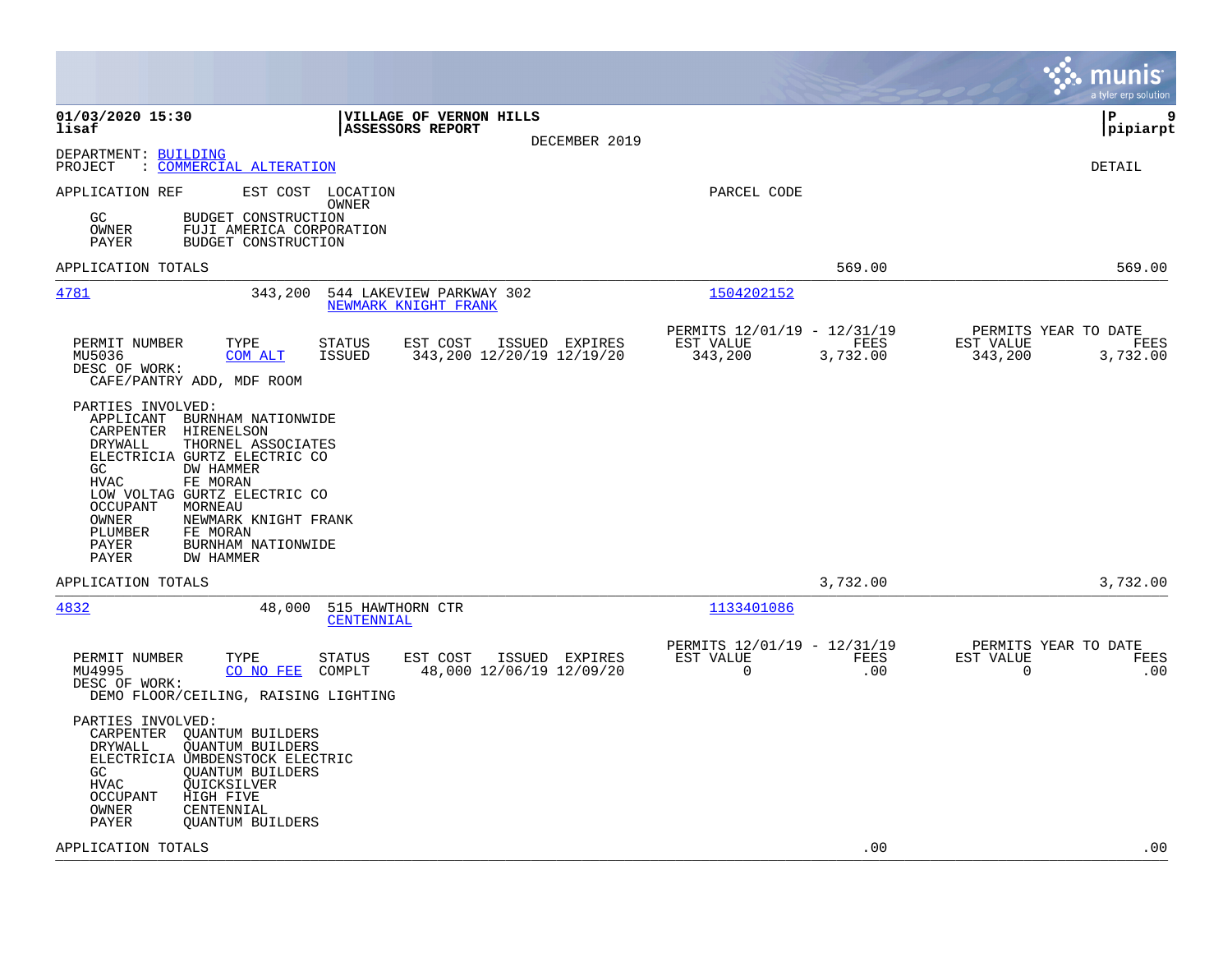|                                                                                                                                                                                                                                                                                                                                                                    |                                                                         | munis<br>a tyler erp solution                                    |
|--------------------------------------------------------------------------------------------------------------------------------------------------------------------------------------------------------------------------------------------------------------------------------------------------------------------------------------------------------------------|-------------------------------------------------------------------------|------------------------------------------------------------------|
| 01/03/2020 15:30<br>VILLAGE OF VERNON HILLS<br>lisaf<br><b>ASSESSORS REPORT</b><br>DECEMBER 2019                                                                                                                                                                                                                                                                   |                                                                         | l P<br>9<br> pipiarpt                                            |
| DEPARTMENT: BUILDING<br>: COMMERCIAL ALTERATION<br>PROJECT                                                                                                                                                                                                                                                                                                         |                                                                         | <b>DETAIL</b>                                                    |
| APPLICATION REF<br>EST COST LOCATION<br>OWNER<br>GC<br>BUDGET CONSTRUCTION<br>OWNER<br>FUJI AMERICA CORPORATION<br>PAYER<br>BUDGET CONSTRUCTION                                                                                                                                                                                                                    | PARCEL CODE                                                             |                                                                  |
| APPLICATION TOTALS                                                                                                                                                                                                                                                                                                                                                 | 569.00                                                                  | 569.00                                                           |
| 4781<br>343,200<br>544 LAKEVIEW PARKWAY 302<br>NEWMARK KNIGHT FRANK                                                                                                                                                                                                                                                                                                | 1504202152                                                              |                                                                  |
| PERMIT NUMBER<br>STATUS<br>EST COST<br>ISSUED EXPIRES<br>TYPE<br><b>ISSUED</b><br>343,200 12/20/19 12/19/20<br>MU5036<br>COM ALT<br>DESC OF WORK:<br>CAFE/PANTRY ADD, MDF ROOM                                                                                                                                                                                     | PERMITS 12/01/19 - 12/31/19<br>EST VALUE<br>FEES<br>343,200<br>3,732.00 | PERMITS YEAR TO DATE<br>EST VALUE<br>FEES<br>343,200<br>3,732.00 |
| PARTIES INVOLVED:<br>APPLICANT<br>BURNHAM NATIONWIDE<br>CARPENTER<br>HIRENELSON<br>DRYWALL<br>THORNEL ASSOCIATES<br>ELECTRICIA GURTZ ELECTRIC CO<br>GC<br>DW HAMMER<br><b>HVAC</b><br>FE MORAN<br>LOW VOLTAG GURTZ ELECTRIC CO<br>OCCUPANT<br>MORNEAU<br>OWNER<br>NEWMARK KNIGHT FRANK<br>PLUMBER<br>FE MORAN<br>PAYER<br>BURNHAM NATIONWIDE<br>PAYER<br>DW HAMMER |                                                                         |                                                                  |
| APPLICATION TOTALS                                                                                                                                                                                                                                                                                                                                                 | 3,732.00                                                                | 3,732.00                                                         |
| 4832<br>48,000<br>515 HAWTHORN CTR<br>CENTENNIAL                                                                                                                                                                                                                                                                                                                   | 1133401086                                                              |                                                                  |
| PERMIT NUMBER<br>TYPE<br>EST COST<br>ISSUED EXPIRES<br>STATUS<br>MU4995<br>48,000 12/06/19 12/09/20<br>CO NO FEE<br>COMPLT<br>DESC OF WORK:<br>DEMO FLOOR/CEILING, RAISING LIGHTING                                                                                                                                                                                | PERMITS 12/01/19 - 12/31/19<br>EST VALUE<br>FEES<br>$\mathbf 0$<br>.00  | PERMITS YEAR TO DATE<br>EST VALUE<br>FEES<br>$\mathbf 0$<br>.00  |
| PARTIES INVOLVED:<br>CARPENTER OUANTUM BUILDERS<br>DRYWALL<br><b>OUANTUM BUILDERS</b><br>ELECTRICIA UMBDENSTOCK ELECTRIC<br>GC.<br><b>OUANTUM BUILDERS</b><br>HVAC<br>QUICKSILVER<br><b>OCCUPANT</b><br>HIGH FIVE<br>OWNER<br>CENTENNIAL<br>PAYER<br>QUANTUM BUILDERS                                                                                              |                                                                         |                                                                  |
| APPLICATION TOTALS                                                                                                                                                                                                                                                                                                                                                 | .00                                                                     | .00                                                              |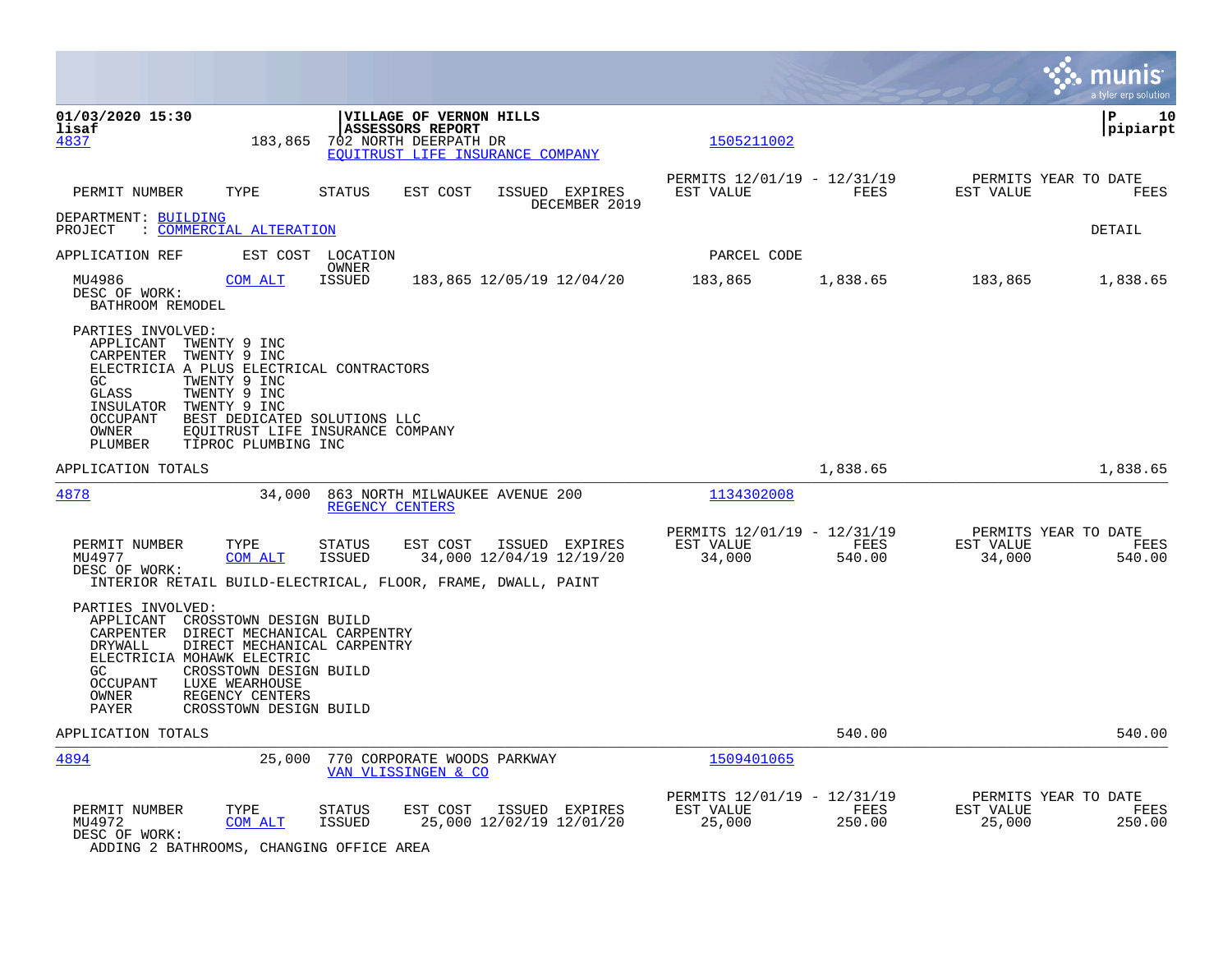|                                                                                                                                                                                                                                                                                                                                    |                                                                      | munis<br>a tyler erp solution                                        |
|------------------------------------------------------------------------------------------------------------------------------------------------------------------------------------------------------------------------------------------------------------------------------------------------------------------------------------|----------------------------------------------------------------------|----------------------------------------------------------------------|
| 01/03/2020 15:30<br><b>VILLAGE OF VERNON HILLS</b><br>lisaf<br><b>ASSESSORS REPORT</b><br>183,865<br>702 NORTH DEERPATH DR<br>4837<br>EOUITRUST LIFE INSURANCE COMPANY                                                                                                                                                             | 1505211002                                                           | ΙP<br>10<br> pipiarpt                                                |
| PERMIT NUMBER<br>TYPE<br>STATUS<br>EST COST<br>ISSUED EXPIRES<br>DECEMBER 2019                                                                                                                                                                                                                                                     | PERMITS 12/01/19 - 12/31/19<br>EST VALUE<br>FEES                     | PERMITS YEAR TO DATE<br>EST VALUE<br>FEES                            |
| DEPARTMENT: BUILDING<br>: COMMERCIAL ALTERATION<br>PROJECT                                                                                                                                                                                                                                                                         |                                                                      | DETAIL                                                               |
| APPLICATION REF<br>EST COST LOCATION                                                                                                                                                                                                                                                                                               | PARCEL CODE                                                          |                                                                      |
| OWNER<br><b>ISSUED</b><br>MU4986<br>COM ALT<br>183,865 12/05/19 12/04/20<br>DESC OF WORK:<br>BATHROOM REMODEL                                                                                                                                                                                                                      | 183,865<br>1,838.65                                                  | 183,865<br>1,838.65                                                  |
| PARTIES INVOLVED:<br>APPLICANT TWENTY 9 INC<br>CARPENTER<br>TWENTY 9 INC<br>ELECTRICIA A PLUS ELECTRICAL CONTRACTORS<br>GC<br>TWENTY 9 INC<br>TWENTY 9 INC<br>GLASS<br>INSULATOR<br>TWENTY 9 INC<br><b>OCCUPANT</b><br>BEST DEDICATED SOLUTIONS LLC<br>EQUITRUST LIFE INSURANCE COMPANY<br>OWNER<br>PLUMBER<br>TIPROC PLUMBING INC |                                                                      |                                                                      |
| APPLICATION TOTALS                                                                                                                                                                                                                                                                                                                 | 1,838.65                                                             | 1,838.65                                                             |
| 4878<br>34,000<br>863 NORTH MILWAUKEE AVENUE 200<br>REGENCY CENTERS                                                                                                                                                                                                                                                                | 1134302008                                                           |                                                                      |
| TYPE<br>PERMIT NUMBER<br><b>STATUS</b><br>EST COST<br>ISSUED EXPIRES<br>MU4977<br>34,000 12/04/19 12/19/20<br>COM ALT<br><b>ISSUED</b><br>DESC OF WORK:<br>INTERIOR RETAIL BUILD-ELECTRICAL, FLOOR, FRAME, DWALL, PAINT                                                                                                            | PERMITS 12/01/19 - 12/31/19<br>EST VALUE<br>FEES<br>540.00<br>34,000 | PERMITS YEAR TO DATE<br>EST VALUE<br>FEES<br>34,000<br>540.00        |
| PARTIES INVOLVED:<br>APPLICANT<br>CROSSTOWN DESIGN BUILD<br>DIRECT MECHANICAL CARPENTRY<br>CARPENTER<br>DRYWALL<br>DIRECT MECHANICAL CARPENTRY<br>ELECTRICIA MOHAWK ELECTRIC<br>GC.<br>CROSSTOWN DESIGN BUILD<br><b>OCCUPANT</b><br>LUXE WEARHOUSE<br>OWNER<br>REGENCY CENTERS<br>PAYER<br>CROSSTOWN DESIGN BUILD                  |                                                                      |                                                                      |
| APPLICATION TOTALS                                                                                                                                                                                                                                                                                                                 | 540.00                                                               | 540.00                                                               |
| 4894<br>25,000<br>770 CORPORATE WOODS PARKWAY<br>VAN VLISSINGEN & CO                                                                                                                                                                                                                                                               | 1509401065                                                           |                                                                      |
| PERMIT NUMBER<br>TYPE<br>EST COST<br>ISSUED EXPIRES<br><b>STATUS</b><br>25,000 12/02/19 12/01/20<br>MU4972<br>COM ALT<br><b>ISSUED</b><br>DESC OF WORK:<br>$\alpha$<br>$\sim$                                                                                                                                                      | PERMITS 12/01/19 - 12/31/19<br>EST VALUE<br>FEES<br>25,000<br>250.00 | PERMITS YEAR TO DATE<br><b>FEES</b><br>EST VALUE<br>25,000<br>250.00 |

ADDING 2 BATHROOMS, CHANGING OFFICE AREA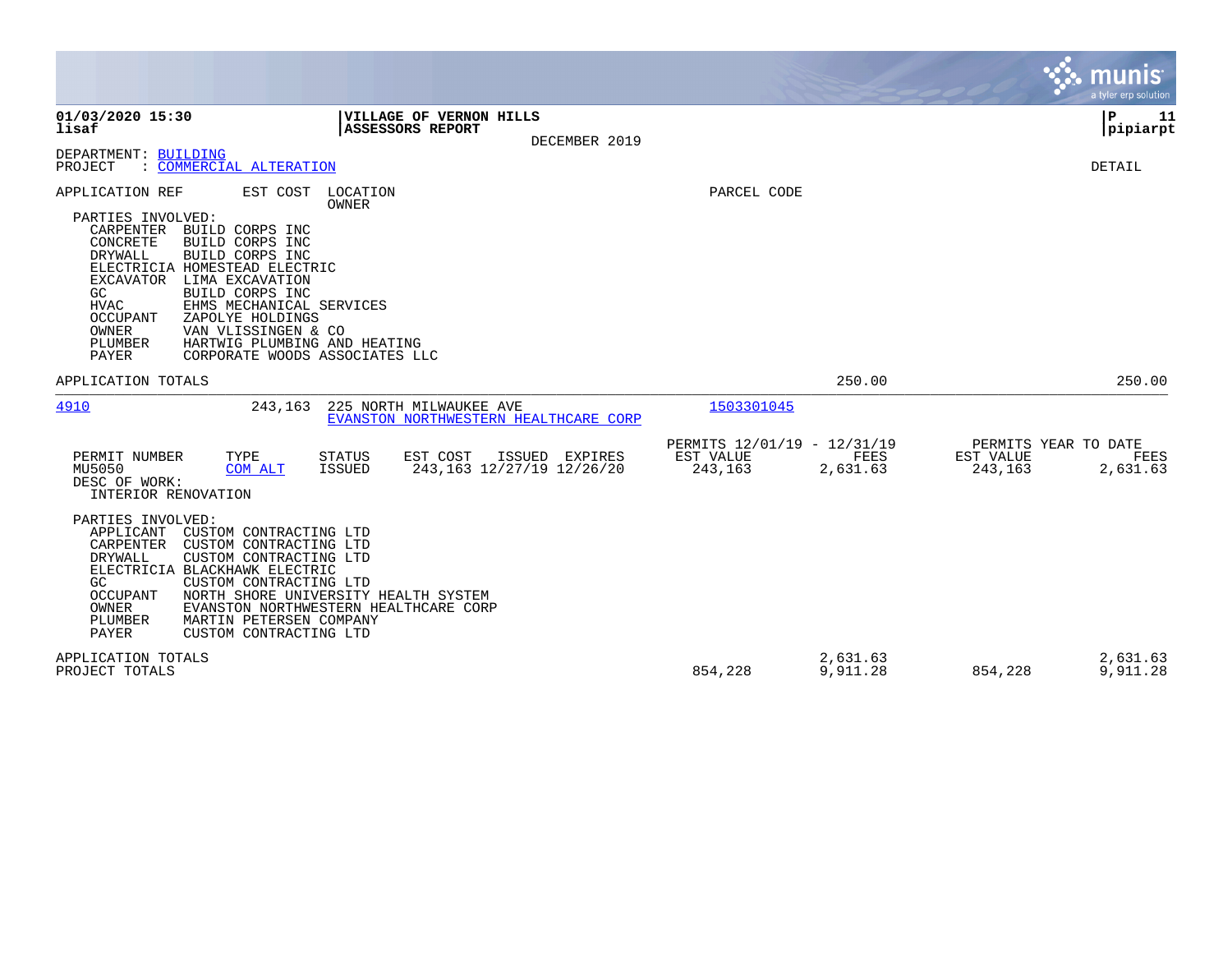|                                                                                                                                                                                                                                                                                                                                                                                                                                                                                    |                                                     |                                          | munis<br>a tyler erp solution            |
|------------------------------------------------------------------------------------------------------------------------------------------------------------------------------------------------------------------------------------------------------------------------------------------------------------------------------------------------------------------------------------------------------------------------------------------------------------------------------------|-----------------------------------------------------|------------------------------------------|------------------------------------------|
| 01/03/2020 15:30<br>VILLAGE OF VERNON HILLS<br>lisaf<br><b>ASSESSORS REPORT</b><br>DECEMBER 2019                                                                                                                                                                                                                                                                                                                                                                                   |                                                     |                                          | ${\bf P}$<br>11<br>pipiarpt              |
| DEPARTMENT: BUILDING<br>: COMMERCIAL ALTERATION<br>PROJECT                                                                                                                                                                                                                                                                                                                                                                                                                         |                                                     |                                          | DETAIL                                   |
| APPLICATION REF<br>EST COST<br>LOCATION<br>OWNER<br>PARTIES INVOLVED:<br>CARPENTER<br>BUILD CORPS INC<br>CONCRETE<br>BUILD CORPS INC<br>DRYWALL<br>BUILD CORPS INC<br>ELECTRICIA HOMESTEAD ELECTRIC<br>LIMA EXCAVATION<br>EXCAVATOR<br>BUILD CORPS INC<br>GC<br><b>HVAC</b><br>EHMS MECHANICAL SERVICES<br><b>OCCUPANT</b><br>ZAPOLYE HOLDINGS<br><b>OWNER</b><br>VAN VLISSINGEN & CO<br>PLUMBER<br>HARTWIG PLUMBING AND HEATING<br><b>PAYER</b><br>CORPORATE WOODS ASSOCIATES LLC | PARCEL CODE                                         |                                          |                                          |
| APPLICATION TOTALS                                                                                                                                                                                                                                                                                                                                                                                                                                                                 |                                                     | 250.00                                   | 250.00                                   |
| 4910<br>243,163<br>225 NORTH MILWAUKEE AVE<br>EVANSTON NORTHWESTERN HEALTHCARE CORP                                                                                                                                                                                                                                                                                                                                                                                                | 1503301045                                          |                                          |                                          |
| PERMIT NUMBER<br>TYPE<br>EST COST<br>ISSUED EXPIRES<br>STATUS<br>243, 163 12/27/19 12/26/20<br>MU5050<br><b>ISSUED</b><br><b>COM ALT</b><br>DESC OF WORK:<br>INTERIOR RENOVATION                                                                                                                                                                                                                                                                                                   | PERMITS 12/01/19 - 12/31/19<br>EST VALUE<br>243,163 | FEES<br>EST VALUE<br>2,631.63<br>243,163 | PERMITS YEAR TO DATE<br>FEES<br>2,631.63 |
| PARTIES INVOLVED:<br>CUSTOM CONTRACTING LTD<br>APPLICANT<br>CARPENTER<br>CUSTOM CONTRACTING LTD<br>DRYWALL<br>CUSTOM CONTRACTING LTD<br>ELECTRICIA BLACKHAWK ELECTRIC<br>CUSTOM CONTRACTING LTD<br>GC.<br><b>OCCUPANT</b><br>NORTH SHORE UNIVERSITY HEALTH SYSTEM<br>OWNER<br>EVANSTON NORTHWESTERN HEALTHCARE CORP<br>PLUMBER<br>MARTIN PETERSEN COMPANY<br><b>PAYER</b><br>CUSTOM CONTRACTING LTD                                                                                |                                                     |                                          |                                          |
| APPLICATION TOTALS<br>PROJECT TOTALS                                                                                                                                                                                                                                                                                                                                                                                                                                               | 854,228                                             | 2,631.63<br>9,911.28<br>854,228          | 2,631.63<br>9,911.28                     |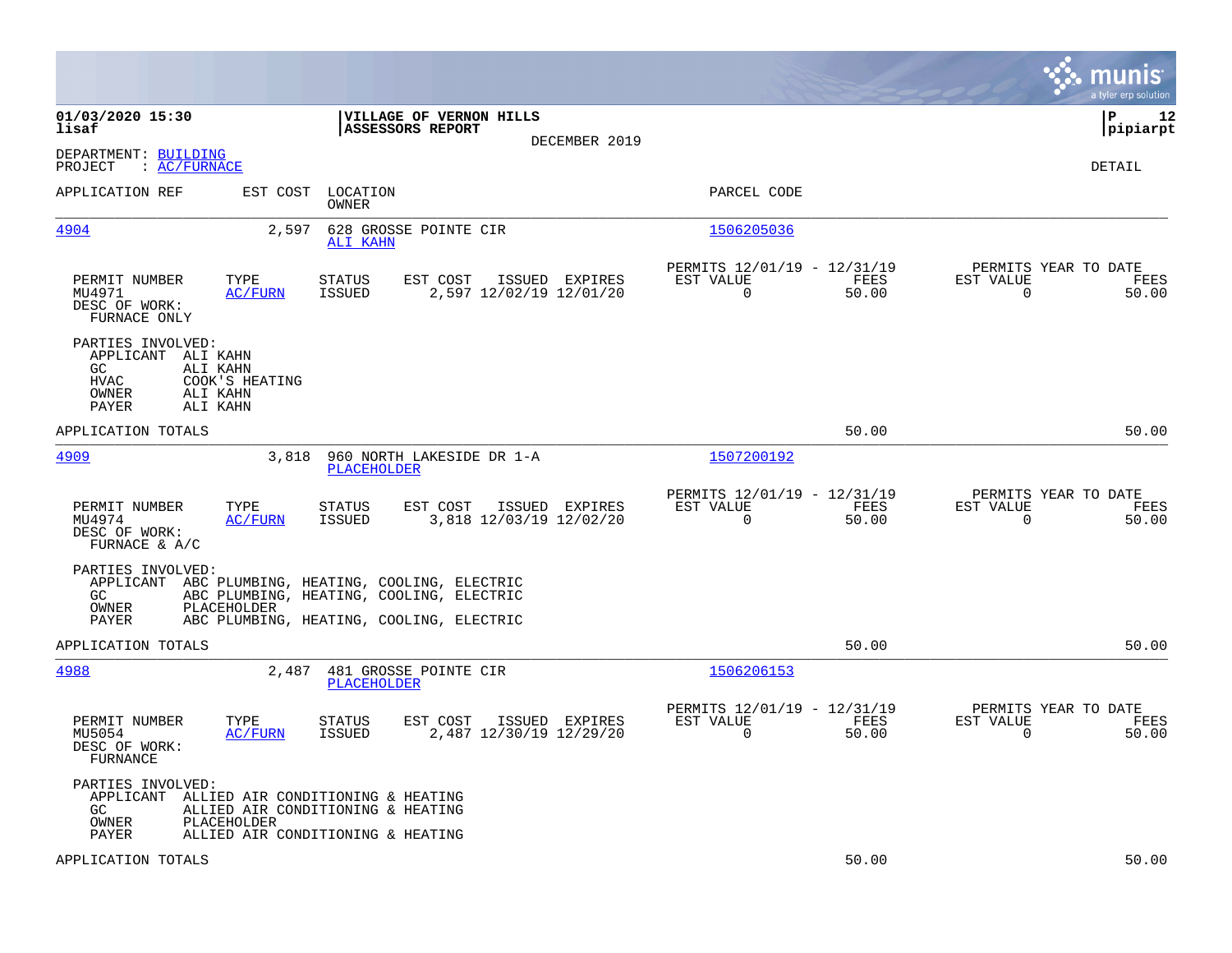|                                                                                                                                                                                                        |                |                                                         |               |                                                  | munis<br>a tyler erp solution |
|--------------------------------------------------------------------------------------------------------------------------------------------------------------------------------------------------------|----------------|---------------------------------------------------------|---------------|--------------------------------------------------|-------------------------------|
| 01/03/2020 15:30<br>VILLAGE OF VERNON HILLS<br>lisaf<br><b>ASSESSORS REPORT</b>                                                                                                                        | DECEMBER 2019  |                                                         |               |                                                  | ΙP<br>12<br> pipiarpt         |
| DEPARTMENT: BUILDING<br>PROJECT<br>: AC/FURNACE                                                                                                                                                        |                |                                                         |               |                                                  | DETAIL                        |
| APPLICATION REF<br>EST COST LOCATION<br>OWNER                                                                                                                                                          |                | PARCEL CODE                                             |               |                                                  |                               |
| 4904<br>2,597<br>628 GROSSE POINTE CIR<br>ALI KAHN                                                                                                                                                     |                | 1506205036                                              |               |                                                  |                               |
| TYPE<br>EST COST<br>PERMIT NUMBER<br>STATUS<br>MU4971<br><b>AC/FURN</b><br>ISSUED<br>2,597 12/02/19 12/01/20<br>DESC OF WORK:<br>FURNACE ONLY                                                          | ISSUED EXPIRES | PERMITS 12/01/19 - 12/31/19<br>EST VALUE<br>$\mathbf 0$ | FEES<br>50.00 | PERMITS YEAR TO DATE<br>EST VALUE<br>0           | FEES<br>50.00                 |
| PARTIES INVOLVED:<br>APPLICANT ALI KAHN<br>GC<br>ALI KAHN<br><b>HVAC</b><br>COOK'S HEATING<br>OWNER<br>ALI KAHN<br>PAYER<br>ALI KAHN                                                                   |                |                                                         |               |                                                  |                               |
| APPLICATION TOTALS                                                                                                                                                                                     |                |                                                         | 50.00         |                                                  | 50.00                         |
| 4909<br>3,818<br>960 NORTH LAKESIDE DR 1-A<br><b>PLACEHOLDER</b>                                                                                                                                       |                | 1507200192                                              |               |                                                  |                               |
| PERMIT NUMBER<br>TYPE<br><b>STATUS</b><br>EST COST<br>MU4974<br><b>AC/FURN</b><br><b>ISSUED</b><br>3,818 12/03/19 12/02/20<br>DESC OF WORK:<br>FURNACE & $A/C$                                         | ISSUED EXPIRES | PERMITS 12/01/19 - 12/31/19<br>EST VALUE<br>$\mathbf 0$ | FEES<br>50.00 | PERMITS YEAR TO DATE<br>EST VALUE<br>$\mathbf 0$ | FEES<br>50.00                 |
| PARTIES INVOLVED:<br>APPLICANT ABC PLUMBING, HEATING, COOLING, ELECTRIC<br>ABC PLUMBING, HEATING, COOLING, ELECTRIC<br>GC<br>PLACEHOLDER<br>OWNER<br>PAYER<br>ABC PLUMBING, HEATING, COOLING, ELECTRIC |                |                                                         |               |                                                  |                               |
| APPLICATION TOTALS                                                                                                                                                                                     |                |                                                         | 50.00         |                                                  | 50.00                         |
| 4988<br>481 GROSSE POINTE CIR<br>2,487<br><b>PLACEHOLDER</b>                                                                                                                                           |                | 1506206153                                              |               |                                                  |                               |
| PERMIT NUMBER<br>TYPE<br><b>STATUS</b><br>EST COST<br><b>ISSUED</b><br>2,487 12/30/19 12/29/20<br>MU5054<br>AC/FURN<br>DESC OF WORK:<br>FURNANCE                                                       | ISSUED EXPIRES | PERMITS 12/01/19 - 12/31/19<br>EST VALUE<br>$\mathbf 0$ | FEES<br>50.00 | PERMITS YEAR TO DATE<br>EST VALUE<br>$\mathbf 0$ | FEES<br>50.00                 |
| PARTIES INVOLVED:<br>APPLICANT ALLIED AIR CONDITIONING & HEATING<br>GC<br>ALLIED AIR CONDITIONING & HEATING<br>OWNER<br>PLACEHOLDER<br>PAYER<br>ALLIED AIR CONDITIONING & HEATING                      |                |                                                         |               |                                                  |                               |
| APPLICATION TOTALS                                                                                                                                                                                     |                |                                                         | 50.00         |                                                  | 50.00                         |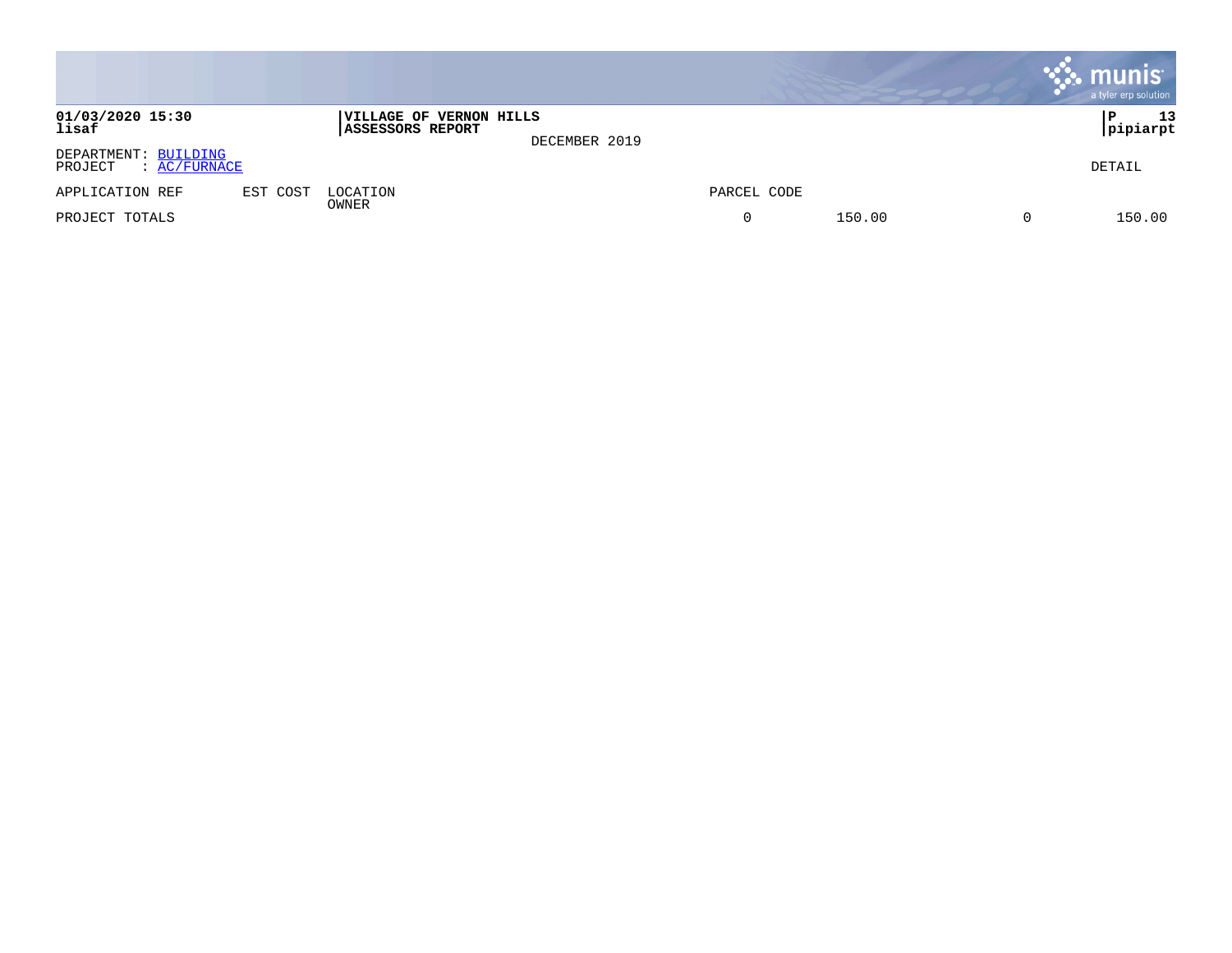|                                                 |          |                                             |               |             |        |                | $\cdot$ munis<br>a tyler erp solution |
|-------------------------------------------------|----------|---------------------------------------------|---------------|-------------|--------|----------------|---------------------------------------|
| 01/03/2020 15:30<br>lisaf                       |          | VILLAGE OF VERNON HILLS<br>ASSESSORS REPORT | DECEMBER 2019 |             |        |                | 13<br>P<br> pipiarpt                  |
| DEPARTMENT: BUILDING<br>: AC/FURNACE<br>PROJECT |          |                                             |               |             |        |                | DETAIL                                |
| APPLICATION REF                                 | EST COST | LOCATION                                    |               | PARCEL CODE |        |                |                                       |
| PROJECT TOTALS                                  |          | OWNER                                       |               | 0           | 150.00 | $\overline{0}$ | 150.00                                |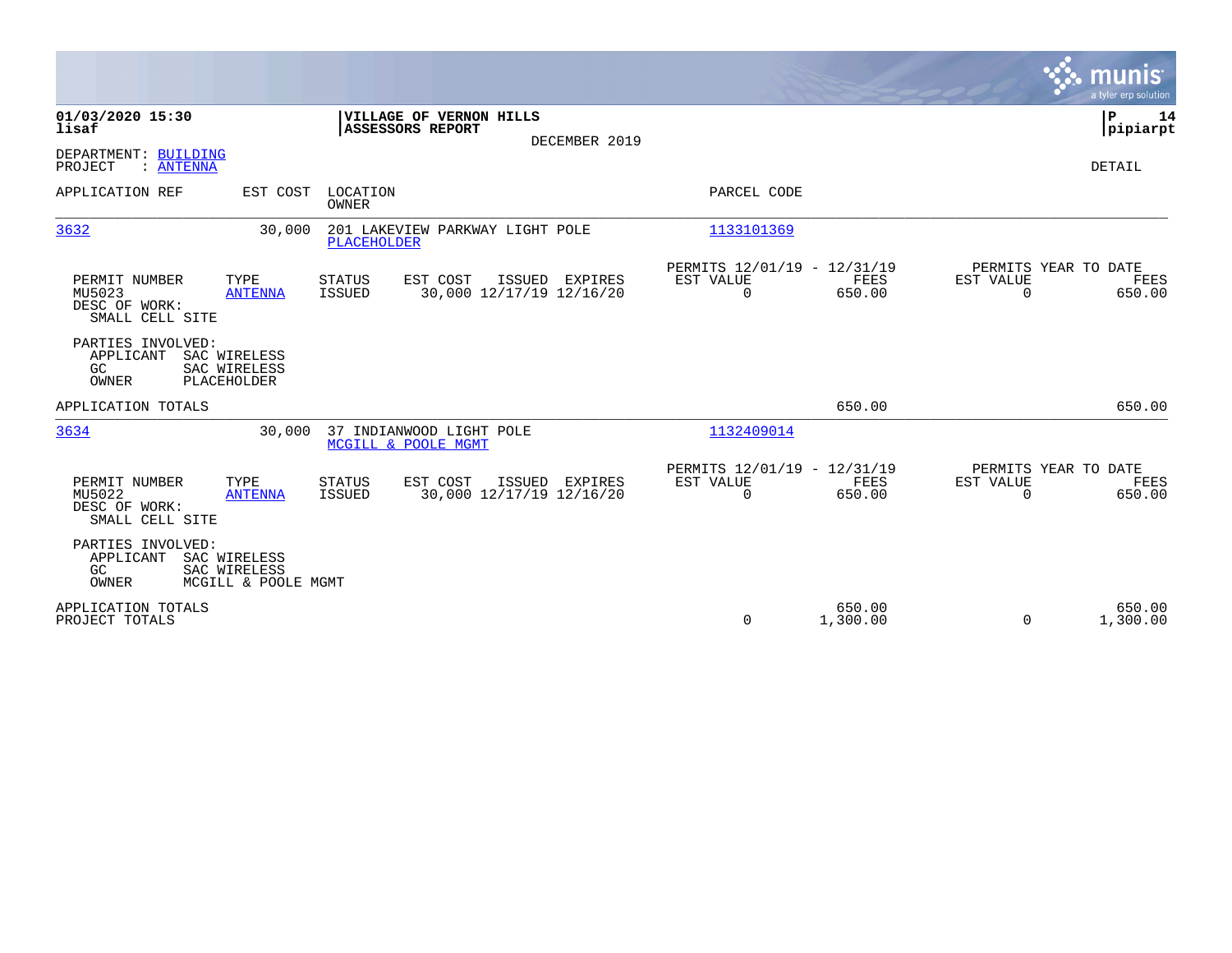|                                                             |                                                     |                          |                                                     |                |                                                         |                    |                                               | munis<br>a tyler erp solution |
|-------------------------------------------------------------|-----------------------------------------------------|--------------------------|-----------------------------------------------------|----------------|---------------------------------------------------------|--------------------|-----------------------------------------------|-------------------------------|
| 01/03/2020 15:30<br>lisaf                                   |                                                     |                          | <b> VILLAGE OF VERNON HILLS</b><br>ASSESSORS REPORT | DECEMBER 2019  |                                                         |                    |                                               | Þ<br>14<br> pipiarpt          |
| DEPARTMENT: BUILDING<br>PROJECT<br>: ANTENNA                |                                                     |                          |                                                     |                |                                                         |                    |                                               | <b>DETAIL</b>                 |
| APPLICATION REF                                             | EST COST                                            | LOCATION<br><b>OWNER</b> |                                                     |                | PARCEL CODE                                             |                    |                                               |                               |
| 3632                                                        | 30,000                                              | <b>PLACEHOLDER</b>       | 201 LAKEVIEW PARKWAY LIGHT POLE                     |                | 1133101369                                              |                    |                                               |                               |
| PERMIT NUMBER<br>MU5023<br>DESC OF WORK:<br>SMALL CELL SITE | TYPE<br><b>ANTENNA</b>                              | STATUS<br>ISSUED         | EST COST<br>30,000 12/17/19 12/16/20                | ISSUED EXPIRES | PERMITS 12/01/19 - 12/31/19<br>EST VALUE<br>$\Omega$    | FEES<br>650.00     | PERMITS YEAR TO DATE<br>EST VALUE<br>$\Omega$ | FEES<br>650.00                |
| PARTIES INVOLVED:<br>APPLICANT<br>GC<br><b>OWNER</b>        | SAC WIRELESS<br>SAC WIRELESS<br>PLACEHOLDER         |                          |                                                     |                |                                                         |                    |                                               |                               |
| APPLICATION TOTALS                                          |                                                     |                          |                                                     |                |                                                         | 650.00             |                                               | 650.00                        |
| 3634                                                        | 30,000                                              |                          | 37 INDIANWOOD LIGHT POLE<br>MCGILL & POOLE MGMT     |                | 1132409014                                              |                    |                                               |                               |
| PERMIT NUMBER<br>MU5022<br>DESC OF WORK:<br>SMALL CELL SITE | TYPE<br><b>ANTENNA</b>                              | <b>STATUS</b><br>ISSUED  | EST COST<br>30,000 12/17/19 12/16/20                | ISSUED EXPIRES | PERMITS 12/01/19 - 12/31/19<br>EST VALUE<br>$\mathbf 0$ | FEES<br>650.00     | PERMITS YEAR TO DATE<br>EST VALUE<br>$\Omega$ | <b>FEES</b><br>650.00         |
| PARTIES INVOLVED:<br>APPLICANT<br>GC<br><b>OWNER</b>        | SAC WIRELESS<br>SAC WIRELESS<br>MCGILL & POOLE MGMT |                          |                                                     |                |                                                         |                    |                                               |                               |
| APPLICATION TOTALS<br>PROJECT TOTALS                        |                                                     |                          |                                                     |                | 0                                                       | 650.00<br>1,300.00 | $\Omega$                                      | 650.00<br>1,300.00            |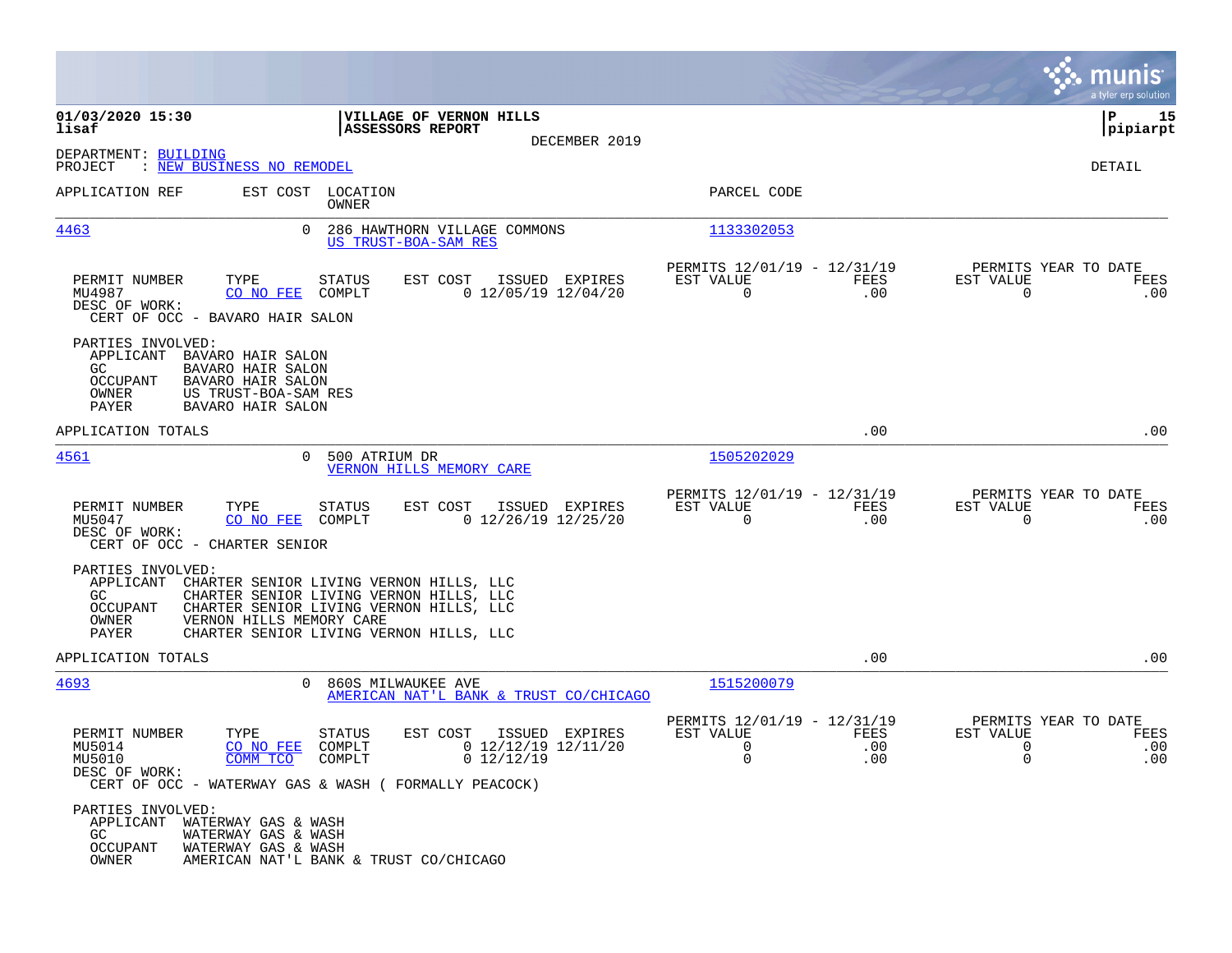|                                                                                                                                                                                    |                                                                                                                                                                          |                                                              |                    |                                                                 | munis<br>a tyler erp solution |
|------------------------------------------------------------------------------------------------------------------------------------------------------------------------------------|--------------------------------------------------------------------------------------------------------------------------------------------------------------------------|--------------------------------------------------------------|--------------------|-----------------------------------------------------------------|-------------------------------|
| 01/03/2020 15:30<br>lisaf                                                                                                                                                          | VILLAGE OF VERNON HILLS<br>ASSESSORS REPORT<br>DECEMBER 2019                                                                                                             |                                                              |                    |                                                                 | l P<br>15<br> pipiarpt        |
| DEPARTMENT: BUILDING<br>: <u>NEW BUSINESS NO REMODEL</u><br>PROJECT                                                                                                                |                                                                                                                                                                          |                                                              |                    |                                                                 | DETAIL                        |
| APPLICATION REF                                                                                                                                                                    | EST COST LOCATION<br>OWNER                                                                                                                                               | PARCEL CODE                                                  |                    |                                                                 |                               |
| <u>4463</u><br>0                                                                                                                                                                   | 286 HAWTHORN VILLAGE COMMONS<br>US TRUST-BOA-SAM RES                                                                                                                     | 1133302053                                                   |                    |                                                                 |                               |
| TYPE<br>PERMIT NUMBER<br>MU4987<br>CO NO FEE<br>DESC OF WORK:<br>CERT OF OCC - BAVARO HAIR SALON                                                                                   | STATUS<br>EST COST<br>ISSUED EXPIRES<br>$0$ 12/05/19 12/04/20<br>COMPLT                                                                                                  | PERMITS 12/01/19 - 12/31/19<br>EST VALUE<br>$\Omega$         | FEES<br>.00        | PERMITS YEAR TO DATE<br>EST VALUE<br>$\Omega$                   | FEES<br>.00                   |
| PARTIES INVOLVED:<br>APPLICANT BAVARO HAIR SALON<br>GC<br>BAVARO HAIR SALON<br><b>OCCUPANT</b><br>BAVARO HAIR SALON<br>US TRUST-BOA-SAM RES<br>OWNER<br>BAVARO HAIR SALON<br>PAYER |                                                                                                                                                                          |                                                              |                    |                                                                 |                               |
| APPLICATION TOTALS                                                                                                                                                                 |                                                                                                                                                                          |                                                              | .00                |                                                                 | .00                           |
| 4561<br>$\Omega$                                                                                                                                                                   | 500 ATRIUM DR<br>VERNON HILLS MEMORY CARE                                                                                                                                | 1505202029                                                   |                    |                                                                 |                               |
| PERMIT NUMBER<br>TYPE<br>CO NO FEE<br>MU5047<br>DESC OF WORK:<br>CERT OF OCC - CHARTER SENIOR                                                                                      | STATUS<br>EST COST<br>ISSUED EXPIRES<br>$0$ 12/26/19 12/25/20<br>COMPLT                                                                                                  | PERMITS 12/01/19 - 12/31/19<br>EST VALUE<br>$\overline{0}$   | FEES<br>.00        | PERMITS YEAR TO DATE<br>EST VALUE<br>0                          | FEES<br>.00                   |
| PARTIES INVOLVED:<br>APPLICANT<br>GC.<br><b>OCCUPANT</b><br>VERNON HILLS MEMORY CARE<br>OWNER<br>PAYER                                                                             | CHARTER SENIOR LIVING VERNON HILLS, LLC<br>CHARTER SENIOR LIVING VERNON HILLS, LLC<br>CHARTER SENIOR LIVING VERNON HILLS, LLC<br>CHARTER SENIOR LIVING VERNON HILLS, LLC |                                                              |                    |                                                                 |                               |
| APPLICATION TOTALS                                                                                                                                                                 |                                                                                                                                                                          |                                                              | .00                |                                                                 | .00                           |
| 4693<br>0                                                                                                                                                                          | 860S MILWAUKEE AVE<br>AMERICAN NAT'L BANK & TRUST CO/CHICAGO                                                                                                             | 1515200079                                                   |                    |                                                                 |                               |
| PERMIT NUMBER<br>TYPE<br>CO NO FEE<br>MU5014<br>COMM TCO<br>MU5010<br>DESC OF WORK:                                                                                                | <b>STATUS</b><br>EST COST<br>ISSUED EXPIRES<br>$0$ 12/12/19 12/11/20<br>COMPLT<br>$0$ 12/12/19<br>COMPLT<br>CERT OF OCC - WATERWAY GAS & WASH ( FORMALLY PEACOCK)        | PERMITS 12/01/19 - 12/31/19<br>EST VALUE<br>$\mathbf 0$<br>0 | FEES<br>.00<br>.00 | PERMITS YEAR TO DATE<br>EST VALUE<br>$\mathbf 0$<br>$\mathbf 0$ | FEES<br>.00<br>.00            |
| PARTIES INVOLVED:<br>APPLICANT<br>WATERWAY GAS & WASH<br>GC<br>WATERWAY GAS & WASH<br>WATERWAY GAS & WASH<br>OCCUPANT<br>OWNER                                                     | AMERICAN NAT'L BANK & TRUST CO/CHICAGO                                                                                                                                   |                                                              |                    |                                                                 |                               |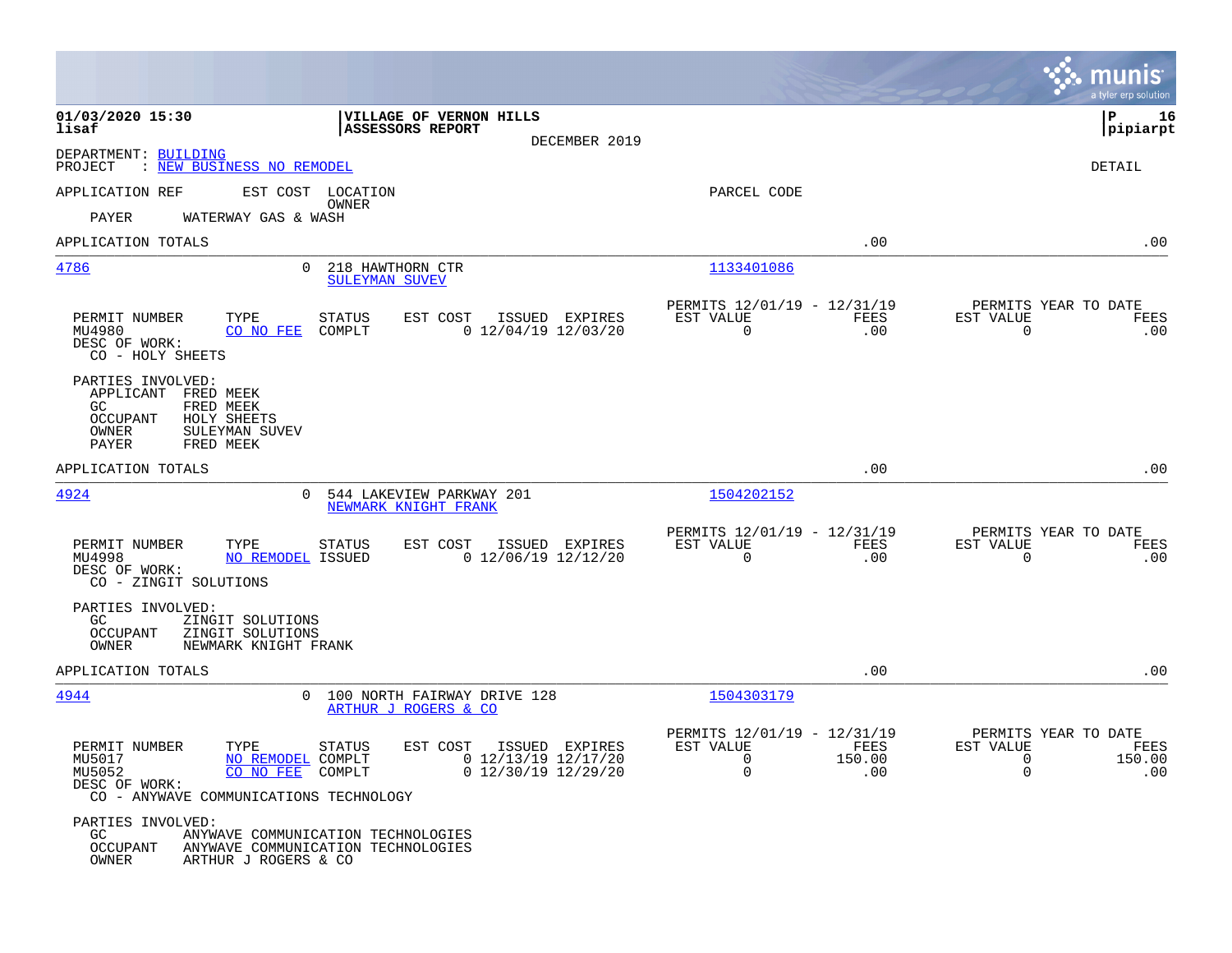|                                                                                                                                         |                                                                                                  |                                                                               |                                                                             | munis<br>a tyler erp solution |
|-----------------------------------------------------------------------------------------------------------------------------------------|--------------------------------------------------------------------------------------------------|-------------------------------------------------------------------------------|-----------------------------------------------------------------------------|-------------------------------|
| 01/03/2020 15:30<br>lisaf                                                                                                               | <b>VILLAGE OF VERNON HILLS</b><br><b>ASSESSORS REPORT</b>                                        |                                                                               |                                                                             | l P<br>16<br> pipiarpt        |
| DEPARTMENT: BUILDING<br>PROJECT<br>: NEW BUSINESS NO REMODEL                                                                            | DECEMBER 2019                                                                                    |                                                                               |                                                                             | DETAIL                        |
| APPLICATION REF                                                                                                                         | EST COST LOCATION                                                                                | PARCEL CODE                                                                   |                                                                             |                               |
| WATERWAY GAS & WASH<br>PAYER                                                                                                            | OWNER                                                                                            |                                                                               |                                                                             |                               |
| APPLICATION TOTALS                                                                                                                      |                                                                                                  |                                                                               | .00                                                                         | .00                           |
| 4786<br>$\Omega$                                                                                                                        | 218 HAWTHORN CTR<br>SULEYMAN SUVEV                                                               | 1133401086                                                                    |                                                                             |                               |
| PERMIT NUMBER<br>TYPE<br>CO NO FEE<br>MU4980<br>DESC OF WORK:<br>CO - HOLY SHEETS                                                       | <b>STATUS</b><br>EST COST<br>ISSUED EXPIRES<br>COMPLT<br>$0$ 12/04/19 12/03/20                   | PERMITS 12/01/19 - 12/31/19<br>EST VALUE<br>$\overline{0}$                    | PERMITS YEAR TO DATE<br>FEES<br>EST VALUE<br>.00<br>$\mathbf 0$             | FEES<br>.00                   |
| PARTIES INVOLVED:<br>APPLICANT FRED MEEK<br>GC<br>FRED MEEK<br>OCCUPANT<br>HOLY SHEETS<br>OWNER<br>SULEYMAN SUVEV<br>PAYER<br>FRED MEEK |                                                                                                  |                                                                               |                                                                             |                               |
| APPLICATION TOTALS                                                                                                                      |                                                                                                  |                                                                               | .00                                                                         | .00                           |
| 4924<br>0                                                                                                                               | 544 LAKEVIEW PARKWAY 201<br>NEWMARK KNIGHT FRANK                                                 | 1504202152                                                                    |                                                                             |                               |
| PERMIT NUMBER<br>TYPE<br>MU4998<br>NO REMODEL ISSUED<br>DESC OF WORK:<br>CO - ZINGIT SOLUTIONS                                          | EST COST<br>ISSUED EXPIRES<br><b>STATUS</b><br>$0$ 12/06/19 12/12/20                             | PERMITS 12/01/19 - 12/31/19<br>EST VALUE<br>$\Omega$                          | PERMITS YEAR TO DATE<br><b>FEES</b><br>EST VALUE<br>.00<br>$\Omega$         | FEES<br>.00                   |
| PARTIES INVOLVED:<br>ZINGIT SOLUTIONS<br>GC.<br><b>OCCUPANT</b><br>ZINGIT SOLUTIONS<br>OWNER<br>NEWMARK KNIGHT FRANK                    |                                                                                                  |                                                                               |                                                                             |                               |
| APPLICATION TOTALS                                                                                                                      |                                                                                                  |                                                                               | .00                                                                         | .00                           |
| 4944                                                                                                                                    | 0 100 NORTH FAIRWAY DRIVE 128<br>ARTHUR J ROGERS & CO                                            | 1504303179                                                                    |                                                                             |                               |
| PERMIT NUMBER<br>TYPE<br>MU5017<br>NO REMODEL COMPLT<br>MU5052<br>CO NO FEE<br>DESC OF WORK:<br>CO - ANYWAVE COMMUNICATIONS TECHNOLOGY  | EST COST<br>ISSUED EXPIRES<br>STATUS<br>$0$ 12/13/19 12/17/20<br>COMPLT<br>$0$ 12/30/19 12/29/20 | PERMITS 12/01/19 - 12/31/19<br>EST VALUE<br>$\mathbf 0$<br>150.00<br>$\Omega$ | PERMITS YEAR TO DATE<br>FEES<br>EST VALUE<br>$\mathbf 0$<br>$\Omega$<br>.00 | FEES<br>150.00<br>.00         |
| PARTIES INVOLVED:<br>GC.<br>OCCUPANT<br>OWNER<br>ARTHUR J ROGERS & CO                                                                   | ANYWAVE COMMUNICATION TECHNOLOGIES<br>ANYWAVE COMMUNICATION TECHNOLOGIES                         |                                                                               |                                                                             |                               |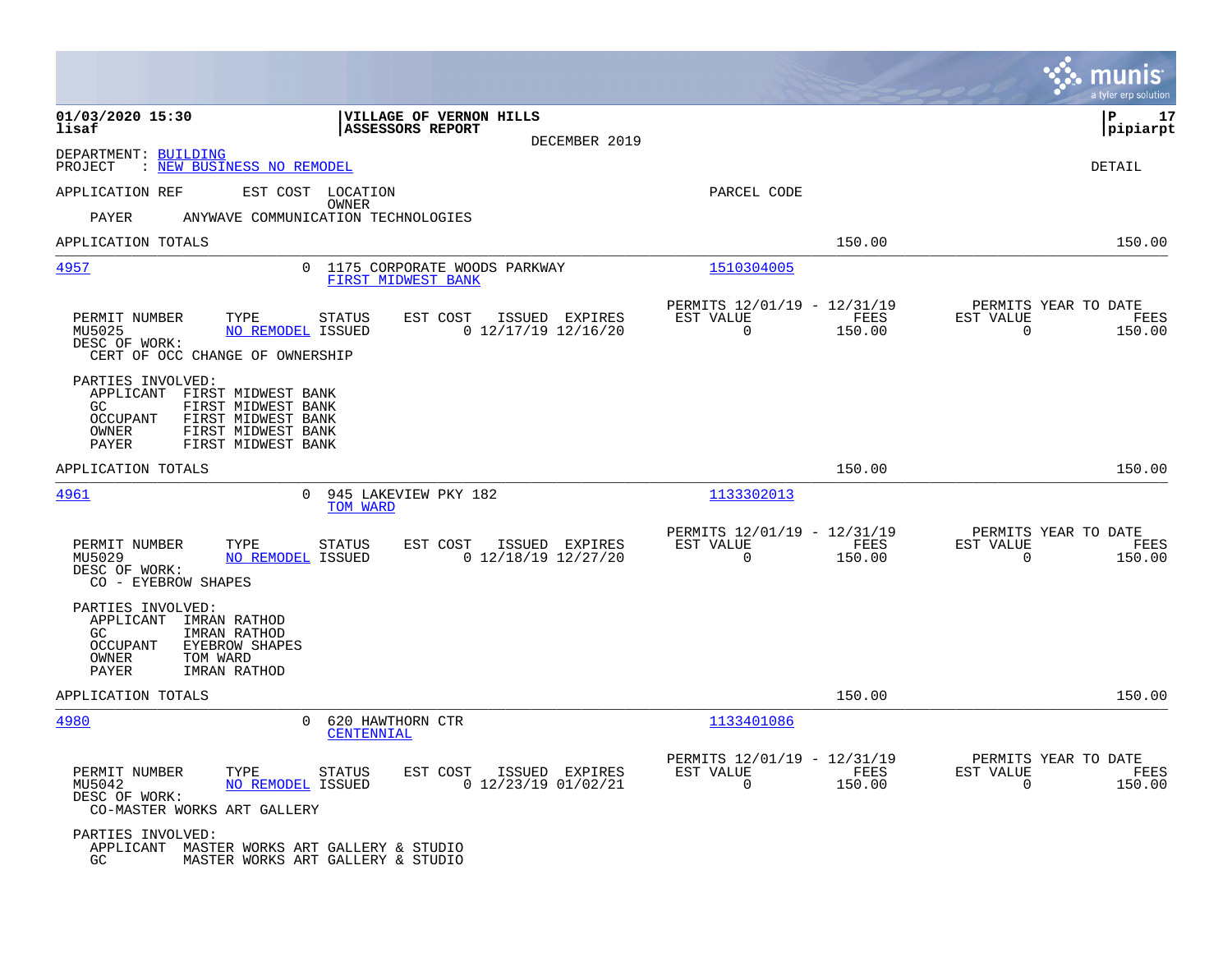|                                                                                                                                                                               |                                                                                    |                                                            |                | munis<br>a tyler erp solution                                         |
|-------------------------------------------------------------------------------------------------------------------------------------------------------------------------------|------------------------------------------------------------------------------------|------------------------------------------------------------|----------------|-----------------------------------------------------------------------|
| 01/03/2020 15:30<br>lisaf                                                                                                                                                     | VILLAGE OF VERNON HILLS<br><b>ASSESSORS REPORT</b><br>DECEMBER 2019                |                                                            |                | ΙP<br>17<br> pipiarpt                                                 |
| DEPARTMENT: BUILDING<br>: <u>NEW BUSINESS NO REMODEL</u><br>PROJECT                                                                                                           |                                                                                    |                                                            |                | <b>DETAIL</b>                                                         |
| APPLICATION REF                                                                                                                                                               | EST COST LOCATION                                                                  | PARCEL CODE                                                |                |                                                                       |
| PAYER                                                                                                                                                                         | OWNER<br>ANYWAVE COMMUNICATION TECHNOLOGIES                                        |                                                            |                |                                                                       |
| APPLICATION TOTALS                                                                                                                                                            |                                                                                    |                                                            | 150.00         | 150.00                                                                |
| 4957                                                                                                                                                                          | $\overline{0}$<br>1175 CORPORATE WOODS PARKWAY<br>FIRST MIDWEST BANK               | 1510304005                                                 |                |                                                                       |
| TYPE<br>PERMIT NUMBER<br>MU5025<br>DESC OF WORK:<br>CERT OF OCC CHANGE OF OWNERSHIP                                                                                           | EST COST<br>STATUS<br>ISSUED EXPIRES<br>NO REMODEL ISSUED<br>$0$ 12/17/19 12/16/20 | PERMITS 12/01/19 - 12/31/19<br>EST VALUE<br>$\overline{0}$ | FEES<br>150.00 | PERMITS YEAR TO DATE<br>EST VALUE<br>FEES<br>$\overline{0}$<br>150.00 |
| PARTIES INVOLVED:<br>APPLICANT FIRST MIDWEST BANK<br>GC<br>FIRST MIDWEST BANK<br>OCCUPANT<br>FIRST MIDWEST BANK<br>OWNER<br>FIRST MIDWEST BANK<br>PAYER<br>FIRST MIDWEST BANK |                                                                                    |                                                            |                |                                                                       |
| APPLICATION TOTALS                                                                                                                                                            |                                                                                    |                                                            | 150.00         | 150.00                                                                |
| 4961                                                                                                                                                                          | $\Omega$<br>945 LAKEVIEW PKY 182<br>TOM WARD                                       | 1133302013                                                 |                |                                                                       |
| TYPE<br>PERMIT NUMBER<br>MU5029<br>DESC OF WORK:<br>CO - EYEBROW SHAPES                                                                                                       | EST COST<br>STATUS<br>ISSUED EXPIRES<br>$0$ 12/18/19 12/27/20<br>NO REMODEL ISSUED | PERMITS 12/01/19 - 12/31/19<br>EST VALUE<br>$\mathbf 0$    | FEES<br>150.00 | PERMITS YEAR TO DATE<br>EST VALUE<br>FEES<br>$\mathbf 0$<br>150.00    |
| PARTIES INVOLVED:<br>APPLICANT<br>IMRAN RATHOD<br>GC<br>IMRAN RATHOD<br>OCCUPANT<br><b>EYEBROW SHAPES</b><br>OWNER<br>TOM WARD<br><b>PAYER</b><br>IMRAN RATHOD                |                                                                                    |                                                            |                |                                                                       |
| APPLICATION TOTALS                                                                                                                                                            |                                                                                    |                                                            | 150.00         | 150.00                                                                |
| 4980                                                                                                                                                                          | $\Omega$<br>620 HAWTHORN CTR<br>CENTENNIAL                                         | 1133401086                                                 |                |                                                                       |
| PERMIT NUMBER<br>TYPE<br>MU5042<br>DESC OF WORK:<br>CO-MASTER WORKS ART GALLERY                                                                                               | EST COST<br>STATUS<br>ISSUED EXPIRES<br>NO REMODEL ISSUED<br>$0$ 12/23/19 01/02/21 | PERMITS 12/01/19 - 12/31/19<br>EST VALUE<br>$\Omega$       | FEES<br>150.00 | PERMITS YEAR TO DATE<br>EST VALUE<br>FEES<br>$\Omega$<br>150.00       |
| PARTIES INVOLVED:<br>APPLICANT MASTER WORKS ART GALLERY & STUDIO<br>GC                                                                                                        | MASTER WORKS ART GALLERY & STUDIO                                                  |                                                            |                |                                                                       |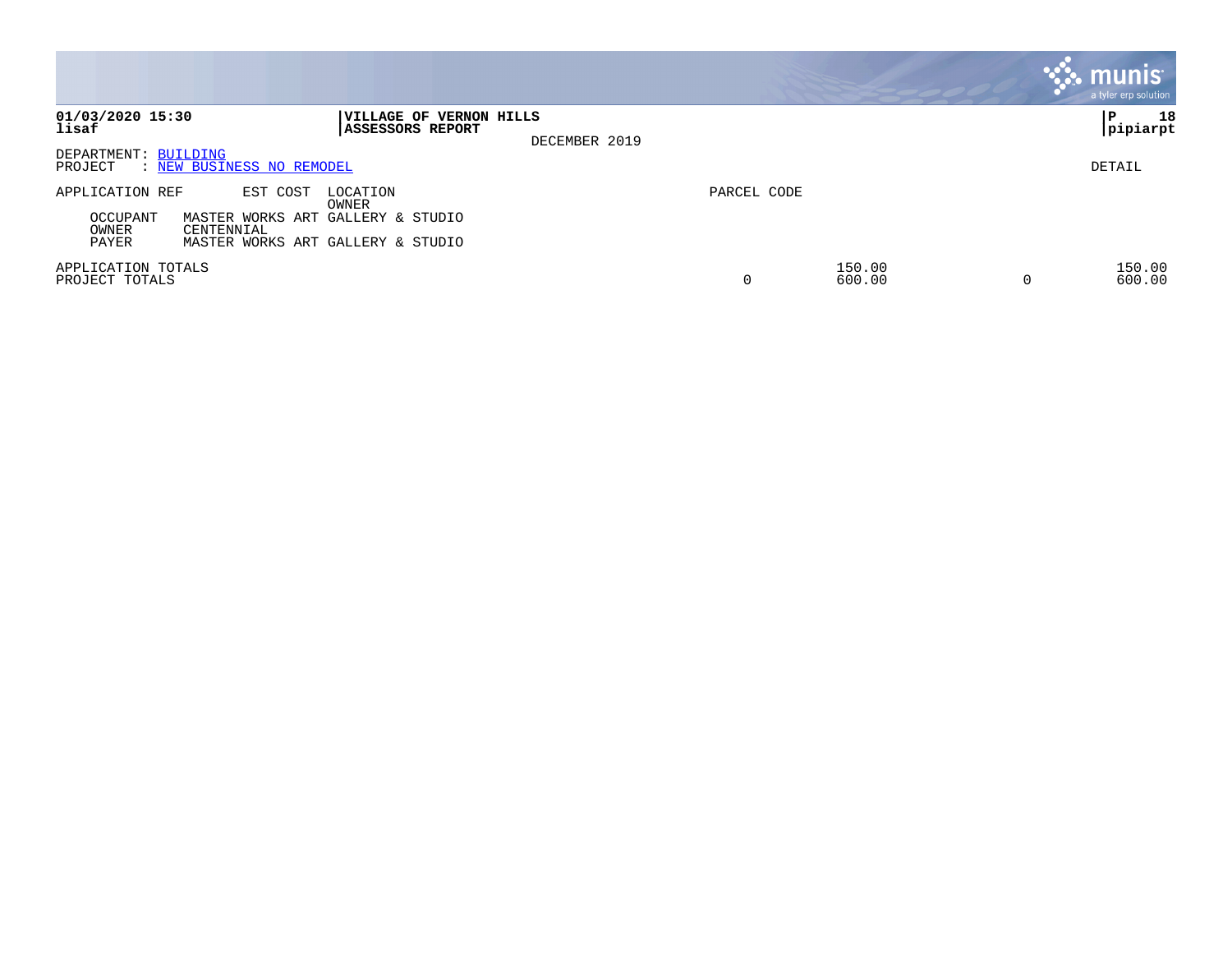|                                                                                                                                                                        |               | <b>munis</b><br>a tyler erp solution |
|------------------------------------------------------------------------------------------------------------------------------------------------------------------------|---------------|--------------------------------------|
| 01/03/2020 15:30<br>VILLAGE OF VERNON HILLS<br>lisaf<br><b>ASSESSORS REPORT</b>                                                                                        | DECEMBER 2019 | 18<br>l P<br>pipiarpt                |
| DEPARTMENT: BUILDING<br>: NEW BUSINESS NO REMODEL<br>PROJECT                                                                                                           |               | DETAIL                               |
| APPLICATION REF<br>EST COST<br>LOCATION<br>OWNER<br>OCCUPANT<br>MASTER WORKS ART GALLERY & STUDIO<br>OWNER<br>CENTENNIAL<br>PAYER<br>MASTER WORKS ART GALLERY & STUDIO | PARCEL CODE   |                                      |
| APPLICATION TOTALS<br>PROJECT TOTALS                                                                                                                                   | 0             | 150.00<br>150.00<br>600.00<br>600.00 |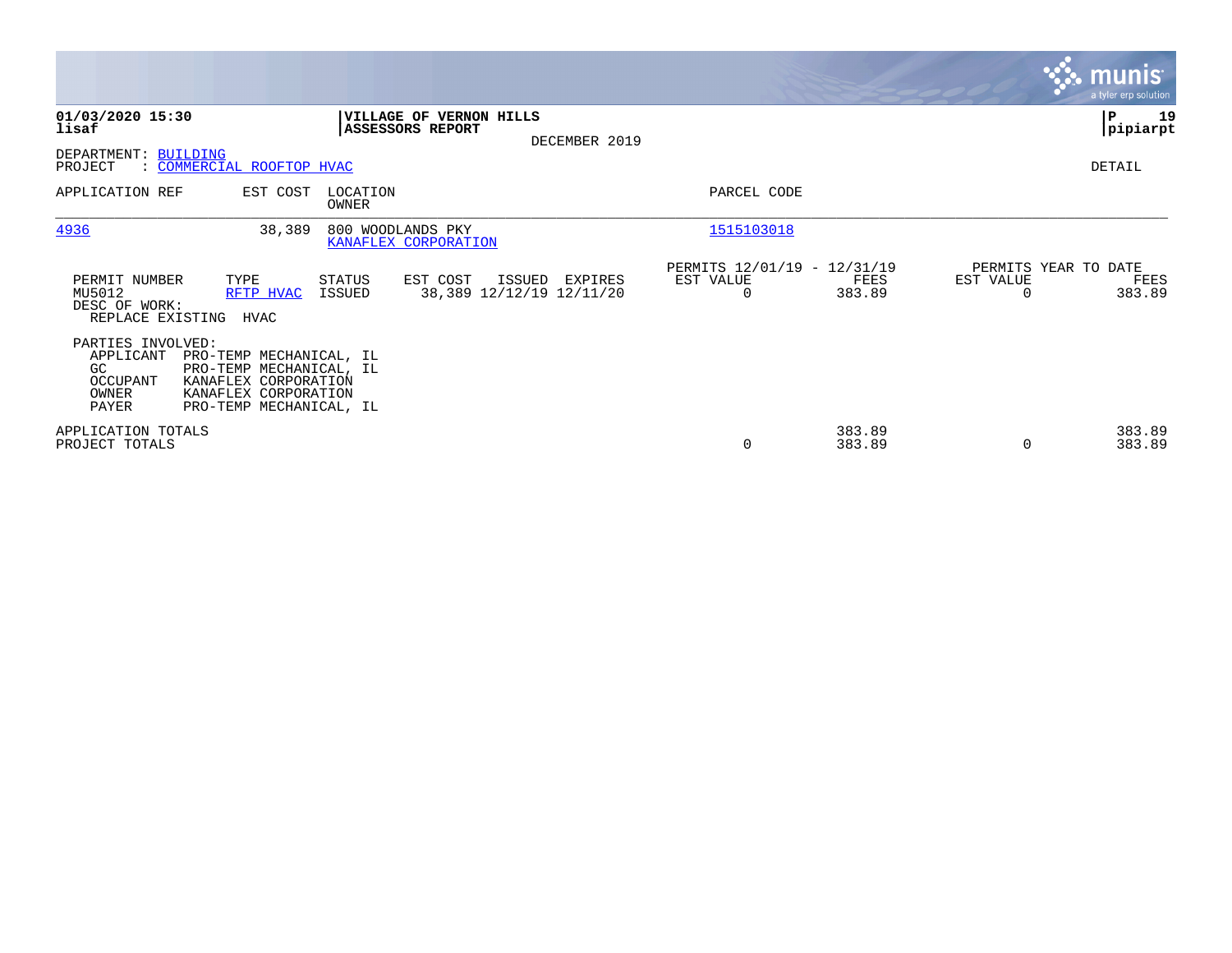|                                                                     |                                                                                                                               |                   |                                                |               |                                                      |                  |                                   | <b>munis</b><br>a tyler erp solution |
|---------------------------------------------------------------------|-------------------------------------------------------------------------------------------------------------------------------|-------------------|------------------------------------------------|---------------|------------------------------------------------------|------------------|-----------------------------------|--------------------------------------|
| 01/03/2020 15:30<br>lisaf<br>DEPARTMENT: BUILDING                   |                                                                                                                               |                   | VILLAGE OF VERNON HILLS<br>ASSESSORS REPORT    | DECEMBER 2019 |                                                      |                  |                                   | 19<br>∣P<br> pipiarpt                |
| PROJECT<br>APPLICATION REF                                          | : COMMERCIAL ROOFTOP HVAC<br>EST COST                                                                                         | LOCATION<br>OWNER |                                                |               | PARCEL CODE                                          |                  |                                   | DETAIL                               |
| 4936                                                                | 38,389                                                                                                                        |                   | 800 WOODLANDS PKY<br>KANAFLEX CORPORATION      |               | 1515103018                                           |                  |                                   |                                      |
| PERMIT NUMBER<br>MU5012<br>DESC OF WORK:<br>REPLACE EXISTING        | TYPE<br>RFTP HVAC<br>HVAC                                                                                                     | STATUS<br>ISSUED  | EST COST<br>ISSUED<br>38,389 12/12/19 12/11/20 | EXPIRES       | PERMITS 12/01/19 - 12/31/19<br>EST VALUE<br>$\Omega$ | FEES<br>383.89   | PERMITS YEAR TO DATE<br>EST VALUE | FEES<br>383.89                       |
| PARTIES INVOLVED:<br>APPLICANT<br>GC.<br>OCCUPANT<br>OWNER<br>PAYER | PRO-TEMP MECHANICAL, IL<br>PRO-TEMP MECHANICAL, IL<br>KANAFLEX CORPORATION<br>KANAFLEX CORPORATION<br>PRO-TEMP MECHANICAL, IL |                   |                                                |               |                                                      |                  |                                   |                                      |
| APPLICATION TOTALS<br>PROJECT TOTALS                                |                                                                                                                               |                   |                                                |               | 0                                                    | 383.89<br>383.89 | $\Omega$                          | 383.89<br>383.89                     |

**Contract**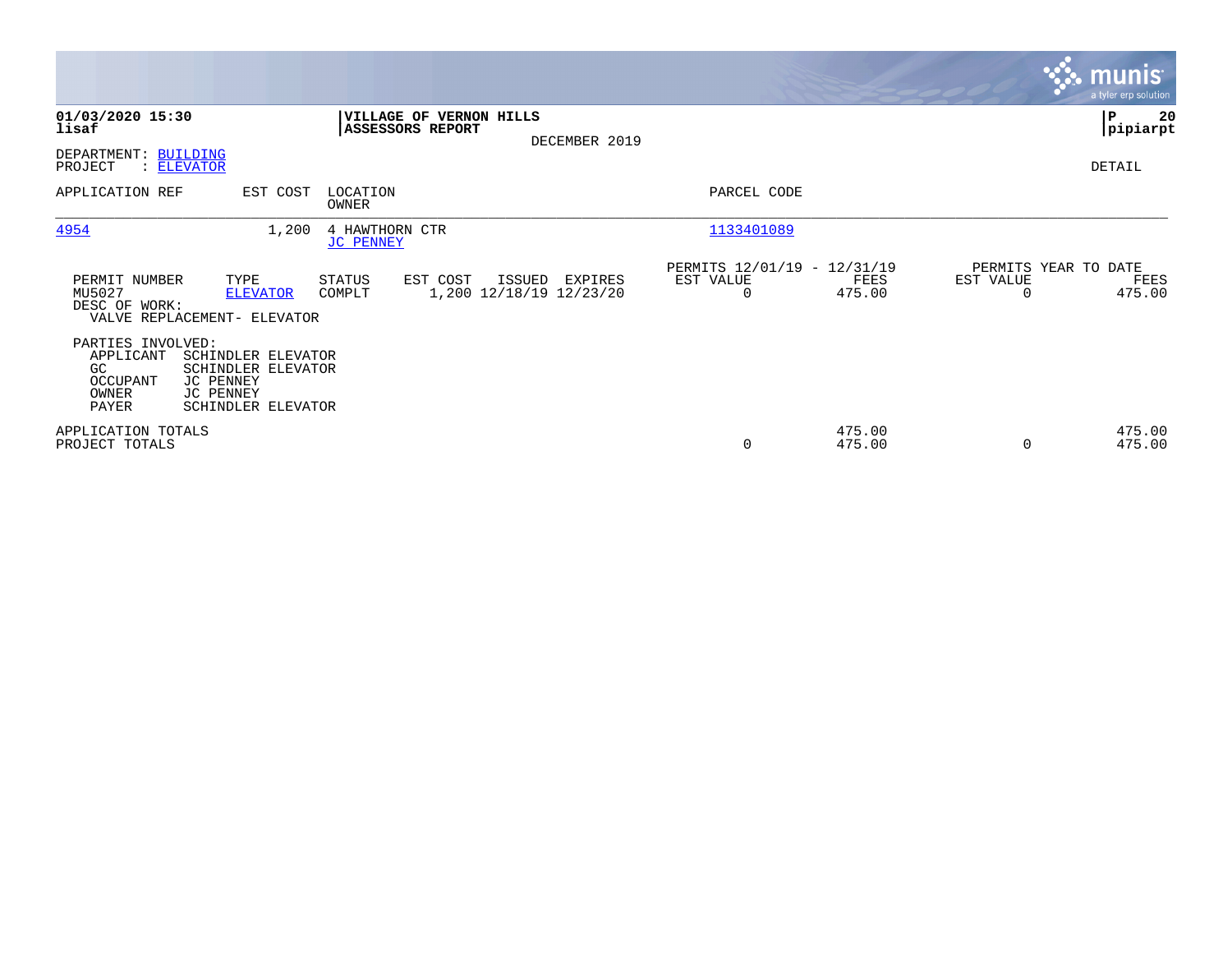|                                                                                           |                                                                                          |                                                        |                                               |               |                                                             |                |                                   | <b>munis</b><br>a tyler erp solution |
|-------------------------------------------------------------------------------------------|------------------------------------------------------------------------------------------|--------------------------------------------------------|-----------------------------------------------|---------------|-------------------------------------------------------------|----------------|-----------------------------------|--------------------------------------|
| 01/03/2020 15:30<br>lisaf<br>DEPARTMENT: BUILDING                                         |                                                                                          | ASSESSORS REPORT                                       | VILLAGE OF VERNON HILLS                       | DECEMBER 2019 |                                                             |                |                                   | ∣P<br>20<br> pipiarpt                |
| PROJECT<br>APPLICATION REF                                                                | : ELEVATOR<br>EST COST                                                                   | LOCATION<br>OWNER                                      |                                               |               | PARCEL CODE                                                 |                |                                   | DETAIL                               |
| 4954<br>PERMIT NUMBER<br>MU5027<br>DESC OF WORK:                                          | 1,200<br>TYPE<br><b>ELEVATOR</b><br>VALVE REPLACEMENT- ELEVATOR                          | 4 HAWTHORN CTR<br><b>JC PENNEY</b><br>STATUS<br>COMPLT | EST COST<br>ISSUED<br>1,200 12/18/19 12/23/20 | EXPIRES       | 1133401089<br>PERMITS 12/01/19 - 12/31/19<br>EST VALUE<br>0 | FEES<br>475.00 | PERMITS YEAR TO DATE<br>EST VALUE | FEES<br>475.00                       |
| PARTIES INVOLVED:<br>APPLICANT<br>GC.<br>OCCUPANT<br>OWNER<br>PAYER<br>APPLICATION TOTALS | SCHINDLER ELEVATOR<br>SCHINDLER ELEVATOR<br>JC PENNEY<br>JC PENNEY<br>SCHINDLER ELEVATOR |                                                        |                                               |               |                                                             | 475.00         |                                   | 475.00                               |
| PROJECT TOTALS                                                                            |                                                                                          |                                                        |                                               |               | $\mathbf 0$                                                 | 475.00         |                                   | 475.00                               |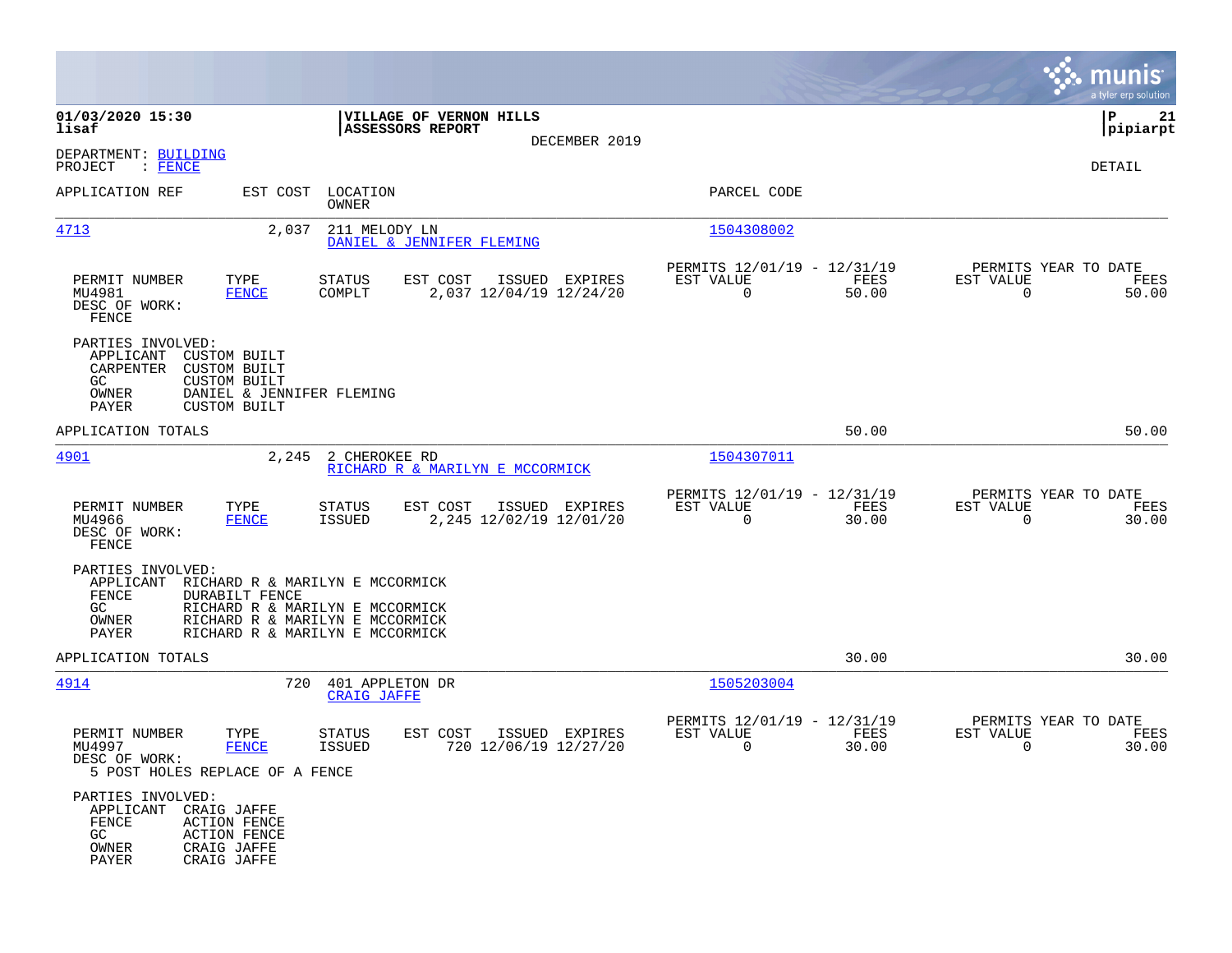|                                                                                                                                                                                       |                                                                                                                                          |                                                                          | munis<br>a tyler erp solution                                     |
|---------------------------------------------------------------------------------------------------------------------------------------------------------------------------------------|------------------------------------------------------------------------------------------------------------------------------------------|--------------------------------------------------------------------------|-------------------------------------------------------------------|
| 01/03/2020 15:30<br>lisaf                                                                                                                                                             | VILLAGE OF VERNON HILLS<br><b>ASSESSORS REPORT</b>                                                                                       |                                                                          | P<br>21<br> pipiarpt                                              |
| DEPARTMENT: BUILDING<br>PROJECT<br>: FENCE                                                                                                                                            | DECEMBER 2019                                                                                                                            |                                                                          | DETAIL                                                            |
| APPLICATION REF<br>EST COST                                                                                                                                                           | LOCATION<br>OWNER                                                                                                                        | PARCEL CODE                                                              |                                                                   |
| 4713<br>2,037                                                                                                                                                                         | 211 MELODY LN<br>DANIEL & JENNIFER FLEMING                                                                                               | 1504308002                                                               |                                                                   |
| PERMIT NUMBER<br>TYPE<br>MU4981<br><b>FENCE</b><br>DESC OF WORK:<br>FENCE                                                                                                             | EST COST<br>ISSUED EXPIRES<br>STATUS<br>2,037 12/04/19 12/24/20<br>COMPLT                                                                | PERMITS 12/01/19 - 12/31/19<br>EST VALUE<br>FEES<br>$\mathbf 0$<br>50.00 | PERMITS YEAR TO DATE<br>EST VALUE<br>FEES<br>$\mathbf 0$<br>50.00 |
| PARTIES INVOLVED:<br>APPLICANT<br><b>CUSTOM BUILT</b><br>CARPENTER<br><b>CUSTOM BUILT</b><br>GC<br><b>CUSTOM BUILT</b><br>OWNER<br>DANIEL & JENNIFER FLEMING<br>PAYER<br>CUSTOM BUILT |                                                                                                                                          |                                                                          |                                                                   |
| APPLICATION TOTALS                                                                                                                                                                    |                                                                                                                                          | 50.00                                                                    | 50.00                                                             |
| 4901<br>2,245                                                                                                                                                                         | 2 CHEROKEE RD<br>RICHARD R & MARILYN E MCCORMICK                                                                                         | 1504307011                                                               |                                                                   |
| PERMIT NUMBER<br>TYPE<br>MU4966<br><b>FENCE</b><br>DESC OF WORK:<br>FENCE                                                                                                             | EST COST<br>ISSUED EXPIRES<br>STATUS<br><b>ISSUED</b><br>2,245 12/02/19 12/01/20                                                         | PERMITS 12/01/19 - 12/31/19<br>EST VALUE<br>FEES<br>$\mathbf 0$<br>30.00 | PERMITS YEAR TO DATE<br>EST VALUE<br>FEES<br>$\mathbf 0$<br>30.00 |
| PARTIES INVOLVED:<br>APPLICANT<br>FENCE<br>DURABILT FENCE<br>GC<br>OWNER<br>PAYER                                                                                                     | RICHARD R & MARILYN E MCCORMICK<br>RICHARD R & MARILYN E MCCORMICK<br>RICHARD R & MARILYN E MCCORMICK<br>RICHARD R & MARILYN E MCCORMICK |                                                                          |                                                                   |
| APPLICATION TOTALS                                                                                                                                                                    |                                                                                                                                          | 30.00                                                                    | 30.00                                                             |
| 4914<br>720                                                                                                                                                                           | 401 APPLETON DR<br><b>CRAIG JAFFE</b>                                                                                                    | 1505203004                                                               |                                                                   |
| PERMIT NUMBER<br>TYPE<br>MU4997<br><b>FENCE</b><br>DESC OF WORK:<br>5 POST HOLES REPLACE OF A FENCE                                                                                   | EST COST<br>STATUS<br>ISSUED EXPIRES<br><b>ISSUED</b><br>720 12/06/19 12/27/20                                                           | PERMITS 12/01/19 - 12/31/19<br>EST VALUE<br>FEES<br>0<br>30.00           | PERMITS YEAR TO DATE<br>EST VALUE<br>FEES<br>30.00<br>0           |
| PARTIES INVOLVED:<br>APPLICANT<br>CRAIG JAFFE<br>${\tt FENCE}$<br><b>ACTION FENCE</b><br>GC<br><b>ACTION FENCE</b><br>OWNER<br>CRAIG JAFFE<br>PAYER<br>CRAIG JAFFE                    |                                                                                                                                          |                                                                          |                                                                   |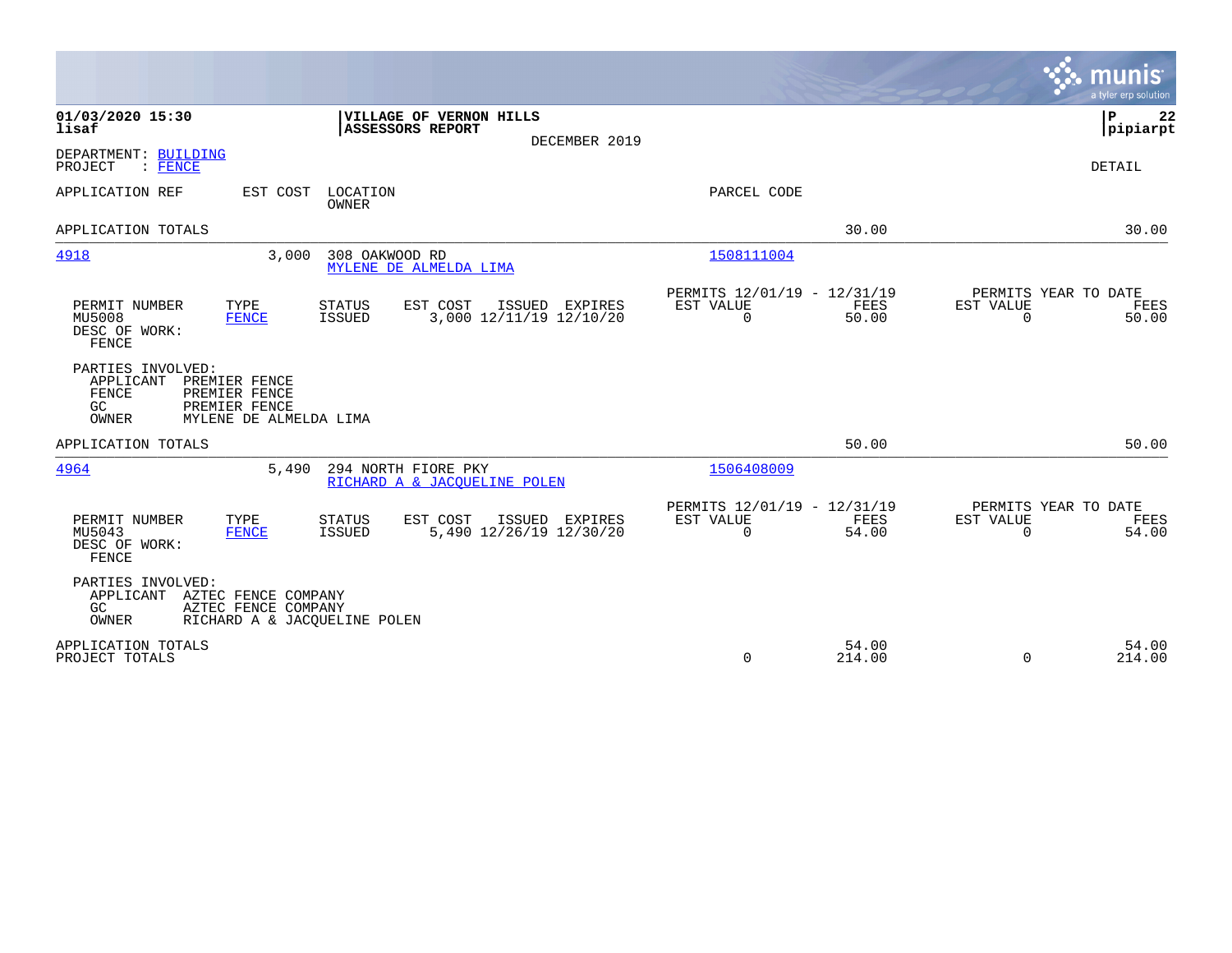|                                                                                                                                                                      |                                                                                       | munis<br>a tyler erp solution                        |
|----------------------------------------------------------------------------------------------------------------------------------------------------------------------|---------------------------------------------------------------------------------------|------------------------------------------------------|
| 01/03/2020 15:30<br>VILLAGE OF VERNON HILLS<br>lisaf<br>ASSESSORS REPORT<br>DECEMBER 2019                                                                            |                                                                                       | P<br>22<br> pipiarpt                                 |
| DEPARTMENT: BUILDING<br>PROJECT<br>$:$ FENCE                                                                                                                         |                                                                                       | DETAIL                                               |
| APPLICATION REF<br>EST COST<br>LOCATION<br>OWNER                                                                                                                     | PARCEL CODE                                                                           |                                                      |
| APPLICATION TOTALS                                                                                                                                                   | 30.00                                                                                 | 30.00                                                |
| 4918<br>308 OAKWOOD RD<br>3,000<br>MYLENE DE ALMELDA LIMA                                                                                                            | 1508111004                                                                            |                                                      |
| EST COST<br>PERMIT NUMBER<br>TYPE<br><b>STATUS</b><br>ISSUED EXPIRES<br><b>ISSUED</b><br>3,000 12/11/19 12/10/20<br>MU5008<br><b>FENCE</b><br>DESC OF WORK:<br>FENCE | PERMITS 12/01/19 - 12/31/19<br>FEES<br>EST VALUE<br>EST VALUE<br>$\mathbf 0$<br>50.00 | PERMITS YEAR TO DATE<br>FEES<br>50.00<br>$\mathbf 0$ |
| PARTIES INVOLVED:<br>APPLICANT<br>PREMIER FENCE<br>FENCE<br>PREMIER FENCE<br>PREMIER FENCE<br>GC<br>OWNER<br>MYLENE DE ALMELDA LIMA                                  |                                                                                       |                                                      |
| APPLICATION TOTALS                                                                                                                                                   | 50.00                                                                                 | 50.00                                                |
| 4964<br>294 NORTH FIORE PKY<br>5,490<br>RICHARD A & JACOUELINE POLEN                                                                                                 | 1506408009                                                                            |                                                      |
| TYPE<br>EST COST<br>PERMIT NUMBER<br><b>STATUS</b><br>ISSUED EXPIRES<br>5,490 12/26/19 12/30/20<br>MU5043<br><b>FENCE</b><br>ISSUED<br>DESC OF WORK:<br>FENCE        | PERMITS 12/01/19 - 12/31/19<br>FEES<br>EST VALUE<br>EST VALUE<br>54.00<br>0           | PERMITS YEAR TO DATE<br>FEES<br>$\Omega$<br>54.00    |
| PARTIES INVOLVED:<br>APPLICANT AZTEC FENCE COMPANY<br>AZTEC FENCE COMPANY<br>GC.<br>OWNER<br>RICHARD A & JACQUELINE POLEN                                            |                                                                                       |                                                      |
| APPLICATION TOTALS<br>PROJECT TOTALS                                                                                                                                 | 54.00<br>0<br>214.00                                                                  | 54.00<br>$\Omega$<br>214.00                          |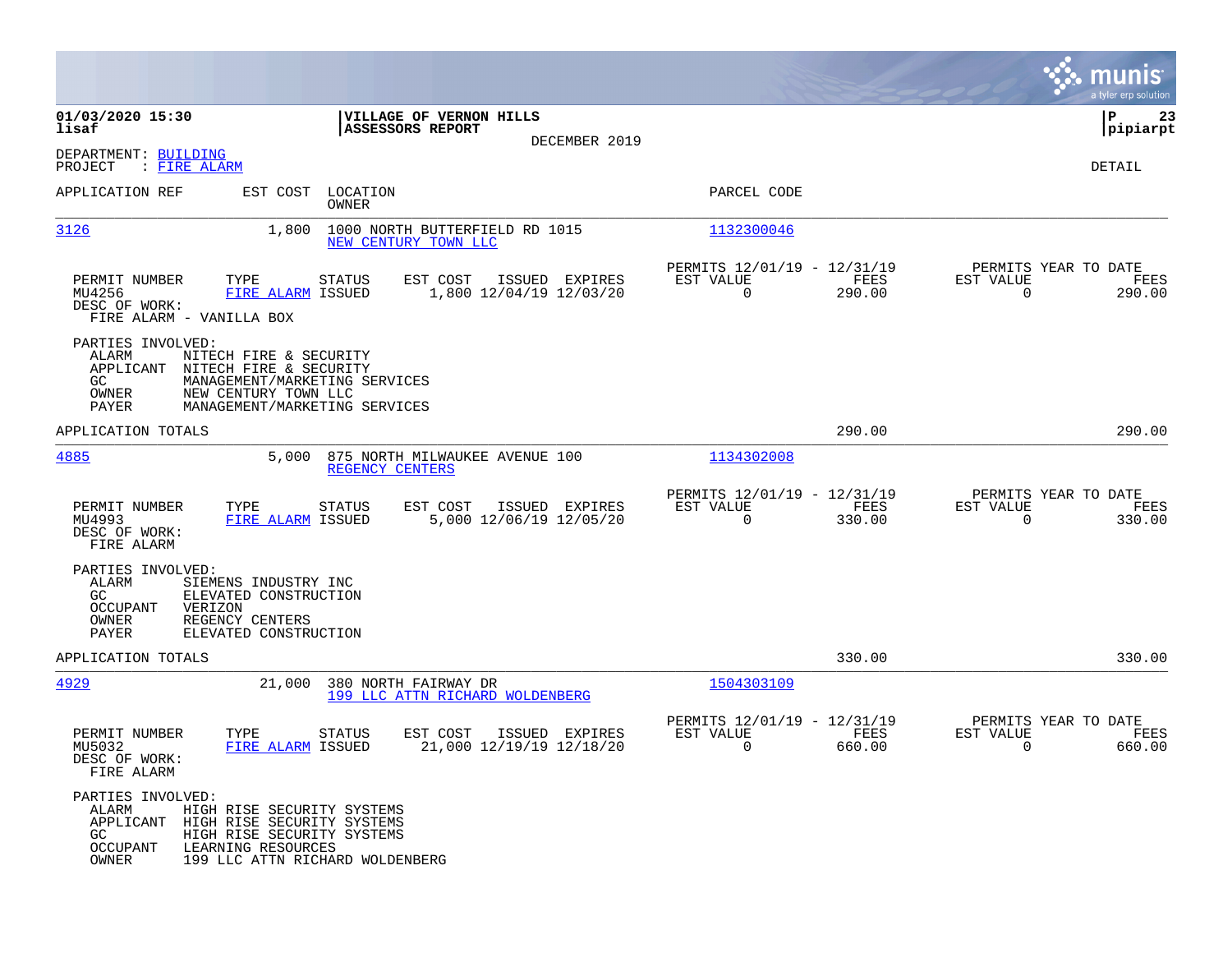|                                                                                                                                                                                                                    |                                                                         |                                                                              | munis<br>a tyler erp solution                                   |
|--------------------------------------------------------------------------------------------------------------------------------------------------------------------------------------------------------------------|-------------------------------------------------------------------------|------------------------------------------------------------------------------|-----------------------------------------------------------------|
| 01/03/2020 15:30<br>lisaf                                                                                                                                                                                          | VILLAGE OF VERNON HILLS<br><b>ASSESSORS REPORT</b>                      |                                                                              | 23<br>IΡ<br> pipiarpt                                           |
| DEPARTMENT: BUILDING<br>PROJECT<br>: FIRE ALARM                                                                                                                                                                    | DECEMBER 2019                                                           |                                                                              | DETAIL                                                          |
| APPLICATION REF                                                                                                                                                                                                    | EST COST LOCATION<br>OWNER                                              | PARCEL CODE                                                                  |                                                                 |
| 3126<br>1,800                                                                                                                                                                                                      | 1000 NORTH BUTTERFIELD RD 1015<br>NEW CENTURY TOWN LLC                  | 1132300046                                                                   |                                                                 |
| PERMIT NUMBER<br>TYPE<br>MU4256<br>FIRE ALARM ISSUED<br>DESC OF WORK:<br>FIRE ALARM - VANILLA BOX                                                                                                                  | <b>STATUS</b><br>EST COST<br>ISSUED EXPIRES<br>1,800 12/04/19 12/03/20  | PERMITS 12/01/19 - 12/31/19<br>FEES<br>EST VALUE<br>$\overline{0}$<br>290.00 | PERMITS YEAR TO DATE<br>EST VALUE<br>FEES<br>$\Omega$<br>290.00 |
| PARTIES INVOLVED:<br>ALARM<br>NITECH FIRE & SECURITY<br>APPLICANT<br>NITECH FIRE & SECURITY<br>GC<br>MANAGEMENT/MARKETING SERVICES<br>OWNER<br>NEW CENTURY TOWN LLC<br>PAYER<br>MANAGEMENT/MARKETING SERVICES      |                                                                         |                                                                              |                                                                 |
| APPLICATION TOTALS                                                                                                                                                                                                 |                                                                         | 290.00                                                                       | 290.00                                                          |
| 4885<br>5,000                                                                                                                                                                                                      | 875 NORTH MILWAUKEE AVENUE 100<br>REGENCY CENTERS                       | 1134302008                                                                   |                                                                 |
| PERMIT NUMBER<br>TYPE<br>MU4993<br>FIRE ALARM ISSUED<br>DESC OF WORK:<br>FIRE ALARM                                                                                                                                | EST COST<br>ISSUED EXPIRES<br><b>STATUS</b><br>5,000 12/06/19 12/05/20  | PERMITS 12/01/19 - 12/31/19<br>EST VALUE<br>FEES<br>$\Omega$<br>330.00       | PERMITS YEAR TO DATE<br>EST VALUE<br>FEES<br>$\Omega$<br>330.00 |
| PARTIES INVOLVED:<br>ALARM<br>SIEMENS INDUSTRY INC<br>GC<br>ELEVATED CONSTRUCTION<br>VERIZON<br>OCCUPANT<br>OWNER<br>REGENCY CENTERS<br>PAYER<br>ELEVATED CONSTRUCTION                                             |                                                                         |                                                                              |                                                                 |
| APPLICATION TOTALS                                                                                                                                                                                                 |                                                                         | 330.00                                                                       | 330.00                                                          |
| 4929<br>21,000                                                                                                                                                                                                     | 380 NORTH FAIRWAY DR<br>199 LLC ATTN RICHARD WOLDENBERG                 | 1504303109                                                                   |                                                                 |
| PERMIT NUMBER<br>TYPE<br>MU5032<br>FIRE ALARM ISSUED<br>DESC OF WORK:<br>FIRE ALARM                                                                                                                                | <b>STATUS</b><br>EST COST<br>ISSUED EXPIRES<br>21,000 12/19/19 12/18/20 | PERMITS 12/01/19 - 12/31/19<br>EST VALUE<br><b>FEES</b><br>0<br>660.00       | PERMITS YEAR TO DATE<br>EST VALUE<br>FEES<br>0<br>660.00        |
| PARTIES INVOLVED:<br>HIGH RISE SECURITY SYSTEMS<br>ALARM<br>APPLICANT HIGH RISE SECURITY SYSTEMS<br>GC<br>HIGH RISE SECURITY SYSTEMS<br>OCCUPANT<br>LEARNING RESOURCES<br>OWNER<br>199 LLC ATTN RICHARD WOLDENBERG |                                                                         |                                                                              |                                                                 |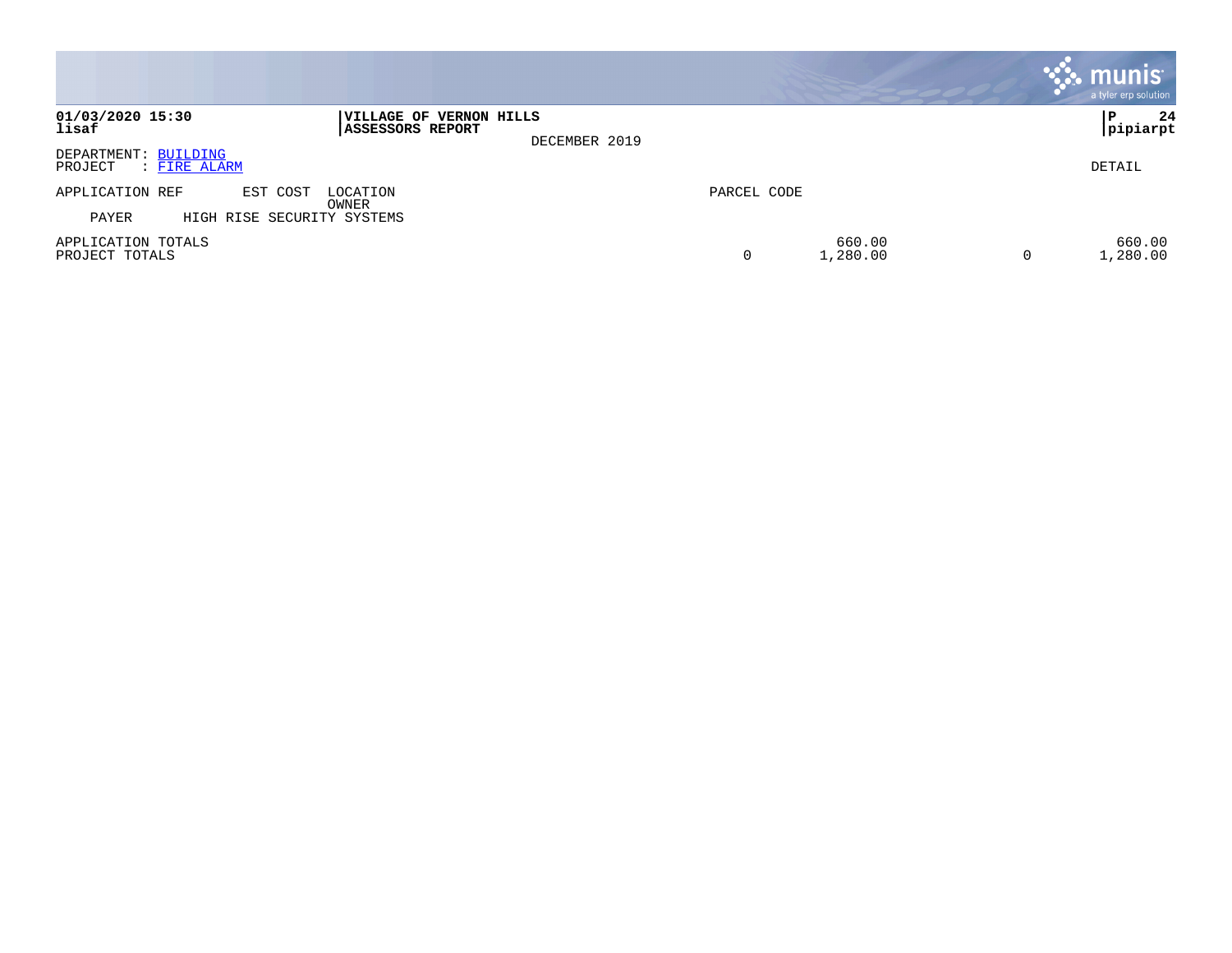|                                                 |                                                              |             |                    |   | <b>. munis</b><br>a tyler erp solution |
|-------------------------------------------------|--------------------------------------------------------------|-------------|--------------------|---|----------------------------------------|
| 01/03/2020 15:30<br>lisaf                       | VILLAGE OF VERNON HILLS<br>ASSESSORS REPORT<br>DECEMBER 2019 |             |                    |   | 24<br>ΙP<br> pipiarpt                  |
| DEPARTMENT: BUILDING<br>PROJECT<br>: FIRE ALARM |                                                              |             |                    |   | DETAIL                                 |
| APPLICATION REF<br>EST COST                     | LOCATION<br>OWNER                                            | PARCEL CODE |                    |   |                                        |
| HIGH RISE SECURITY SYSTEMS<br>PAYER             |                                                              |             |                    |   |                                        |
| APPLICATION TOTALS<br>PROJECT TOTALS            |                                                              | 0           | 660.00<br>1,280.00 | 0 | 660.00<br>1,280.00                     |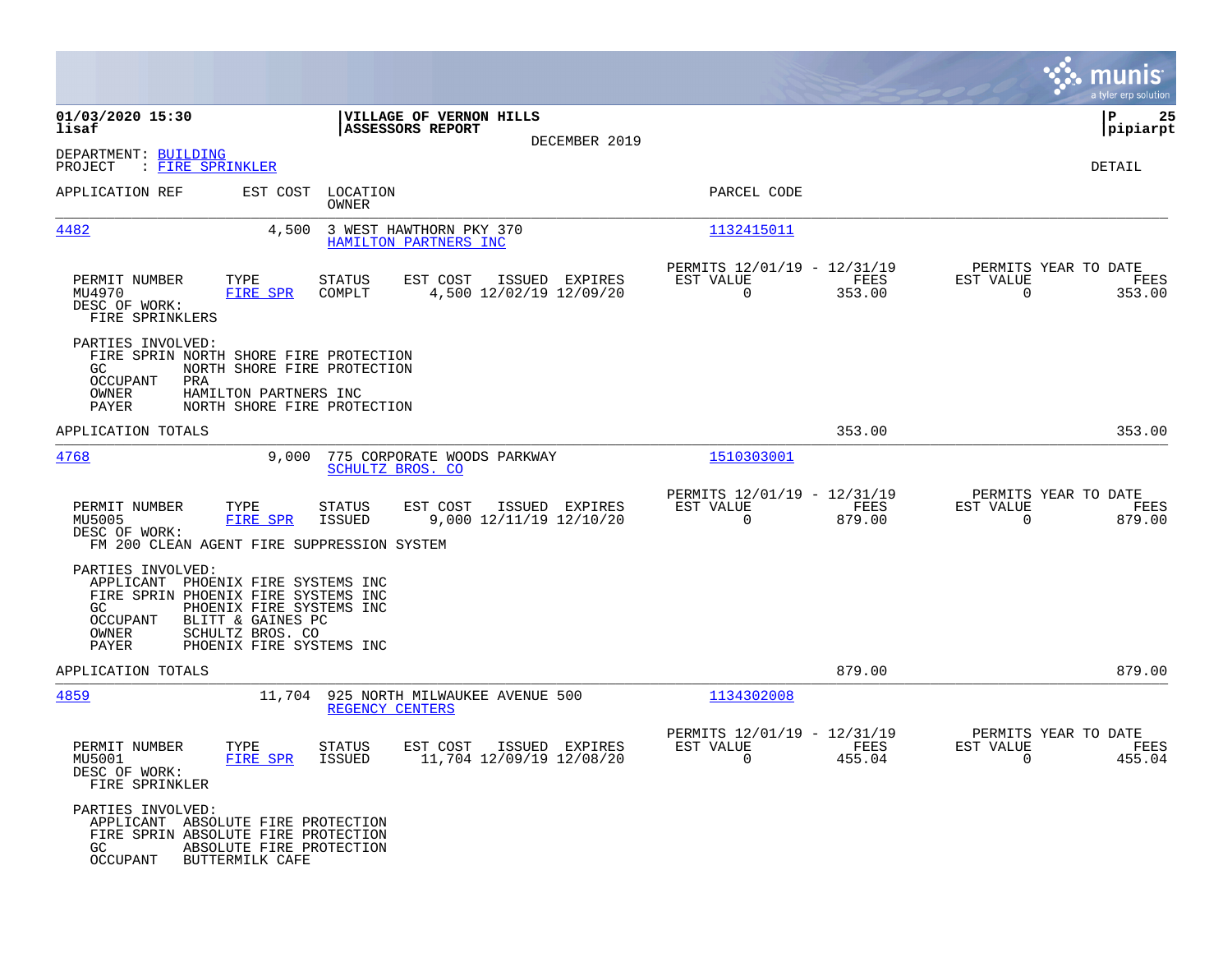|                                                                                                                                                                                                                                                                                                                                                                                          |                                                                           |                                                                                               | munis<br>a tyler erp solution                                   |
|------------------------------------------------------------------------------------------------------------------------------------------------------------------------------------------------------------------------------------------------------------------------------------------------------------------------------------------------------------------------------------------|---------------------------------------------------------------------------|-----------------------------------------------------------------------------------------------|-----------------------------------------------------------------|
| 01/03/2020 15:30<br>lisaf                                                                                                                                                                                                                                                                                                                                                                | VILLAGE OF VERNON HILLS<br><b>ASSESSORS REPORT</b>                        |                                                                                               | 25<br>l P<br> pipiarpt                                          |
| DEPARTMENT: BUILDING<br>PROJECT<br>: FIRE SPRINKLER                                                                                                                                                                                                                                                                                                                                      | DECEMBER 2019                                                             |                                                                                               | DETAIL                                                          |
| APPLICATION REF                                                                                                                                                                                                                                                                                                                                                                          | EST COST LOCATION<br>OWNER                                                | PARCEL CODE                                                                                   |                                                                 |
| 4482                                                                                                                                                                                                                                                                                                                                                                                     | 4,500 3 WEST HAWTHORN PKY 370<br>HAMILTON PARTNERS INC                    | 1132415011                                                                                    |                                                                 |
| TYPE<br>PERMIT NUMBER<br>MU4970<br>FIRE SPR<br>DESC OF WORK:<br>FIRE SPRINKLERS                                                                                                                                                                                                                                                                                                          | EST COST<br>ISSUED EXPIRES<br>STATUS<br>4,500 12/02/19 12/09/20<br>COMPLT | PERMITS 12/01/19 - 12/31/19<br>EST VALUE<br>FEES<br>$\overline{0}$<br>353.00                  | PERMITS YEAR TO DATE<br>EST VALUE<br>FEES<br>$\Omega$<br>353.00 |
| PARTIES INVOLVED:<br>FIRE SPRIN NORTH SHORE FIRE PROTECTION<br>NORTH SHORE FIRE PROTECTION<br>GC<br>OCCUPANT<br>PRA<br>OWNER<br>HAMILTON PARTNERS INC<br>PAYER<br>NORTH SHORE FIRE PROTECTION                                                                                                                                                                                            |                                                                           |                                                                                               |                                                                 |
| APPLICATION TOTALS                                                                                                                                                                                                                                                                                                                                                                       |                                                                           | 353.00                                                                                        | 353.00                                                          |
| 4768<br>9,000                                                                                                                                                                                                                                                                                                                                                                            | 775 CORPORATE WOODS PARKWAY<br>SCHULTZ BROS. CO                           | 1510303001                                                                                    |                                                                 |
| TYPE<br>PERMIT NUMBER<br>FIRE SPR<br>MU5005<br>DESC OF WORK:<br>FM 200 CLEAN AGENT FIRE SUPPRESSION SYSTEM                                                                                                                                                                                                                                                                               | ISSUED EXPIRES<br>STATUS<br>EST COST<br>9,000 12/11/19 12/10/20<br>ISSUED | PERMITS 12/01/19 - 12/31/19<br>EST VALUE<br>FEES<br>$\Omega$<br>879.00                        | PERMITS YEAR TO DATE<br>EST VALUE<br>FEES<br>$\Omega$<br>879.00 |
| PARTIES INVOLVED:<br>APPLICANT PHOENIX FIRE SYSTEMS INC<br>FIRE SPRIN PHOENIX FIRE SYSTEMS INC<br>PHOENIX FIRE SYSTEMS INC<br>GC.<br>BLITT & GAINES PC<br>OCCUPANT<br>OWNER<br>SCHULTZ BROS. CO<br>PAYER<br>PHOENIX FIRE SYSTEMS INC                                                                                                                                                     |                                                                           |                                                                                               |                                                                 |
| APPLICATION TOTALS                                                                                                                                                                                                                                                                                                                                                                       |                                                                           | 879.00                                                                                        | 879.00                                                          |
| 4859                                                                                                                                                                                                                                                                                                                                                                                     | 11,704 925 NORTH MILWAUKEE AVENUE 500<br>REGENCY CENTERS                  | 1134302008                                                                                    |                                                                 |
| PERMIT NUMBER<br>TYPE<br>FIRE SPR ISSUED<br>MU5001<br>DESC OF WORK:<br>FIRE SPRINKLER                                                                                                                                                                                                                                                                                                    | ISSUED EXPIRES<br>STATUS<br>EST COST<br>11,704 12/09/19 12/08/20          | PERMITS 12/01/19 - 12/31/19<br>EST VALUE<br><b>EXERCITE: PEES</b><br>455.04<br>$\overline{0}$ | PERMITS YEAR TO DATE<br>EST VALUE<br>FEES<br>455.04<br>$\sim$ 0 |
| PARTIES INVOLVED:<br>APPLICANT ABSOLUTE FIRE PROTECTION<br>FIRE SPRIN ABSOLUTE FIRE PROTECTION<br>ABSOLUTE FIRE PROTECTION<br>GC and the control of the control of the control of the control of the control of the control of the control of the control of the control of the control of the control of the control of the control of the control of the c<br>OCCUPANT BUTTERMILK CAFE |                                                                           |                                                                                               |                                                                 |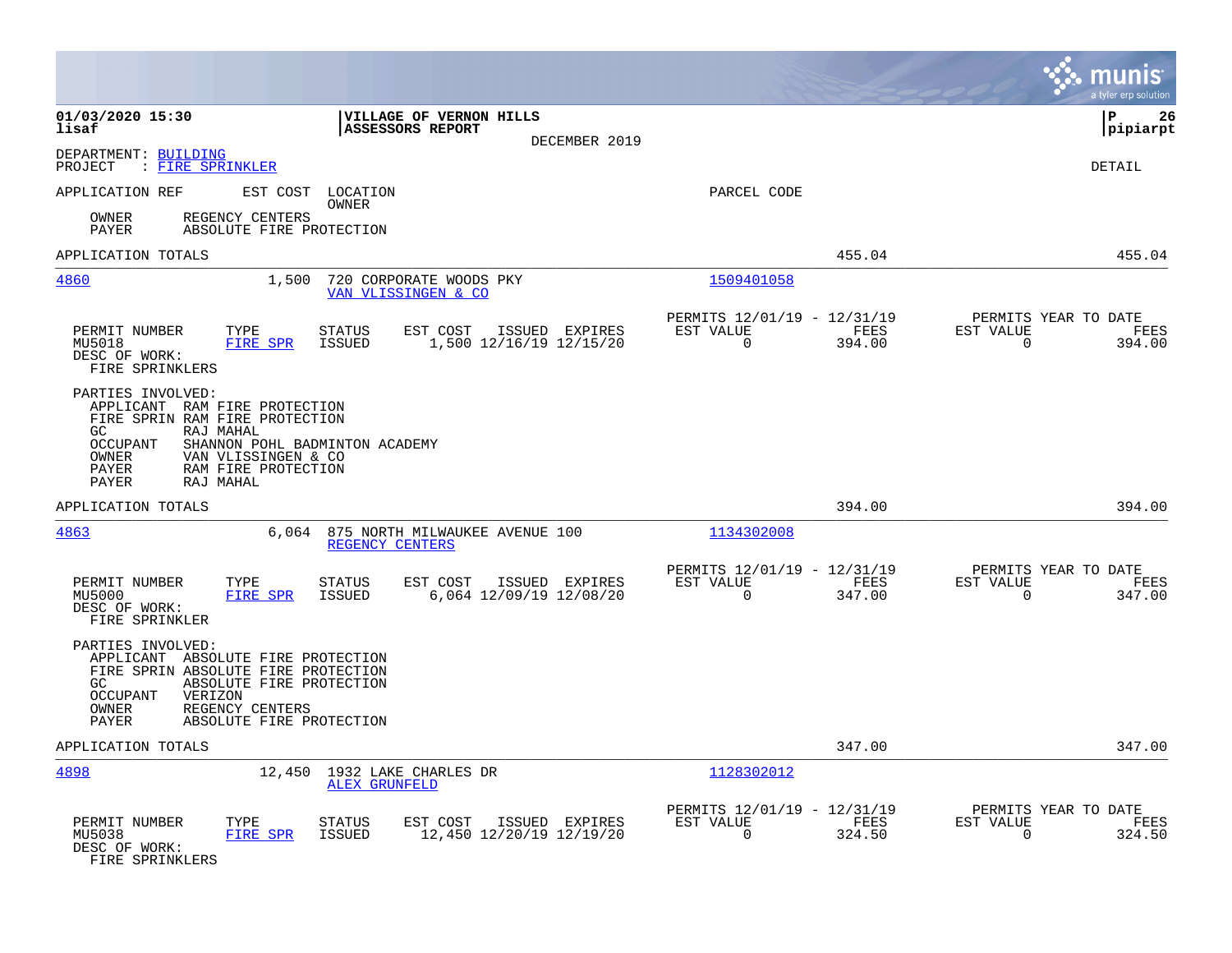|                                                                                                                                                                                                                                              |                |                                                         |                | munis<br>a tyler erp solution                                   |
|----------------------------------------------------------------------------------------------------------------------------------------------------------------------------------------------------------------------------------------------|----------------|---------------------------------------------------------|----------------|-----------------------------------------------------------------|
| 01/03/2020 15:30<br>VILLAGE OF VERNON HILLS<br>lisaf<br><b>ASSESSORS REPORT</b>                                                                                                                                                              | DECEMBER 2019  |                                                         |                | lР<br>26<br> pipiarpt                                           |
| DEPARTMENT: BUILDING<br>PROJECT<br>: FIRE SPRINKLER                                                                                                                                                                                          |                |                                                         |                | DETAIL                                                          |
| APPLICATION REF<br>EST COST LOCATION<br>OWNER                                                                                                                                                                                                |                | PARCEL CODE                                             |                |                                                                 |
| REGENCY CENTERS<br>OWNER<br>PAYER<br>ABSOLUTE FIRE PROTECTION                                                                                                                                                                                |                |                                                         |                |                                                                 |
| APPLICATION TOTALS                                                                                                                                                                                                                           |                |                                                         | 455.04         | 455.04                                                          |
| 4860<br>1,500<br>720 CORPORATE WOODS PKY<br>VAN VLISSINGEN & CO                                                                                                                                                                              |                | 1509401058                                              |                |                                                                 |
| PERMIT NUMBER<br>TYPE<br><b>STATUS</b><br>EST COST<br>FIRE SPR<br><b>ISSUED</b><br>1,500 12/16/19 12/15/20<br>MU5018<br>DESC OF WORK:<br>FIRE SPRINKLERS                                                                                     | ISSUED EXPIRES | PERMITS 12/01/19 - 12/31/19<br>EST VALUE<br>$\Omega$    | FEES<br>394.00 | PERMITS YEAR TO DATE<br>EST VALUE<br>FEES<br>$\Omega$<br>394.00 |
| PARTIES INVOLVED:<br>APPLICANT RAM FIRE PROTECTION<br>FIRE SPRIN RAM FIRE PROTECTION<br>GC.<br>RAJ MAHAL<br>OCCUPANT<br>SHANNON POHL BADMINTON ACADEMY<br>VAN VLISSINGEN & CO<br>OWNER<br>RAM FIRE PROTECTION<br>PAYER<br>PAYER<br>RAJ MAHAL |                |                                                         |                |                                                                 |
| APPLICATION TOTALS                                                                                                                                                                                                                           |                |                                                         | 394.00         | 394.00                                                          |
| <u>4863</u><br>6,064 875 NORTH MILWAUKEE AVENUE 100<br>REGENCY CENTERS                                                                                                                                                                       |                | 1134302008                                              |                |                                                                 |
| TYPE<br>PERMIT NUMBER<br><b>STATUS</b><br>EST COST<br>6,064 12/09/19 12/08/20<br>MU5000<br>FIRE SPR<br>ISSUED<br>DESC OF WORK:<br>FIRE SPRINKLER                                                                                             | ISSUED EXPIRES | PERMITS 12/01/19 - 12/31/19<br>EST VALUE<br>$\mathbf 0$ | FEES<br>347.00 | PERMITS YEAR TO DATE<br>EST VALUE<br>FEES<br>347.00<br>0        |
| PARTIES INVOLVED:<br>APPLICANT ABSOLUTE FIRE PROTECTION<br>FIRE SPRIN ABSOLUTE FIRE PROTECTION<br>ABSOLUTE FIRE PROTECTION<br>GC.<br><b>OCCUPANT</b><br>VERIZON<br>OWNER<br>REGENCY CENTERS<br>ABSOLUTE FIRE PROTECTION<br>PAYER             |                |                                                         |                |                                                                 |
| APPLICATION TOTALS                                                                                                                                                                                                                           |                |                                                         | 347.00         | 347.00                                                          |
| 4898<br>12,450 1932 LAKE CHARLES DR<br><b>ALEX GRUNFELD</b>                                                                                                                                                                                  |                | 1128302012                                              |                |                                                                 |
| PERMIT NUMBER<br>TYPE<br>EST COST<br><b>STATUS</b><br>MU5038<br>FIRE SPR<br>ISSUED<br>12,450 12/20/19 12/19/20<br>DESC OF WORK:<br>FIRE SPRINKLERS                                                                                           | ISSUED EXPIRES | PERMITS 12/01/19 - 12/31/19<br>EST VALUE<br>0           | FEES<br>324.50 | PERMITS YEAR TO DATE<br>EST VALUE<br>FEES<br>324.50<br>0        |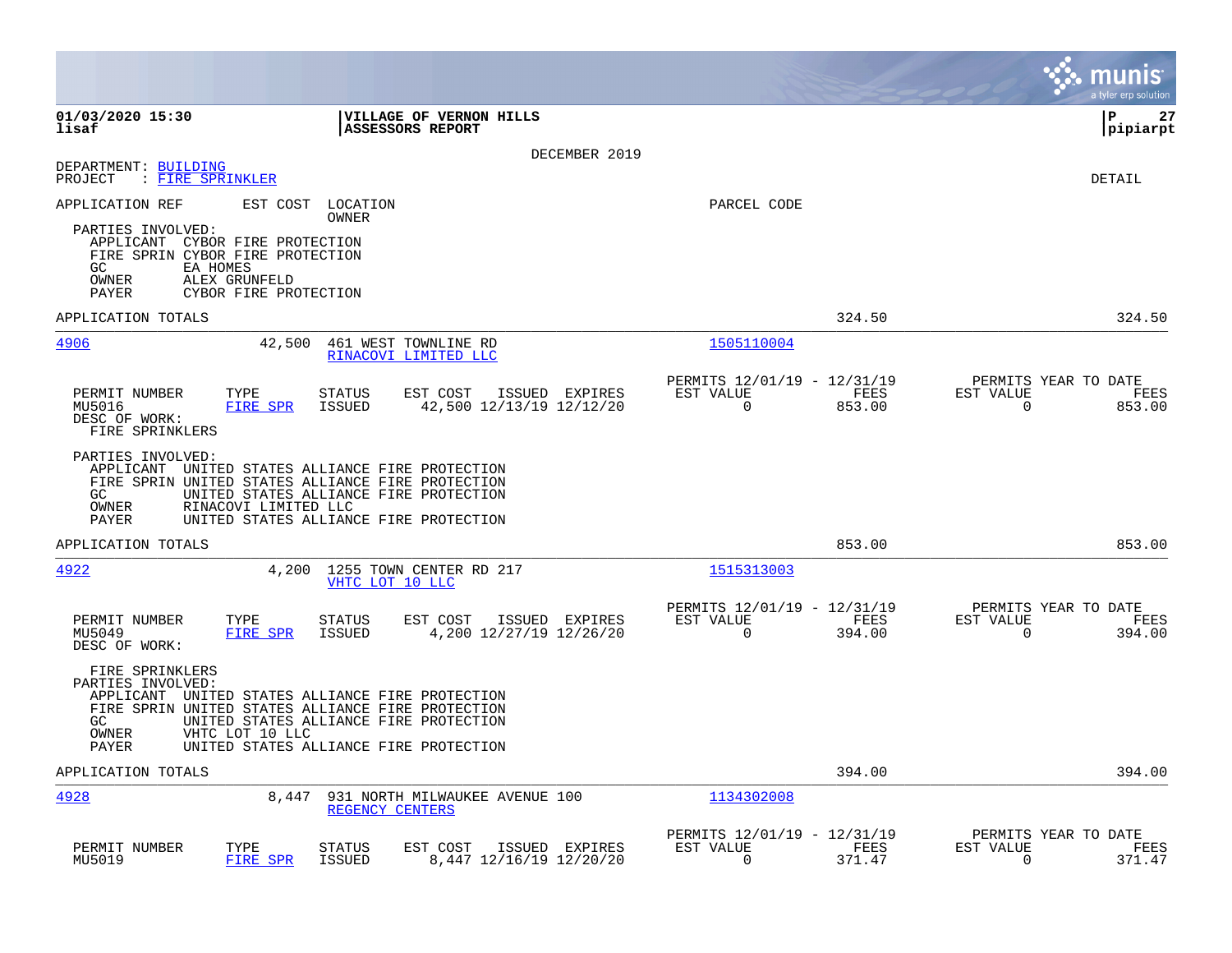|                                                                                                                                                |                                                                                                                                                                                           |                                                                           | munis<br>a tyler erp solution                                      |
|------------------------------------------------------------------------------------------------------------------------------------------------|-------------------------------------------------------------------------------------------------------------------------------------------------------------------------------------------|---------------------------------------------------------------------------|--------------------------------------------------------------------|
| 01/03/2020 15:30<br>lisaf                                                                                                                      | VILLAGE OF VERNON HILLS<br><b>ASSESSORS REPORT</b>                                                                                                                                        |                                                                           | P<br>27<br> pipiarpt                                               |
|                                                                                                                                                | DECEMBER 2019                                                                                                                                                                             |                                                                           |                                                                    |
| DEPARTMENT: BUILDING<br>PROJECT<br>: FIRE SPRINKLER                                                                                            |                                                                                                                                                                                           |                                                                           | <b>DETAIL</b>                                                      |
| APPLICATION REF                                                                                                                                | EST COST<br>LOCATION<br>OWNER                                                                                                                                                             | PARCEL CODE                                                               |                                                                    |
| PARTIES INVOLVED:<br>APPLICANT CYBOR FIRE PROTECTION<br>FIRE SPRIN CYBOR FIRE PROTECTION<br>GC.<br>EA HOMES<br>OWNER<br>ALEX GRUNFELD<br>PAYER | CYBOR FIRE PROTECTION                                                                                                                                                                     |                                                                           |                                                                    |
| APPLICATION TOTALS                                                                                                                             |                                                                                                                                                                                           | 324.50                                                                    | 324.50                                                             |
| 4906                                                                                                                                           | 42,500<br>461 WEST TOWNLINE RD<br>RINACOVI LIMITED LLC                                                                                                                                    | 1505110004                                                                |                                                                    |
| PERMIT NUMBER<br>TYPE<br>FIRE SPR<br>MU5016<br>DESC OF WORK:<br>FIRE SPRINKLERS                                                                | STATUS<br>EST COST ISSUED EXPIRES<br>42,500 12/13/19 12/12/20<br>ISSUED                                                                                                                   | PERMITS 12/01/19 - 12/31/19<br>EST VALUE<br>FEES<br>$\mathbf 0$<br>853.00 | PERMITS YEAR TO DATE<br>EST VALUE<br>FEES<br>$\mathbf 0$<br>853.00 |
| PARTIES INVOLVED:<br>GC<br>OWNER<br>RINACOVI LIMITED LLC<br>PAYER                                                                              | APPLICANT UNITED STATES ALLIANCE FIRE PROTECTION<br>FIRE SPRIN UNITED STATES ALLIANCE FIRE PROTECTION<br>UNITED STATES ALLIANCE FIRE PROTECTION<br>UNITED STATES ALLIANCE FIRE PROTECTION |                                                                           |                                                                    |
| APPLICATION TOTALS                                                                                                                             |                                                                                                                                                                                           | 853.00                                                                    | 853.00                                                             |
| 4922                                                                                                                                           | 4,200<br>1255 TOWN CENTER RD 217<br>VHTC LOT 10 LLC                                                                                                                                       | 1515313003                                                                |                                                                    |
| PERMIT NUMBER<br>TYPE<br>FIRE SPR<br>MU5049<br>DESC OF WORK:                                                                                   | STATUS<br>ISSUED EXPIRES<br>EST COST<br>4,200 12/27/19 12/26/20<br>ISSUED                                                                                                                 | PERMITS 12/01/19 - 12/31/19<br>EST VALUE<br>FEES<br>$\mathbf 0$<br>394.00 | PERMITS YEAR TO DATE<br>EST VALUE<br>FEES<br>$\mathbf 0$<br>394.00 |
| FIRE SPRINKLERS<br>PARTIES INVOLVED:<br>GC<br>OWNER<br>VHTC LOT 10 LLC<br>PAYER                                                                | APPLICANT UNITED STATES ALLIANCE FIRE PROTECTION<br>FIRE SPRIN UNITED STATES ALLIANCE FIRE PROTECTION<br>UNITED STATES ALLIANCE FIRE PROTECTION<br>UNITED STATES ALLIANCE FIRE PROTECTION |                                                                           |                                                                    |
| APPLICATION TOTALS                                                                                                                             |                                                                                                                                                                                           | 394.00                                                                    | 394.00                                                             |
| 4928                                                                                                                                           | 8,447<br>931 NORTH MILWAUKEE AVENUE 100<br>REGENCY CENTERS                                                                                                                                | 1134302008                                                                |                                                                    |
| PERMIT NUMBER<br>TYPE<br>MU5019<br>FIRE SPR                                                                                                    | EST COST<br>ISSUED EXPIRES<br>STATUS<br>8,447 12/16/19 12/20/20<br>ISSUED                                                                                                                 | PERMITS 12/01/19 - 12/31/19<br>EST VALUE<br>FEES<br>$\mathbf 0$<br>371.47 | PERMITS YEAR TO DATE<br>EST VALUE<br>FEES<br>$\mathbf 0$<br>371.47 |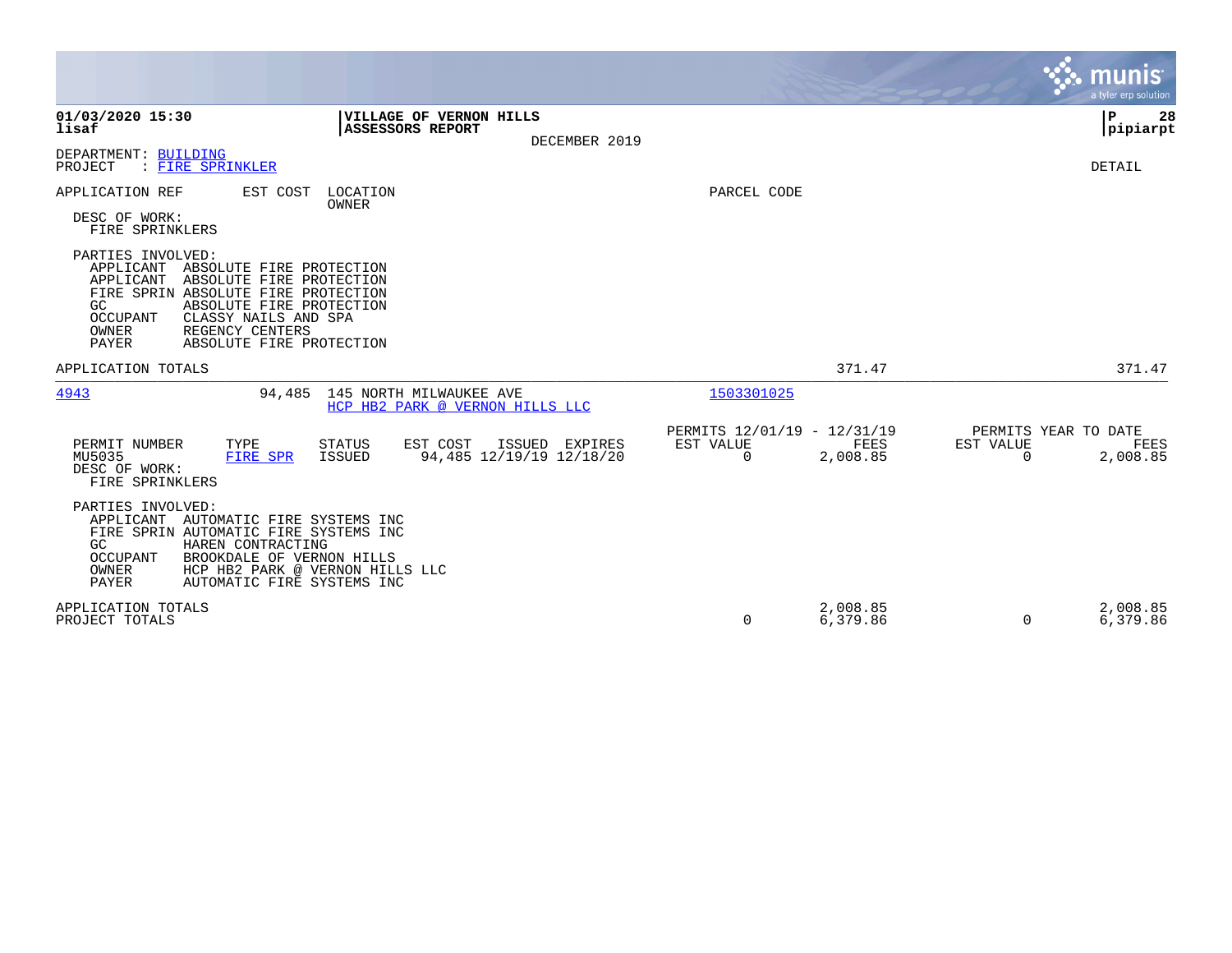|                                                                                                                                                                                                                                                                                                 |                                                           | munis<br>a tyler erp solution                                                    |
|-------------------------------------------------------------------------------------------------------------------------------------------------------------------------------------------------------------------------------------------------------------------------------------------------|-----------------------------------------------------------|----------------------------------------------------------------------------------|
| 01/03/2020 15:30<br>VILLAGE OF VERNON HILLS<br>lisaf<br><b>ASSESSORS REPORT</b><br>DECEMBER 2019                                                                                                                                                                                                |                                                           | P.<br>28<br> pipiarpt                                                            |
| DEPARTMENT: BUILDING<br>PROJECT<br>: FIRE SPRINKLER                                                                                                                                                                                                                                             |                                                           | <b>DETAIL</b>                                                                    |
| LOCATION<br>APPLICATION REF<br>EST COST<br>OWNER<br>DESC OF WORK:<br>FIRE SPRINKLERS                                                                                                                                                                                                            | PARCEL CODE                                               |                                                                                  |
| PARTIES INVOLVED:<br>APPLICANT<br>ABSOLUTE FIRE PROTECTION<br>APPLICANT<br>ABSOLUTE FIRE PROTECTION<br>FIRE SPRIN ABSOLUTE FIRE PROTECTION<br>GC<br>ABSOLUTE FIRE PROTECTION<br><b>OCCUPANT</b><br>CLASSY NAILS AND SPA<br><b>OWNER</b><br>REGENCY CENTERS<br>PAYER<br>ABSOLUTE FIRE PROTECTION |                                                           |                                                                                  |
| APPLICATION TOTALS                                                                                                                                                                                                                                                                              |                                                           | 371.47<br>371.47                                                                 |
| 4943<br>94,485<br>145 NORTH MILWAUKEE AVE<br>HCP HB2 PARK @ VERNON HILLS LLC                                                                                                                                                                                                                    | 1503301025                                                |                                                                                  |
| EST COST<br>PERMIT NUMBER<br>TYPE<br><b>STATUS</b><br>ISSUED EXPIRES<br>94,485 12/19/19 12/18/20<br>MU5035<br>FIRE SPR<br><b>ISSUED</b><br>DESC OF WORK:<br>FIRE SPRINKLERS                                                                                                                     | PERMITS 12/01/19 - 12/31/19<br>EST VALUE<br>0<br>2,008.85 | PERMITS YEAR TO DATE<br><b>EST VALUE</b><br><b>FEES</b><br>FEES<br>2,008.85<br>0 |
| PARTIES INVOLVED:<br>APPLICANT AUTOMATIC FIRE SYSTEMS INC<br>FIRE SPRIN AUTOMATIC FIRE SYSTEMS INC<br>HAREN CONTRACTING<br>GC<br><b>OCCUPANT</b><br>BROOKDALE OF VERNON HILLS<br><b>OWNER</b><br>HCP HB2 PARK @ VERNON HILLS LLC<br>PAYER<br>AUTOMATIC FIRE SYSTEMS INC                         |                                                           |                                                                                  |
| APPLICATION TOTALS<br>PROJECT TOTALS                                                                                                                                                                                                                                                            | 2,008.85<br>0<br>6,379.86                                 | 2,008.85<br>6,379.86<br>0                                                        |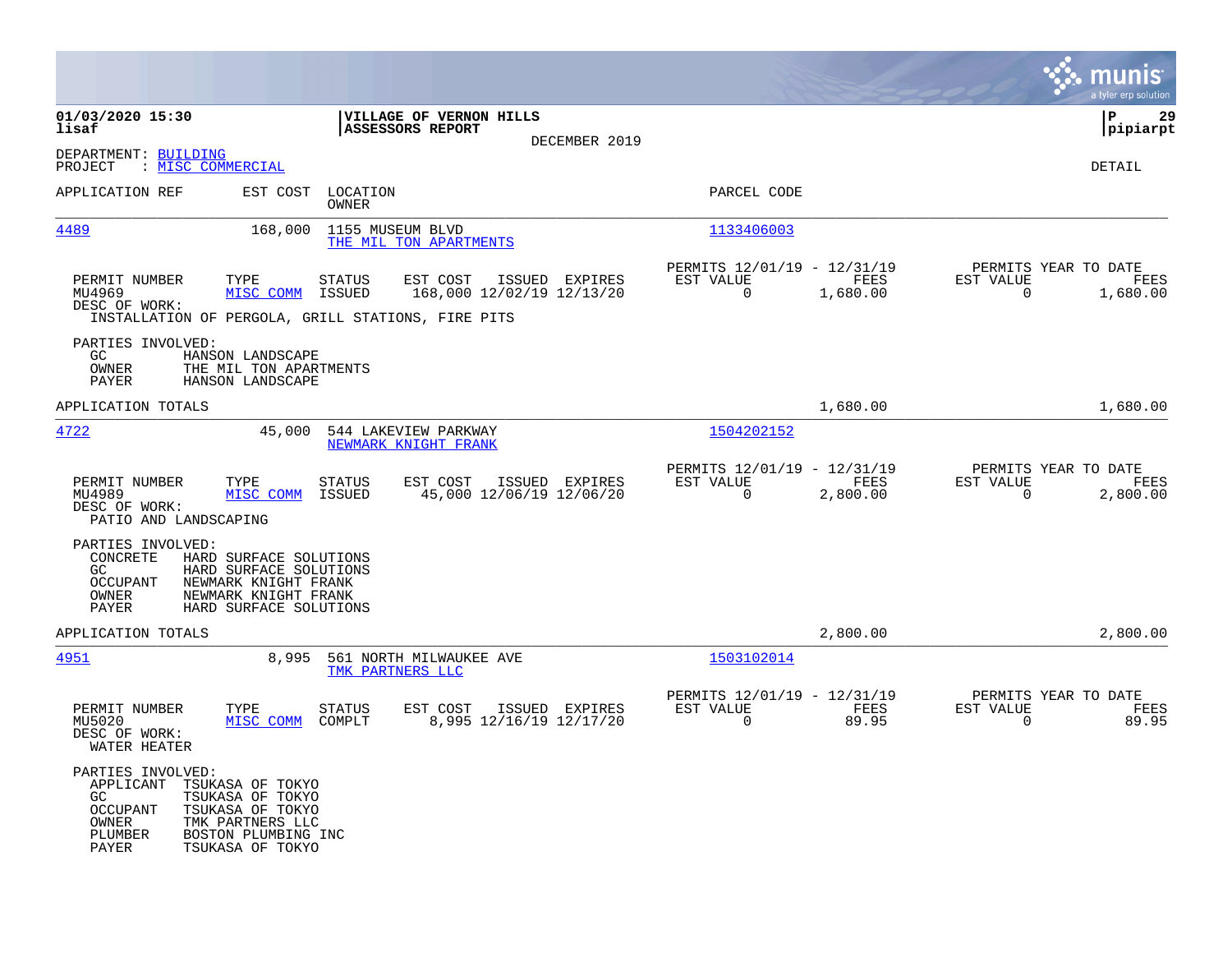|                                                                                                                                                                                                                  |                                                                                                                                          |                                                                             | munis<br>a tyler erp solution                                           |
|------------------------------------------------------------------------------------------------------------------------------------------------------------------------------------------------------------------|------------------------------------------------------------------------------------------------------------------------------------------|-----------------------------------------------------------------------------|-------------------------------------------------------------------------|
| 01/03/2020 15:30<br>lisaf                                                                                                                                                                                        | VILLAGE OF VERNON HILLS<br><b>ASSESSORS REPORT</b><br>DECEMBER 2019                                                                      |                                                                             | 29<br>ΙP<br> pipiarpt                                                   |
| DEPARTMENT: BUILDING<br>: MISC COMMERCIAL<br>PROJECT                                                                                                                                                             |                                                                                                                                          |                                                                             | DETAIL                                                                  |
| APPLICATION REF<br>EST COST                                                                                                                                                                                      | LOCATION<br>OWNER                                                                                                                        | PARCEL CODE                                                                 |                                                                         |
| 4489<br>168,000                                                                                                                                                                                                  | 1155 MUSEUM BLVD<br>THE MIL TON APARTMENTS                                                                                               | 1133406003                                                                  |                                                                         |
| PERMIT NUMBER<br>TYPE<br>MU4969<br>MISC COMM<br>DESC OF WORK:                                                                                                                                                    | <b>STATUS</b><br>EST COST<br>ISSUED EXPIRES<br>ISSUED<br>168,000 12/02/19 12/13/20<br>INSTALLATION OF PERGOLA, GRILL STATIONS, FIRE PITS | PERMITS 12/01/19 - 12/31/19<br>EST VALUE<br>FEES<br>$\mathbf 0$<br>1,680.00 | PERMITS YEAR TO DATE<br>EST VALUE<br>FEES<br>$\overline{0}$<br>1,680.00 |
| PARTIES INVOLVED:<br>GC<br>HANSON LANDSCAPE<br>OWNER<br>THE MIL TON APARTMENTS<br>PAYER<br>HANSON LANDSCAPE                                                                                                      |                                                                                                                                          |                                                                             |                                                                         |
| APPLICATION TOTALS                                                                                                                                                                                               |                                                                                                                                          | 1,680.00                                                                    | 1,680.00                                                                |
| 4722<br>45,000                                                                                                                                                                                                   | 544 LAKEVIEW PARKWAY<br>NEWMARK KNIGHT FRANK                                                                                             | 1504202152                                                                  |                                                                         |
| PERMIT NUMBER<br>TYPE<br>MISC COMM<br>MU4989<br>DESC OF WORK:<br>PATIO AND LANDSCAPING                                                                                                                           | <b>STATUS</b><br>EST COST<br>ISSUED EXPIRES<br>ISSUED<br>45,000 12/06/19 12/06/20                                                        | PERMITS 12/01/19 - 12/31/19<br>EST VALUE<br>FEES<br>0<br>2,800.00           | PERMITS YEAR TO DATE<br>EST VALUE<br>FEES<br>$\mathsf{O}$<br>2,800.00   |
| PARTIES INVOLVED:<br>CONCRETE<br>HARD SURFACE SOLUTIONS<br>HARD SURFACE SOLUTIONS<br>GC.<br>OCCUPANT<br>NEWMARK KNIGHT FRANK<br>OWNER<br>NEWMARK KNIGHT FRANK<br>PAYER<br>HARD SURFACE SOLUTIONS                 |                                                                                                                                          |                                                                             |                                                                         |
| APPLICATION TOTALS                                                                                                                                                                                               |                                                                                                                                          | 2,800.00                                                                    | 2,800.00                                                                |
| 4951<br>8,995                                                                                                                                                                                                    | 561 NORTH MILWAUKEE AVE<br>TMK PARTNERS LLC                                                                                              | 1503102014                                                                  |                                                                         |
| PERMIT NUMBER<br>TYPE<br>MISC COMM<br>MU5020<br>DESC OF WORK:<br>WATER HEATER                                                                                                                                    | <b>STATUS</b><br>EST COST<br>ISSUED EXPIRES<br>8,995 12/16/19 12/17/20<br>COMPLT                                                         | PERMITS 12/01/19 - 12/31/19<br>FEES<br>EST VALUE<br>$\Omega$<br>89.95       | PERMITS YEAR TO DATE<br>EST VALUE<br>FEES<br>$\mathbf 0$<br>89.95       |
| PARTIES INVOLVED:<br>APPLICANT<br>TSUKASA OF TOKYO<br>TSUKASA OF TOKYO<br>GC.<br><b>OCCUPANT</b><br>TSUKASA OF TOKYO<br>OWNER<br>TMK PARTNERS LLC<br>PLUMBER<br>BOSTON PLUMBING INC<br>TSUKASA OF TOKYO<br>PAYER |                                                                                                                                          |                                                                             |                                                                         |

**Contract**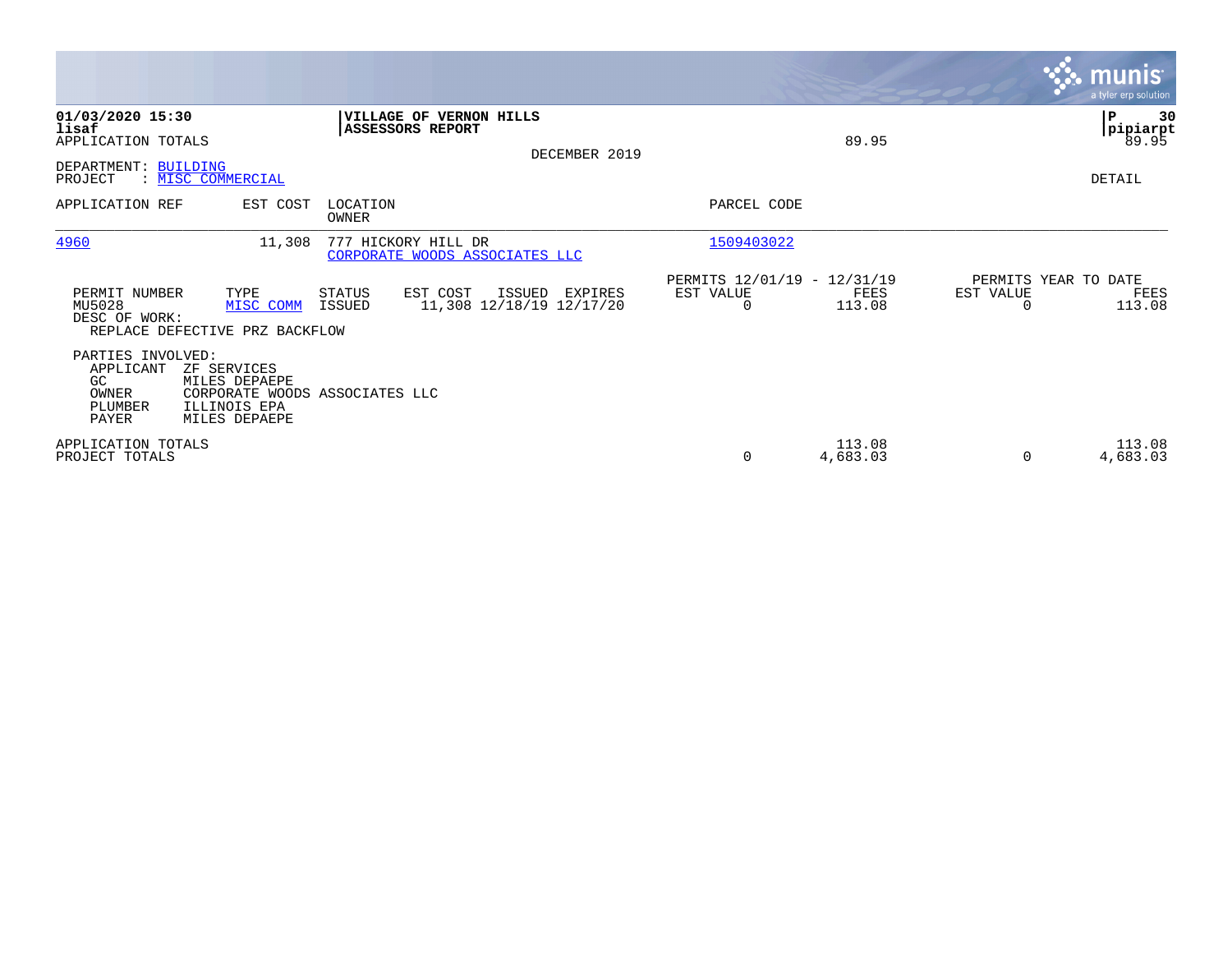|                                                                                    |                                                                                                 |                                |                                                       |               |                                                      |                    |           | <b>munis</b> '<br>a tyler erp solution |
|------------------------------------------------------------------------------------|-------------------------------------------------------------------------------------------------|--------------------------------|-------------------------------------------------------|---------------|------------------------------------------------------|--------------------|-----------|----------------------------------------|
| 01/03/2020 15:30<br>lisaf<br>APPLICATION TOTALS<br>DEPARTMENT: BUILDING<br>PROJECT | : MISC COMMERCIAL                                                                               |                                | VILLAGE OF VERNON HILLS<br>ASSESSORS REPORT           | DECEMBER 2019 |                                                      | 89.95              |           | 30<br>P<br>pipiarpt<br>89.95<br>DETAIL |
| APPLICATION REF                                                                    | EST COST                                                                                        | LOCATION<br>OWNER              |                                                       |               | PARCEL CODE                                          |                    |           |                                        |
| 4960                                                                               | 11,308                                                                                          |                                | 777 HICKORY HILL DR<br>CORPORATE WOODS ASSOCIATES LLC |               | 1509403022                                           |                    |           |                                        |
| PERMIT NUMBER<br>MU5028<br>DESC OF WORK:                                           | TYPE<br>MISC COMM<br>REPLACE DEFECTIVE PRZ BACKFLOW                                             | <b>STATUS</b><br><b>ISSUED</b> | EST COST<br>ISSUED<br>11,308 12/18/19 12/17/20        | EXPIRES       | PERMITS 12/01/19 - 12/31/19<br>EST VALUE<br>$\Omega$ | FEES<br>113.08     | EST VALUE | PERMITS YEAR TO DATE<br>FEES<br>113.08 |
| PARTIES INVOLVED:<br>APPLICANT<br>GC<br>OWNER<br>PLUMBER<br>PAYER                  | ZF SERVICES<br>MILES DEPAEPE<br>CORPORATE WOODS ASSOCIATES LLC<br>ILLINOIS EPA<br>MILES DEPAEPE |                                |                                                       |               |                                                      |                    |           |                                        |
| APPLICATION TOTALS<br>PROJECT TOTALS                                               |                                                                                                 |                                |                                                       |               | 0                                                    | 113.08<br>4,683.03 | $\Omega$  | 113.08<br>4,683.03                     |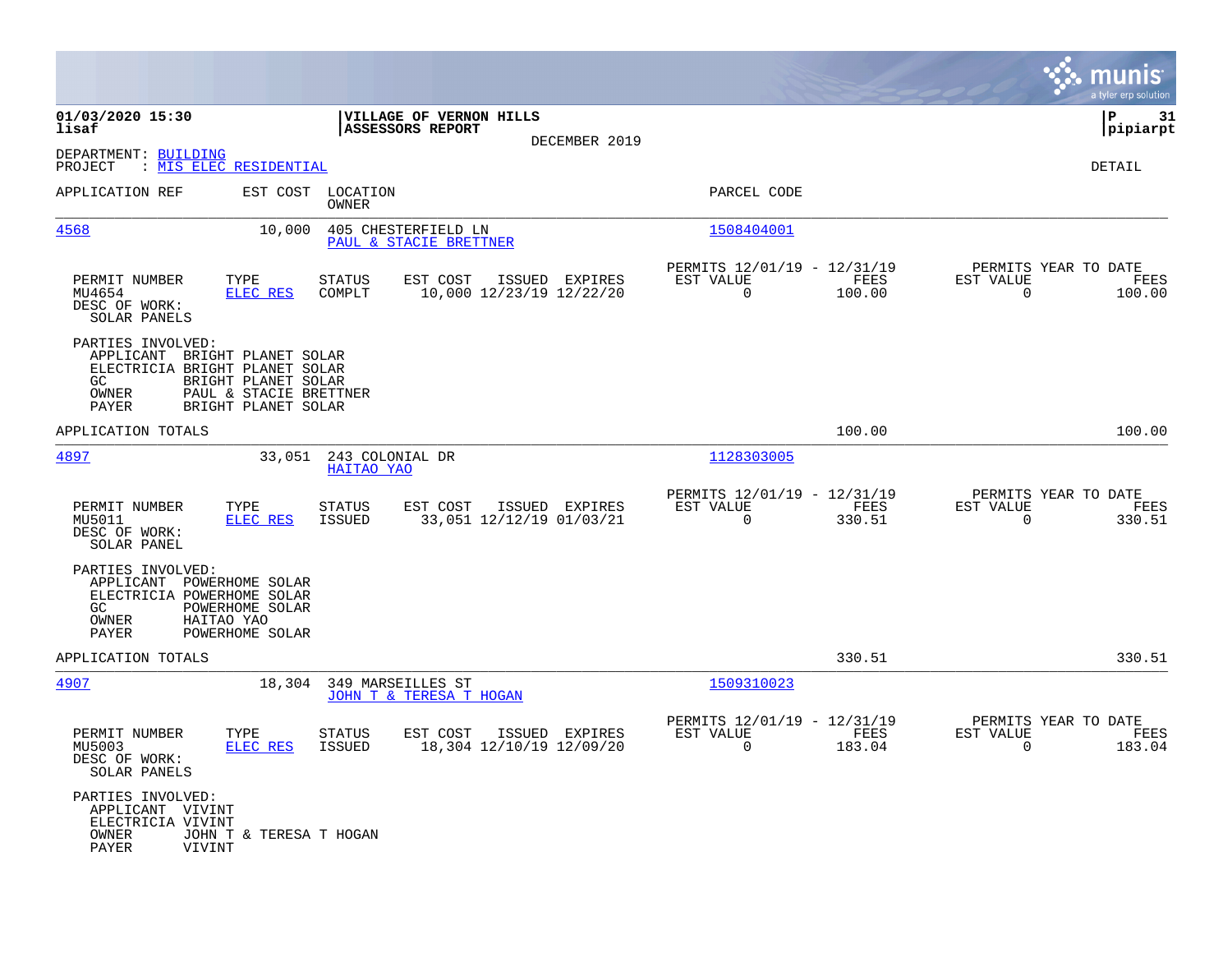|                                                                                                                                                                                       |                                                                                   |                                                                        | munis<br>a tyler erp solution                                      |
|---------------------------------------------------------------------------------------------------------------------------------------------------------------------------------------|-----------------------------------------------------------------------------------|------------------------------------------------------------------------|--------------------------------------------------------------------|
| 01/03/2020 15:30<br>lisaf                                                                                                                                                             | VILLAGE OF VERNON HILLS<br>ASSESSORS REPORT<br>DECEMBER 2019                      |                                                                        | ΙP<br>31<br> pipiarpt                                              |
| DEPARTMENT: BUILDING<br>: MIS ELEC RESIDENTIAL<br>PROJECT                                                                                                                             |                                                                                   |                                                                        | <b>DETAIL</b>                                                      |
| APPLICATION REF                                                                                                                                                                       | EST COST LOCATION<br>OWNER                                                        | PARCEL CODE                                                            |                                                                    |
| 4568<br>10,000                                                                                                                                                                        | 405 CHESTERFIELD LN<br>PAUL & STACIE BRETTNER                                     | 1508404001                                                             |                                                                    |
| TYPE<br>PERMIT NUMBER<br>MU4654<br>ELEC RES<br>DESC OF WORK:<br>SOLAR PANELS                                                                                                          | EST COST<br>ISSUED EXPIRES<br><b>STATUS</b><br>10,000 12/23/19 12/22/20<br>COMPLT | PERMITS 12/01/19 - 12/31/19<br>EST VALUE<br>FEES<br>$\Omega$<br>100.00 | PERMITS YEAR TO DATE<br>EST VALUE<br>FEES<br>$\mathbf 0$<br>100.00 |
| PARTIES INVOLVED:<br>APPLICANT BRIGHT PLANET SOLAR<br>ELECTRICIA BRIGHT PLANET SOLAR<br>GC.<br>BRIGHT PLANET SOLAR<br>PAUL & STACIE BRETTNER<br>OWNER<br>BRIGHT PLANET SOLAR<br>PAYER |                                                                                   |                                                                        |                                                                    |
| APPLICATION TOTALS                                                                                                                                                                    |                                                                                   | 100.00                                                                 | 100.00                                                             |
| 4897<br>33,051                                                                                                                                                                        | 243 COLONIAL DR<br>HAITAO YAO                                                     | 1128303005                                                             |                                                                    |
| PERMIT NUMBER<br>TYPE<br>ELEC RES<br>MU5011<br>DESC OF WORK:<br>SOLAR PANEL                                                                                                           | EST COST<br>ISSUED EXPIRES<br><b>STATUS</b><br>33,051 12/12/19 01/03/21<br>ISSUED | PERMITS 12/01/19 - 12/31/19<br>EST VALUE<br>FEES<br>$\Omega$<br>330.51 | PERMITS YEAR TO DATE<br>EST VALUE<br>FEES<br>$\Omega$<br>330.51    |
| PARTIES INVOLVED:<br>APPLICANT POWERHOME SOLAR<br>ELECTRICIA POWERHOME SOLAR<br>GC.<br>POWERHOME SOLAR<br>OWNER<br>HAITAO YAO<br>PAYER<br>POWERHOME SOLAR                             |                                                                                   |                                                                        |                                                                    |
| APPLICATION TOTALS                                                                                                                                                                    |                                                                                   | 330.51                                                                 | 330.51                                                             |
| 4907                                                                                                                                                                                  | 18,304<br>349 MARSEILLES ST<br>JOHN T & TERESA T HOGAN                            | 1509310023                                                             |                                                                    |
| PERMIT NUMBER<br>TYPE<br>MU5003<br><b>ELEC RES</b><br>DESC OF WORK:<br>SOLAR PANELS                                                                                                   | <b>STATUS</b><br>EST COST<br>ISSUED EXPIRES<br>ISSUED<br>18,304 12/10/19 12/09/20 | PERMITS 12/01/19 - 12/31/19<br>EST VALUE<br>FEES<br>0<br>183.04        | PERMITS YEAR TO DATE<br>EST VALUE<br>FEES<br>$\mathbf 0$<br>183.04 |
| PARTIES INVOLVED:<br>APPLICANT VIVINT<br>ELECTRICIA VIVINT<br>OWNER<br>JOHN T & TERESA T HOGAN<br>PAYER<br>VIVINT                                                                     |                                                                                   |                                                                        |                                                                    |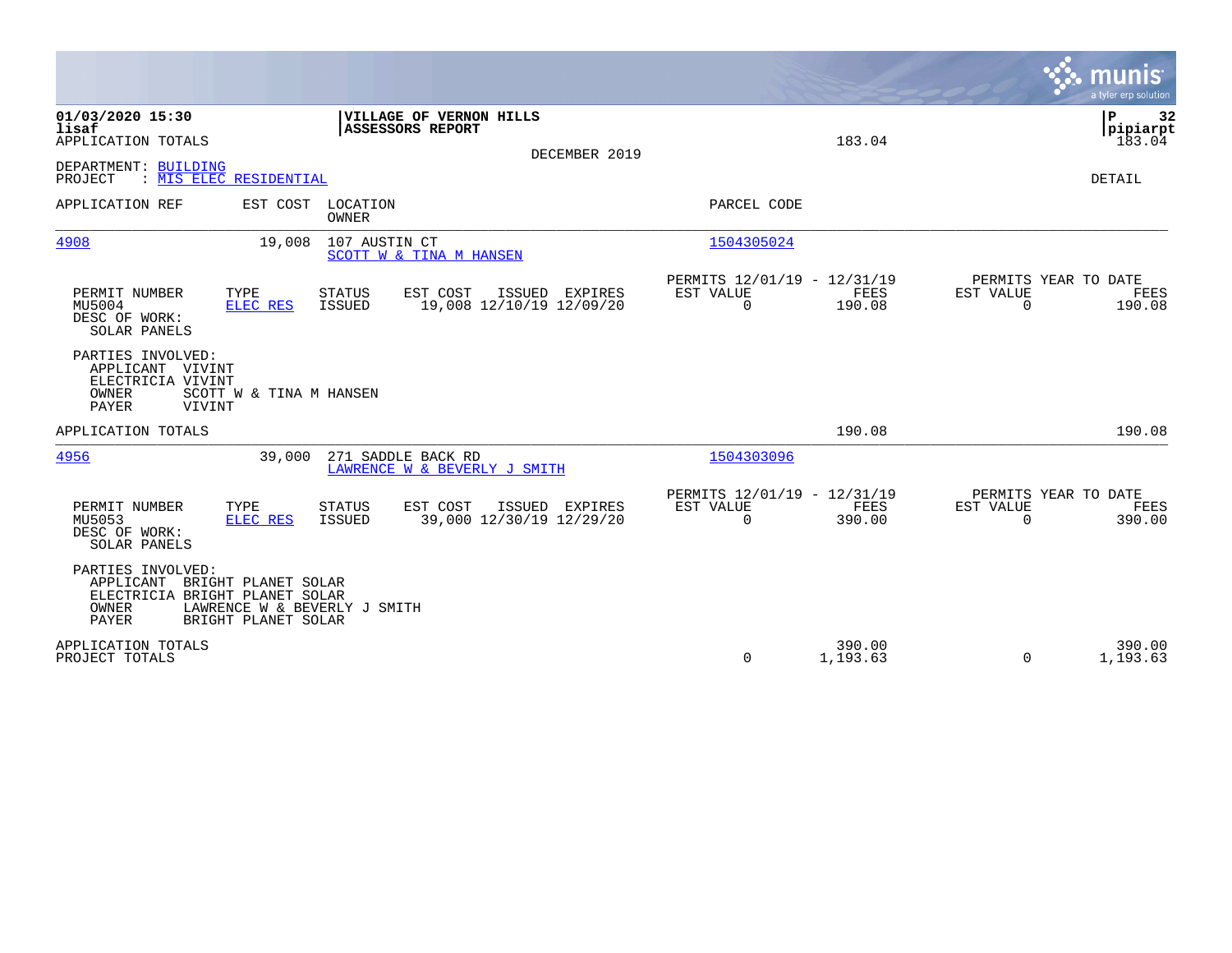|                                                                                                                                                                          |                                                                           | munis<br>a tyler erp solution                                      |
|--------------------------------------------------------------------------------------------------------------------------------------------------------------------------|---------------------------------------------------------------------------|--------------------------------------------------------------------|
| 01/03/2020 15:30<br>VILLAGE OF VERNON HILLS<br>lisaf<br><b>ASSESSORS REPORT</b><br>APPLICATION TOTALS<br>DECEMBER 2019                                                   | 183.04                                                                    | ΙP<br>32<br> pipiarpt<br>183.04                                    |
| DEPARTMENT: BUILDING<br>: MIS ELEC RESIDENTIAL<br>PROJECT                                                                                                                |                                                                           | DETAIL                                                             |
| APPLICATION REF<br>EST COST<br>LOCATION<br>OWNER                                                                                                                         | PARCEL CODE                                                               |                                                                    |
| 4908<br>19,008<br>107 AUSTIN CT<br>SCOTT W & TINA M HANSEN                                                                                                               | 1504305024                                                                |                                                                    |
| EST COST<br>PERMIT NUMBER<br>TYPE<br><b>STATUS</b><br>ISSUED EXPIRES<br>MU5004<br><b>ISSUED</b><br>19,008 12/10/19 12/09/20<br>ELEC RES<br>DESC OF WORK:<br>SOLAR PANELS | PERMITS 12/01/19 - 12/31/19<br>EST VALUE<br>FEES<br>$\mathbf 0$<br>190.08 | PERMITS YEAR TO DATE<br>EST VALUE<br>FEES<br>$\mathbf 0$<br>190.08 |
| PARTIES INVOLVED:<br>APPLICANT VIVINT<br>ELECTRICIA VIVINT<br>OWNER<br>SCOTT W & TINA M HANSEN<br><b>PAYER</b><br>VIVINT                                                 |                                                                           |                                                                    |
| APPLICATION TOTALS                                                                                                                                                       | 190.08                                                                    | 190.08                                                             |
| 4956<br>271 SADDLE BACK RD<br>39,000<br>LAWRENCE W & BEVERLY J SMITH                                                                                                     | 1504303096                                                                |                                                                    |
| EST COST<br>PERMIT NUMBER<br>TYPE<br><b>STATUS</b><br>ISSUED EXPIRES<br><b>ISSUED</b><br>39,000 12/30/19 12/29/20<br>MU5053<br>ELEC RES<br>DESC OF WORK:<br>SOLAR PANELS | PERMITS 12/01/19 - 12/31/19<br>EST VALUE<br>FEES<br>$\Omega$<br>390.00    | PERMITS YEAR TO DATE<br>EST VALUE<br>FEES<br>$\Omega$<br>390.00    |
| PARTIES INVOLVED:<br>APPLICANT BRIGHT PLANET SOLAR<br>ELECTRICIA BRIGHT PLANET SOLAR<br>OWNER<br>LAWRENCE W & BEVERLY J SMITH<br><b>PAYER</b><br>BRIGHT PLANET SOLAR     |                                                                           |                                                                    |
| APPLICATION TOTALS<br>PROJECT TOTALS                                                                                                                                     | 390.00<br>$\mathbf 0$<br>1,193.63                                         | 390.00<br>$\Omega$<br>1,193.63                                     |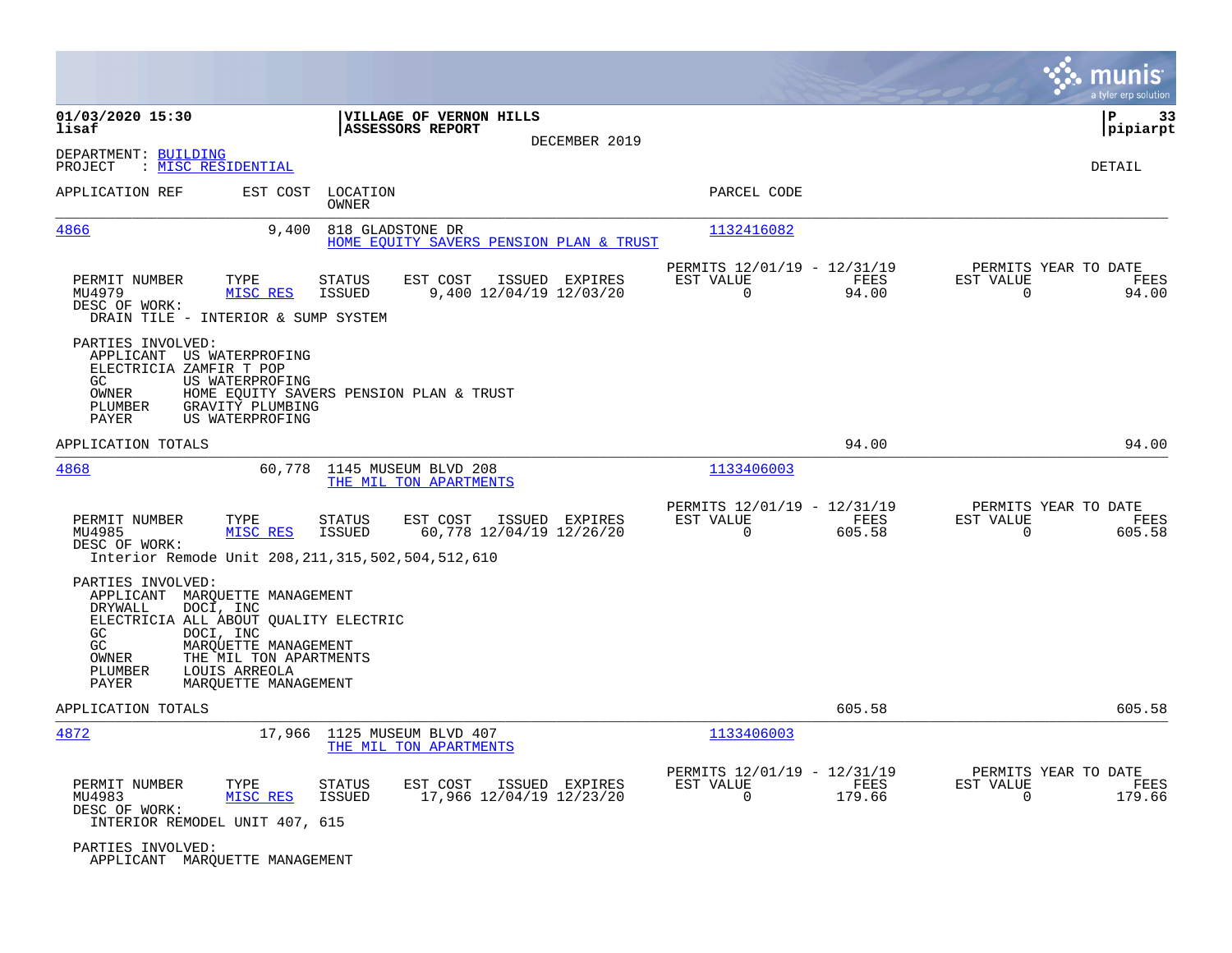|                                                                                                                                                                                                                                                                           |                                                                                         |                                                                          | munis<br>a tyler erp solution                                     |
|---------------------------------------------------------------------------------------------------------------------------------------------------------------------------------------------------------------------------------------------------------------------------|-----------------------------------------------------------------------------------------|--------------------------------------------------------------------------|-------------------------------------------------------------------|
| 01/03/2020 15:30<br>lisaf                                                                                                                                                                                                                                                 | VILLAGE OF VERNON HILLS<br>ASSESSORS REPORT                                             |                                                                          | P<br>33<br> pipiarpt                                              |
| DEPARTMENT: BUILDING<br>: MISC RESIDENTIAL<br>PROJECT                                                                                                                                                                                                                     | DECEMBER 2019                                                                           |                                                                          | DETAIL                                                            |
| APPLICATION REF<br>EST COST                                                                                                                                                                                                                                               | LOCATION<br>OWNER                                                                       | PARCEL CODE                                                              |                                                                   |
| 4866<br>9,400                                                                                                                                                                                                                                                             | 818 GLADSTONE DR<br>HOME EQUITY SAVERS PENSION PLAN & TRUST                             | 1132416082                                                               |                                                                   |
| PERMIT NUMBER<br>TYPE<br>MU4979<br>MISC RES<br>DESC OF WORK:<br>DRAIN TILE - INTERIOR & SUMP SYSTEM                                                                                                                                                                       | <b>STATUS</b><br>EST COST<br>ISSUED EXPIRES<br><b>ISSUED</b><br>9,400 12/04/19 12/03/20 | PERMITS 12/01/19 - 12/31/19<br>EST VALUE<br>FEES<br>$\mathbf 0$<br>94.00 | PERMITS YEAR TO DATE<br>EST VALUE<br>FEES<br>94.00<br>$\mathbf 0$ |
| PARTIES INVOLVED:<br>APPLICANT US WATERPROFING<br>ELECTRICIA ZAMFIR T POP<br>GC<br>US WATERPROFING<br>OWNER<br>PLUMBER<br>GRAVITY PLUMBING<br>PAYER<br>US WATERPROFING                                                                                                    | HOME EQUITY SAVERS PENSION PLAN & TRUST                                                 |                                                                          |                                                                   |
| APPLICATION TOTALS                                                                                                                                                                                                                                                        |                                                                                         | 94.00                                                                    | 94.00                                                             |
| 4868<br>60,778                                                                                                                                                                                                                                                            | 1145 MUSEUM BLVD 208<br>THE MIL TON APARTMENTS                                          | 1133406003                                                               |                                                                   |
| PERMIT NUMBER<br>TYPE<br>MU4985<br>MISC RES<br>DESC OF WORK:<br>Interior Remode Unit 208, 211, 315, 502, 504, 512, 610                                                                                                                                                    | EST COST<br>ISSUED EXPIRES<br>STATUS<br>60,778 12/04/19 12/26/20<br><b>ISSUED</b>       | PERMITS 12/01/19 - 12/31/19<br>EST VALUE<br>FEES<br>0<br>605.58          | PERMITS YEAR TO DATE<br>EST VALUE<br>FEES<br>605.58<br>0          |
| PARTIES INVOLVED:<br>APPLICANT<br>MARQUETTE MANAGEMENT<br>DRYWALL<br>DOCI, INC<br>ELECTRICIA ALL ABOUT QUALITY ELECTRIC<br>DOCI, INC<br>GC<br>GC.<br>MARQUETTE MANAGEMENT<br>OWNER<br>THE MIL TON APARTMENTS<br>PLUMBER<br>LOUIS ARREOLA<br>PAYER<br>MARQUETTE MANAGEMENT |                                                                                         |                                                                          |                                                                   |
| APPLICATION TOTALS                                                                                                                                                                                                                                                        |                                                                                         | 605.58                                                                   | 605.58                                                            |
| 4872<br>17,966                                                                                                                                                                                                                                                            | 1125 MUSEUM BLVD 407<br>THE MIL TON APARTMENTS                                          | 1133406003                                                               |                                                                   |
| PERMIT NUMBER<br>TYPE<br>MISC RES<br>MU4983<br>DESC OF WORK:<br>INTERIOR REMODEL UNIT 407, 615                                                                                                                                                                            | <b>STATUS</b><br>EST COST<br>ISSUED EXPIRES<br>ISSUED<br>17,966 12/04/19 12/23/20       | PERMITS 12/01/19 - 12/31/19<br>EST VALUE<br>FEES<br>0<br>179.66          | PERMITS YEAR TO DATE<br>EST VALUE<br>FEES<br>179.66<br>0          |
| PARTIES INVOLVED:<br>APPLICANT MARQUETTE MANAGEMENT                                                                                                                                                                                                                       |                                                                                         |                                                                          |                                                                   |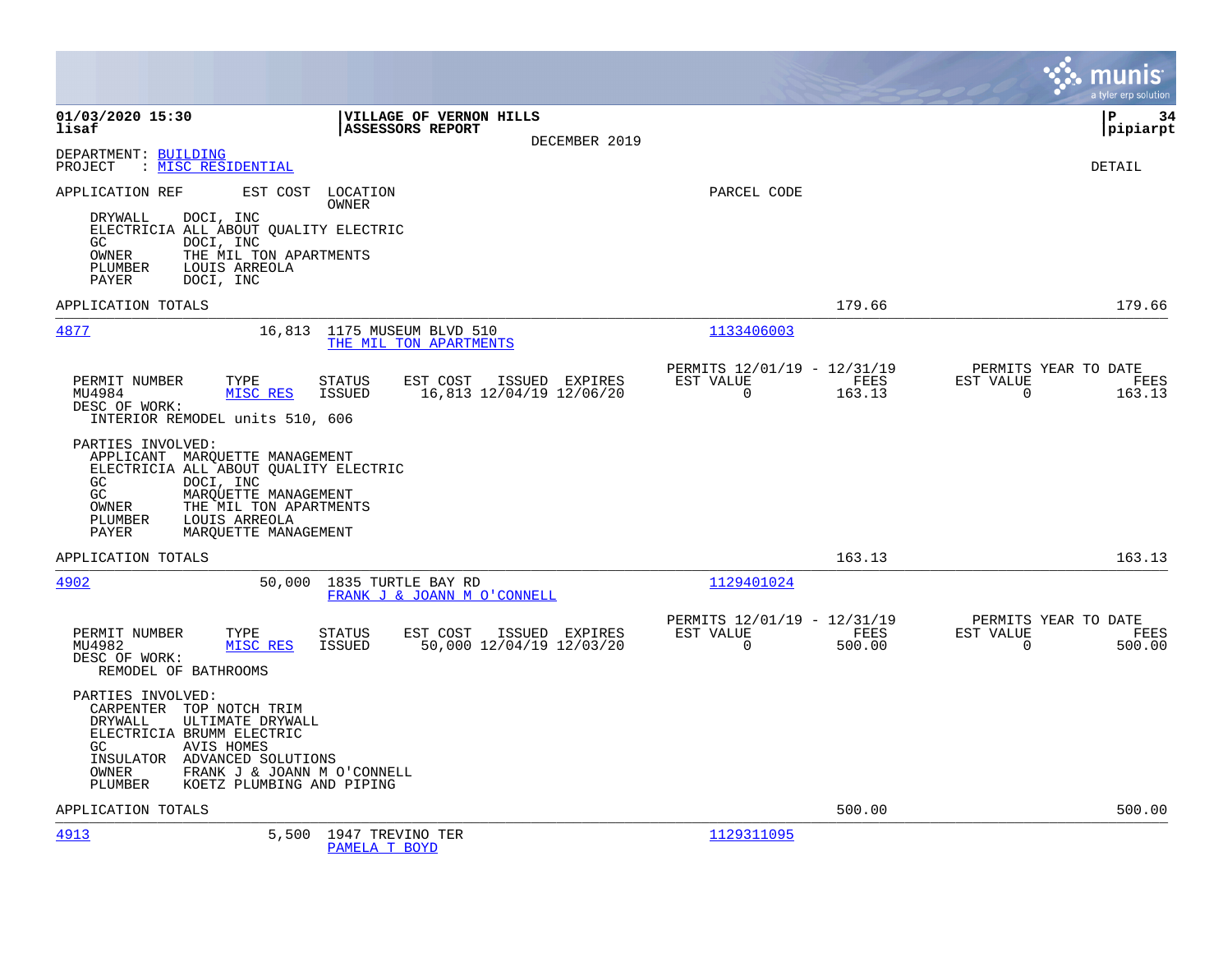|                                                                                                                                                                                                                                                              |                                            |                                                      | munis<br>a tyler erp solution                                                     |
|--------------------------------------------------------------------------------------------------------------------------------------------------------------------------------------------------------------------------------------------------------------|--------------------------------------------|------------------------------------------------------|-----------------------------------------------------------------------------------|
| 01/03/2020 15:30<br>lisaf<br><b>ASSESSORS REPORT</b>                                                                                                                                                                                                         | VILLAGE OF VERNON HILLS<br>DECEMBER 2019   |                                                      | lР<br>34<br> pipiarpt                                                             |
| DEPARTMENT: BUILDING<br>: MISC RESIDENTIAL<br>PROJECT                                                                                                                                                                                                        |                                            |                                                      | <b>DETAIL</b>                                                                     |
| APPLICATION REF<br>EST COST<br>LOCATION<br>OWNER<br>DOCI, INC<br>DRYWALL<br>ELECTRICIA ALL ABOUT QUALITY ELECTRIC<br>DOCI, INC<br>GC.<br>OWNER<br>THE MIL TON APARTMENTS<br>LOUIS ARREOLA<br>PLUMBER<br>PAYER<br>DOCI, INC                                   |                                            | PARCEL CODE                                          |                                                                                   |
| APPLICATION TOTALS                                                                                                                                                                                                                                           |                                            |                                                      | 179.66<br>179.66                                                                  |
| 4877<br>16,813<br>1175 MUSEUM BLVD 510<br>THE MIL TON APARTMENTS                                                                                                                                                                                             |                                            | 1133406003                                           |                                                                                   |
| PERMIT NUMBER<br>TYPE<br>STATUS<br>EST COST<br>MU4984<br>MISC RES<br>ISSUED<br>DESC OF WORK:<br>INTERIOR REMODEL units 510, 606<br>PARTIES INVOLVED:                                                                                                         | ISSUED EXPIRES<br>16,813 12/04/19 12/06/20 | PERMITS 12/01/19 - 12/31/19<br>EST VALUE<br>$\Omega$ | PERMITS YEAR TO DATE<br>FEES<br>EST VALUE<br>FEES<br>163.13<br>$\Omega$<br>163.13 |
| APPLICANT MARQUETTE MANAGEMENT<br>ELECTRICIA ALL ABOUT QUALITY ELECTRIC<br>DOCI, INC<br>GC<br>GC<br>MAROUETTE MANAGEMENT<br>THE MIL TON APARTMENTS<br>OWNER<br>PLUMBER<br>LOUIS ARREOLA<br>PAYER<br>MAROUETTE MANAGEMENT                                     |                                            |                                                      |                                                                                   |
| APPLICATION TOTALS                                                                                                                                                                                                                                           |                                            |                                                      | 163.13<br>163.13                                                                  |
| 4902<br>50,000<br>1835 TURTLE BAY RD                                                                                                                                                                                                                         | FRANK J & JOANN M O'CONNELL                | 1129401024                                           |                                                                                   |
| PERMIT NUMBER<br>TYPE<br>STATUS<br>EST COST<br>MISC RES<br>MU4982<br>ISSUED<br>DESC OF WORK:<br>REMODEL OF BATHROOMS                                                                                                                                         | ISSUED EXPIRES<br>50,000 12/04/19 12/03/20 | PERMITS 12/01/19 - 12/31/19<br>EST VALUE<br>$\Omega$ | PERMITS YEAR TO DATE<br>FEES<br>EST VALUE<br>FEES<br>500.00<br>$\Omega$<br>500.00 |
| PARTIES INVOLVED:<br>CARPENTER TOP NOTCH TRIM<br>ULTIMATE DRYWALL<br><b>DRYWALL</b><br>ELECTRICIA BRUMM ELECTRIC<br><b>AVIS HOMES</b><br>GC.<br>INSULATOR ADVANCED SOLUTIONS<br>OWNER<br>FRANK J & JOANN M O'CONNELL<br>PLUMBER<br>KOETZ PLUMBING AND PIPING |                                            |                                                      |                                                                                   |
| APPLICATION TOTALS                                                                                                                                                                                                                                           |                                            |                                                      | 500.00<br>500.00                                                                  |
| 4913<br>5,500<br>1947 TREVINO TER<br>PAMELA T BOYD                                                                                                                                                                                                           |                                            | 1129311095                                           |                                                                                   |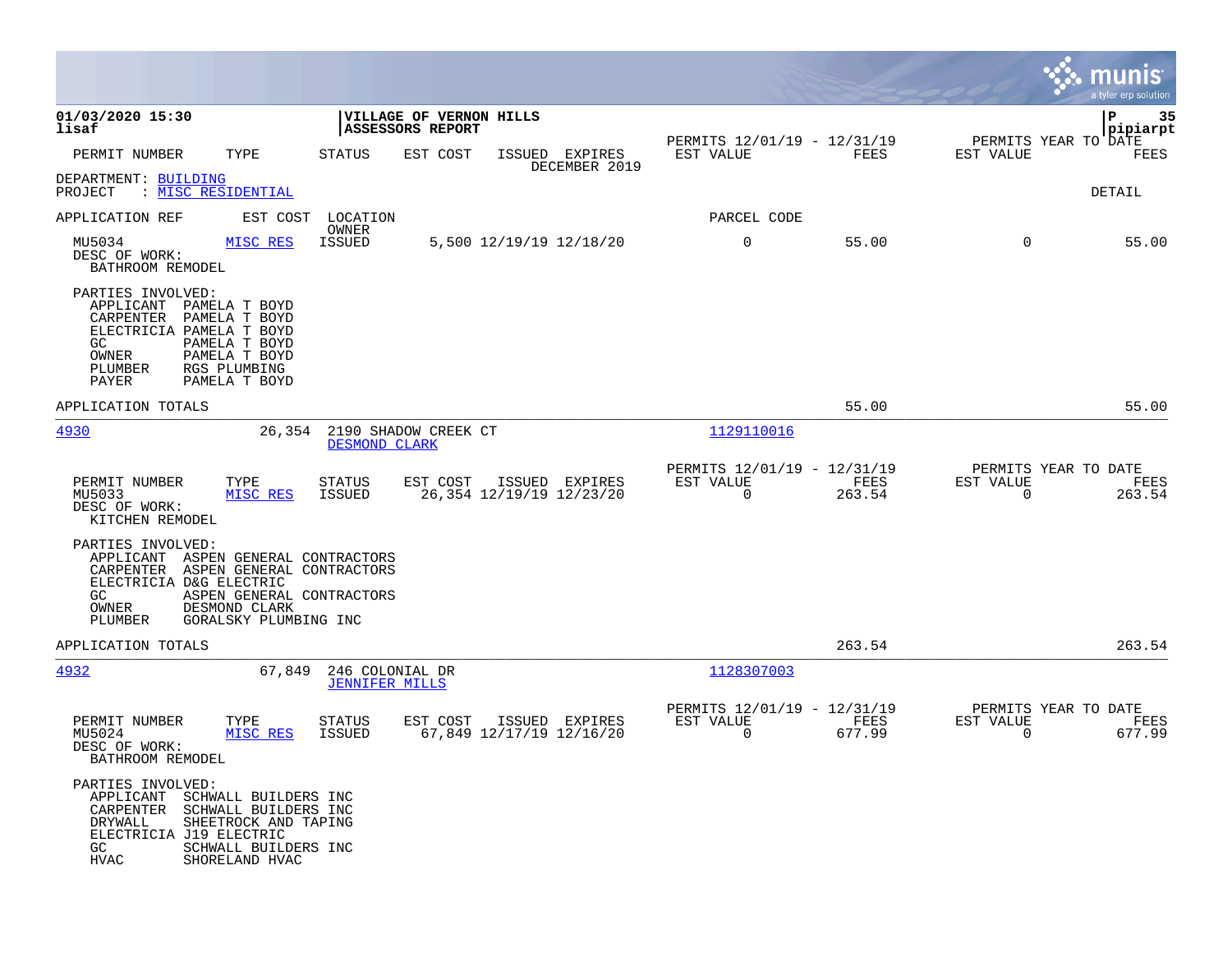|                                                                                                                                                       |                                                                                                                |                                                     |                                             |                          |                                 |                                                         |                |                                                  | munis<br>a tyler erp solution |
|-------------------------------------------------------------------------------------------------------------------------------------------------------|----------------------------------------------------------------------------------------------------------------|-----------------------------------------------------|---------------------------------------------|--------------------------|---------------------------------|---------------------------------------------------------|----------------|--------------------------------------------------|-------------------------------|
| 01/03/2020 15:30<br>lisaf                                                                                                                             |                                                                                                                |                                                     | VILLAGE OF VERNON HILLS<br>ASSESSORS REPORT |                          |                                 |                                                         |                |                                                  | 35<br>P<br> pipiarpt          |
| PERMIT NUMBER                                                                                                                                         | TYPE                                                                                                           | <b>STATUS</b>                                       | EST COST                                    |                          | ISSUED EXPIRES<br>DECEMBER 2019 | PERMITS 12/01/19 - 12/31/19<br>EST VALUE                | FEES           | PERMITS YEAR TO DATE<br>EST VALUE                | FEES                          |
| DEPARTMENT: BUILDING<br>: MISC RESIDENTIAL<br>PROJECT                                                                                                 |                                                                                                                |                                                     |                                             |                          |                                 |                                                         |                |                                                  | DETAIL                        |
| APPLICATION REF                                                                                                                                       | EST COST                                                                                                       | LOCATION                                            |                                             |                          |                                 | PARCEL CODE                                             |                |                                                  |                               |
| MU5034<br>DESC OF WORK:<br>BATHROOM REMODEL                                                                                                           | MISC RES                                                                                                       | OWNER<br><b>ISSUED</b>                              |                                             | 5,500 12/19/19 12/18/20  |                                 | 0                                                       | 55.00          | $\mathbf 0$                                      | 55.00                         |
| PARTIES INVOLVED:<br>APPLICANT PAMELA T BOYD<br>CARPENTER PAMELA T BOYD<br>ELECTRICIA PAMELA T BOYD<br>GC.<br>OWNER<br>PLUMBER<br>PAYER               | PAMELA T BOYD<br>PAMELA T BOYD<br>RGS PLUMBING<br>PAMELA T BOYD                                                |                                                     |                                             |                          |                                 |                                                         |                |                                                  |                               |
| APPLICATION TOTALS                                                                                                                                    |                                                                                                                |                                                     |                                             |                          |                                 |                                                         | 55.00          |                                                  | 55.00                         |
| 4930                                                                                                                                                  |                                                                                                                | 26,354 2190 SHADOW CREEK CT<br><b>DESMOND CLARK</b> |                                             |                          |                                 | 1129110016                                              |                |                                                  |                               |
| PERMIT NUMBER<br>MU5033<br>DESC OF WORK:<br>KITCHEN REMODEL                                                                                           | TYPE<br>MISC RES                                                                                               | <b>STATUS</b><br>ISSUED                             | EST COST                                    | 26,354 12/19/19 12/23/20 | ISSUED EXPIRES                  | PERMITS 12/01/19 - 12/31/19<br>EST VALUE<br>$\mathbf 0$ | FEES<br>263.54 | PERMITS YEAR TO DATE<br>EST VALUE<br>0           | FEES<br>263.54                |
| PARTIES INVOLVED:<br>APPLICANT ASPEN GENERAL CONTRACTORS<br>CARPENTER ASPEN GENERAL CONTRACTORS<br>ELECTRICIA D&G ELECTRIC<br>GC.<br>OWNER<br>PLUMBER | ASPEN GENERAL CONTRACTORS<br>DESMOND CLARK<br>GORALSKY PLUMBING INC                                            |                                                     |                                             |                          |                                 |                                                         |                |                                                  |                               |
| APPLICATION TOTALS                                                                                                                                    |                                                                                                                |                                                     |                                             |                          |                                 |                                                         | 263.54         |                                                  | 263.54                        |
| 4932                                                                                                                                                  | 67,849                                                                                                         | 246 COLONIAL DR<br><b>JENNIFER MILLS</b>            |                                             |                          |                                 | 1128307003                                              |                |                                                  |                               |
| PERMIT NUMBER<br>MU5024<br>DESC OF WORK:<br>BATHROOM REMODEL                                                                                          | TYPE<br>MISC RES                                                                                               | STATUS<br>ISSUED                                    | EST COST                                    | 67,849 12/17/19 12/16/20 | ISSUED EXPIRES                  | PERMITS 12/01/19 - 12/31/19<br>EST VALUE<br>$\mathbf 0$ | FEES<br>677.99 | PERMITS YEAR TO DATE<br>EST VALUE<br>$\mathbf 0$ | FEES<br>677.99                |
| PARTIES INVOLVED:<br>APPLICANT<br>CARPENTER<br>DRYWALL<br>ELECTRICIA J19 ELECTRIC<br>GC.<br><b>HVAC</b>                                               | SCHWALL BUILDERS INC<br>SCHWALL BUILDERS INC<br>SHEETROCK AND TAPING<br>SCHWALL BUILDERS INC<br>SHORELAND HVAC |                                                     |                                             |                          |                                 |                                                         |                |                                                  |                               |

**College**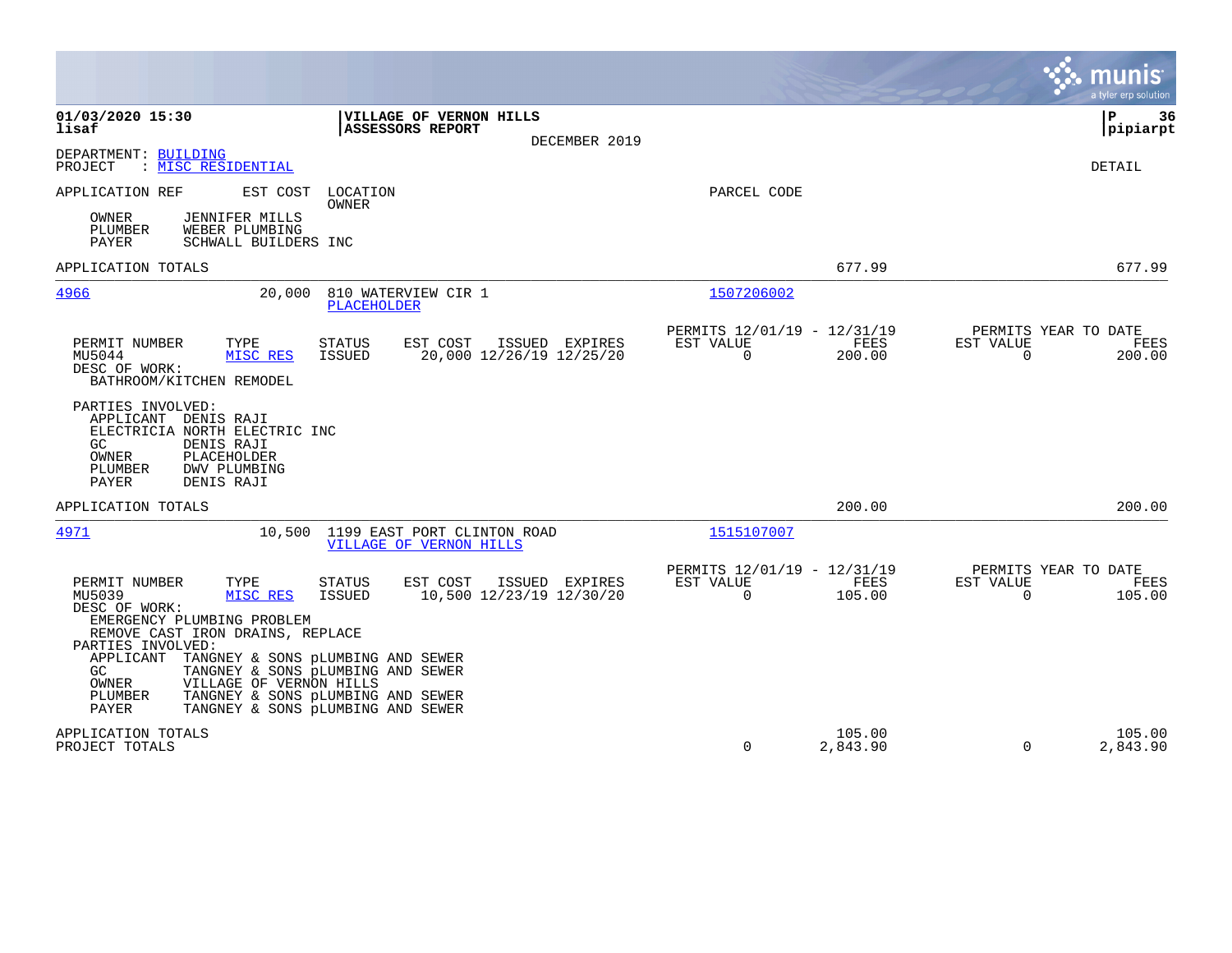|                                                                                                                                                                                                                                                                                                                                                                                                                                                                          |                                                                           | munis<br>a tyler erp solution                                      |
|--------------------------------------------------------------------------------------------------------------------------------------------------------------------------------------------------------------------------------------------------------------------------------------------------------------------------------------------------------------------------------------------------------------------------------------------------------------------------|---------------------------------------------------------------------------|--------------------------------------------------------------------|
| 01/03/2020 15:30<br>VILLAGE OF VERNON HILLS<br>lisaf<br><b>ASSESSORS REPORT</b><br>DECEMBER 2019                                                                                                                                                                                                                                                                                                                                                                         |                                                                           | ΙP<br>36<br> pipiarpt                                              |
| DEPARTMENT: BUILDING<br>PROJECT<br>: <u>MISC RESIDENTIAL</u>                                                                                                                                                                                                                                                                                                                                                                                                             |                                                                           | DETAIL                                                             |
| APPLICATION REF<br>EST COST<br>LOCATION<br>OWNER<br>OWNER<br><b>JENNIFER MILLS</b><br>PLUMBER<br>WEBER PLUMBING<br>PAYER<br>SCHWALL BUILDERS INC                                                                                                                                                                                                                                                                                                                         | PARCEL CODE                                                               |                                                                    |
| APPLICATION TOTALS                                                                                                                                                                                                                                                                                                                                                                                                                                                       | 677.99                                                                    | 677.99                                                             |
| 810 WATERVIEW CIR 1<br><u>4966</u><br>20,000<br><b>PLACEHOLDER</b>                                                                                                                                                                                                                                                                                                                                                                                                       | 1507206002                                                                |                                                                    |
| EST COST<br>PERMIT NUMBER<br>TYPE<br><b>STATUS</b><br>ISSUED EXPIRES<br>MU5044<br>MISC RES<br><b>ISSUED</b><br>20,000 12/26/19 12/25/20<br>DESC OF WORK:<br>BATHROOM/KITCHEN REMODEL                                                                                                                                                                                                                                                                                     | PERMITS 12/01/19 - 12/31/19<br>FEES<br>EST VALUE<br>$\mathbf 0$<br>200.00 | PERMITS YEAR TO DATE<br>EST VALUE<br>FEES<br>$\mathbf 0$<br>200.00 |
| PARTIES INVOLVED:<br>APPLICANT DENIS RAJI<br>ELECTRICIA NORTH ELECTRIC INC<br>GC.<br>DENIS RAJI<br>PLACEHOLDER<br>OWNER<br>PLUMBER<br>DWV PLUMBING<br>PAYER<br>DENIS RAJI                                                                                                                                                                                                                                                                                                |                                                                           |                                                                    |
| APPLICATION TOTALS                                                                                                                                                                                                                                                                                                                                                                                                                                                       | 200.00                                                                    | 200.00                                                             |
| 10,500 1199 EAST PORT CLINTON ROAD<br>4971<br><b>VILLAGE OF VERNON HILLS</b>                                                                                                                                                                                                                                                                                                                                                                                             | 1515107007                                                                |                                                                    |
| PERMIT NUMBER<br>TYPE<br><b>STATUS</b><br>EST COST<br>ISSUED EXPIRES<br>10,500 12/23/19 12/30/20<br>MU5039<br>MISC RES<br>ISSUED<br>DESC OF WORK:<br>EMERGENCY PLUMBING PROBLEM<br>REMOVE CAST IRON DRAINS, REPLACE<br>PARTIES INVOLVED:<br>APPLICANT<br>TANGNEY & SONS PLUMBING AND SEWER<br>TANGNEY & SONS pLUMBING AND SEWER<br>GC.<br>VILLAGE OF VERNON HILLS<br>OWNER<br>PLUMBER<br>TANGNEY & SONS PLUMBING AND SEWER<br>PAYER<br>TANGNEY & SONS PLUMBING AND SEWER | PERMITS 12/01/19 - 12/31/19<br>FEES<br>EST VALUE<br>$\mathbf 0$<br>105.00 | PERMITS YEAR TO DATE<br>EST VALUE<br>FEES<br>105.00<br>0           |
| APPLICATION TOTALS<br>PROJECT TOTALS                                                                                                                                                                                                                                                                                                                                                                                                                                     | 105.00<br>$\Omega$<br>2,843.90                                            | 105.00<br>$\mathbf 0$<br>2,843.90                                  |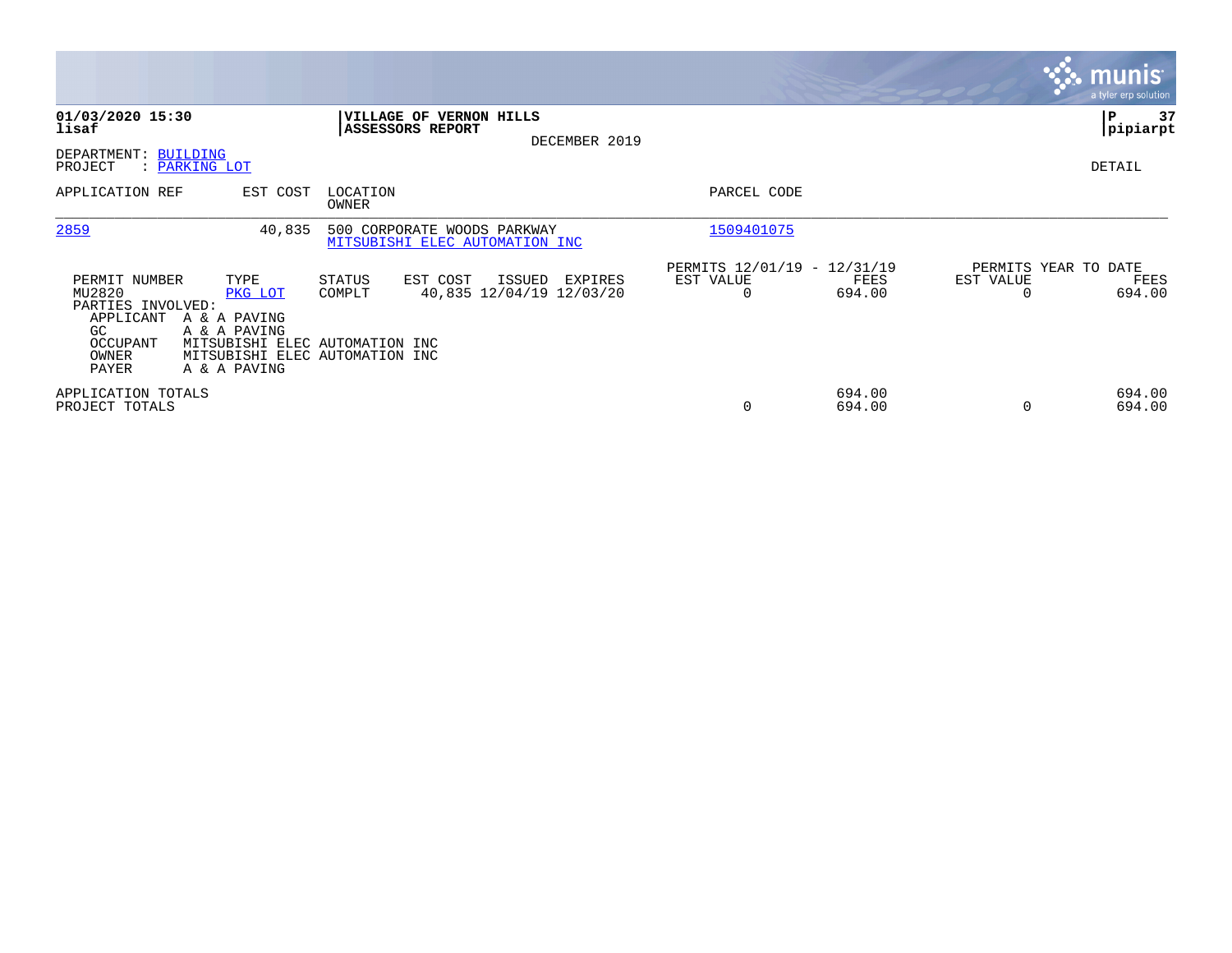|                                                                                                |                                                                                                                                     |                                                               |                                               |                                               |                  |                                   | $\overline{\mathsf{m} \mathsf{u}}$ nıs'<br>a tyler erp solution |
|------------------------------------------------------------------------------------------------|-------------------------------------------------------------------------------------------------------------------------------------|---------------------------------------------------------------|-----------------------------------------------|-----------------------------------------------|------------------|-----------------------------------|-----------------------------------------------------------------|
| 01/03/2020 15:30<br>lisaf<br>DEPARTMENT: BUILDING                                              |                                                                                                                                     | <b>VILLAGE OF VERNON HILLS</b><br><b>ASSESSORS REPORT</b>     | DECEMBER 2019                                 |                                               |                  |                                   | P<br>37<br> pipiarpt                                            |
| PROJECT<br>APPLICATION REF                                                                     | : PARKING LOT<br>EST COST                                                                                                           | LOCATION<br>OWNER                                             |                                               | PARCEL CODE                                   |                  |                                   | DETAIL                                                          |
| 2859                                                                                           | 40,835                                                                                                                              | 500 CORPORATE WOODS PARKWAY<br>MITSUBISHI ELEC AUTOMATION INC |                                               | 1509401075                                    |                  |                                   |                                                                 |
| PERMIT NUMBER<br>MU2820<br>PARTIES INVOLVED:<br>APPLICANT<br>GC.<br>OCCUPANT<br>OWNER<br>PAYER | TYPE<br>PKG LOT<br>A & A PAVING<br>A & A PAVING<br>MITSUBISHI ELEC AUTOMATION INC<br>MITSUBISHI ELEC AUTOMATION INC<br>A & A PAVING | EST COST<br>STATUS<br>COMPLT                                  | ISSUED<br>EXPIRES<br>40,835 12/04/19 12/03/20 | PERMITS 12/01/19 - 12/31/19<br>EST VALUE<br>0 | FEES<br>694.00   | PERMITS YEAR TO DATE<br>EST VALUE | FEES<br>694.00                                                  |
| APPLICATION TOTALS<br>PROJECT TOTALS                                                           |                                                                                                                                     |                                                               |                                               | 0                                             | 694.00<br>694.00 | $\Omega$                          | 694.00<br>694.00                                                |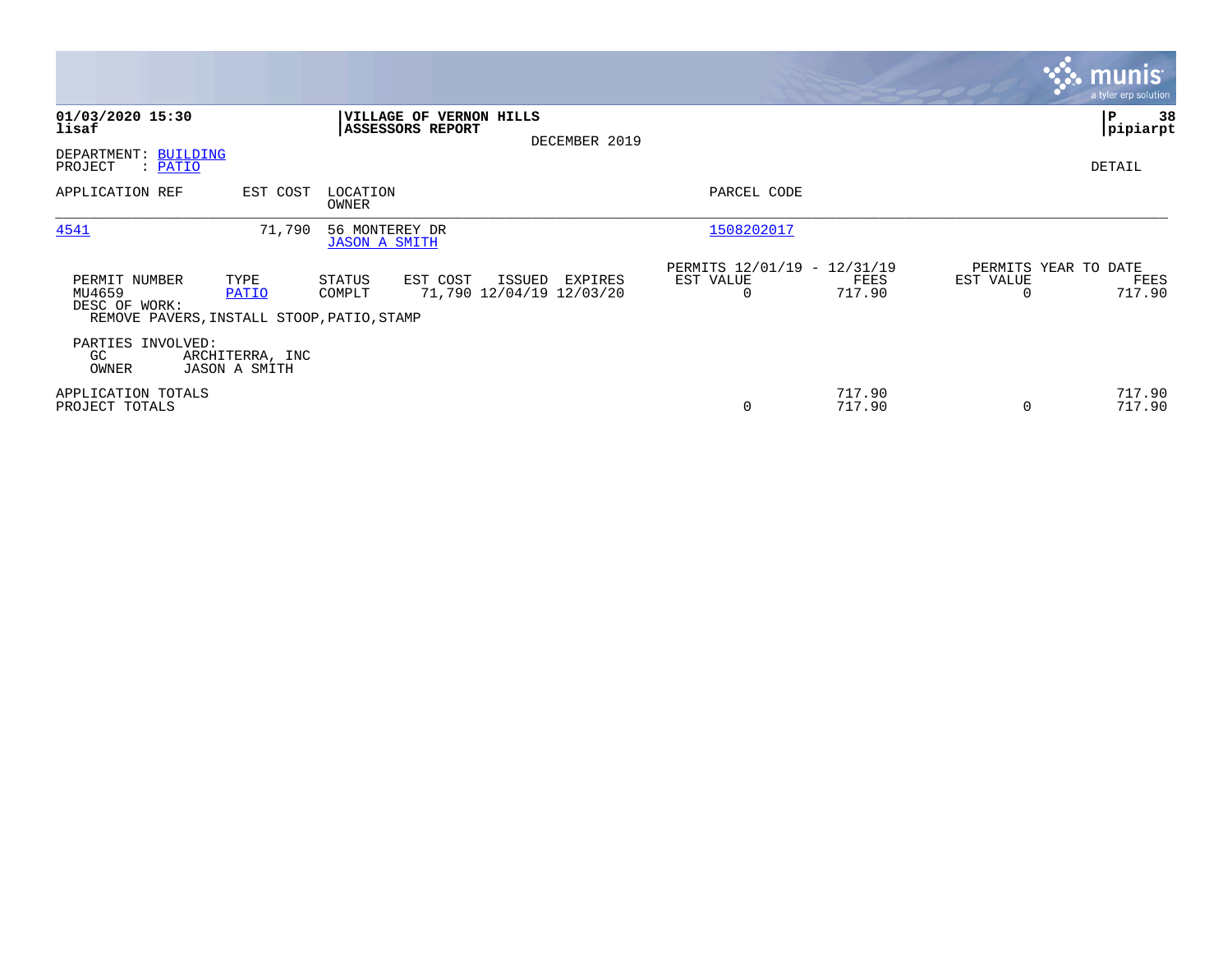|                                                                                        |                                         |                                        |                                 |                                               |                |                                               |           | <b>munis</b><br>a tyler erp solution   |
|----------------------------------------------------------------------------------------|-----------------------------------------|----------------------------------------|---------------------------------|-----------------------------------------------|----------------|-----------------------------------------------|-----------|----------------------------------------|
| 01/03/2020 15:30<br>lisaf<br>DEPARTMENT: BUILDING                                      |                                         | <b>ASSESSORS REPORT</b>                | <b> VILLAGE OF VERNON HILLS</b> | DECEMBER 2019                                 |                |                                               |           | 38<br> P<br> pipiarpt                  |
| PROJECT<br>: <u>PATIO</u><br>APPLICATION REF                                           | EST COST                                | LOCATION<br>OWNER                      |                                 |                                               | PARCEL CODE    |                                               |           | DETAIL                                 |
| 4541                                                                                   | 71,790                                  | 56 MONTEREY DR<br><b>JASON A SMITH</b> |                                 |                                               | 1508202017     |                                               |           |                                        |
| PERMIT NUMBER<br>MU4659<br>DESC OF WORK:<br>REMOVE PAVERS, INSTALL STOOP, PATIO, STAMP | TYPE<br>PATIO                           | STATUS<br>COMPLT                       | EST COST                        | ISSUED<br>EXPIRES<br>71,790 12/04/19 12/03/20 | EST VALUE<br>0 | PERMITS 12/01/19 - 12/31/19<br>FEES<br>717.90 | EST VALUE | PERMITS YEAR TO DATE<br>FEES<br>717.90 |
| PARTIES INVOLVED:<br>GC<br>OWNER                                                       | ARCHITERRA, INC<br><b>JASON A SMITH</b> |                                        |                                 |                                               |                |                                               |           |                                        |
| APPLICATION TOTALS<br>PROJECT TOTALS                                                   |                                         |                                        |                                 |                                               | 0              | 717.90<br>717.90                              | $\Omega$  | 717.90<br>717.90                       |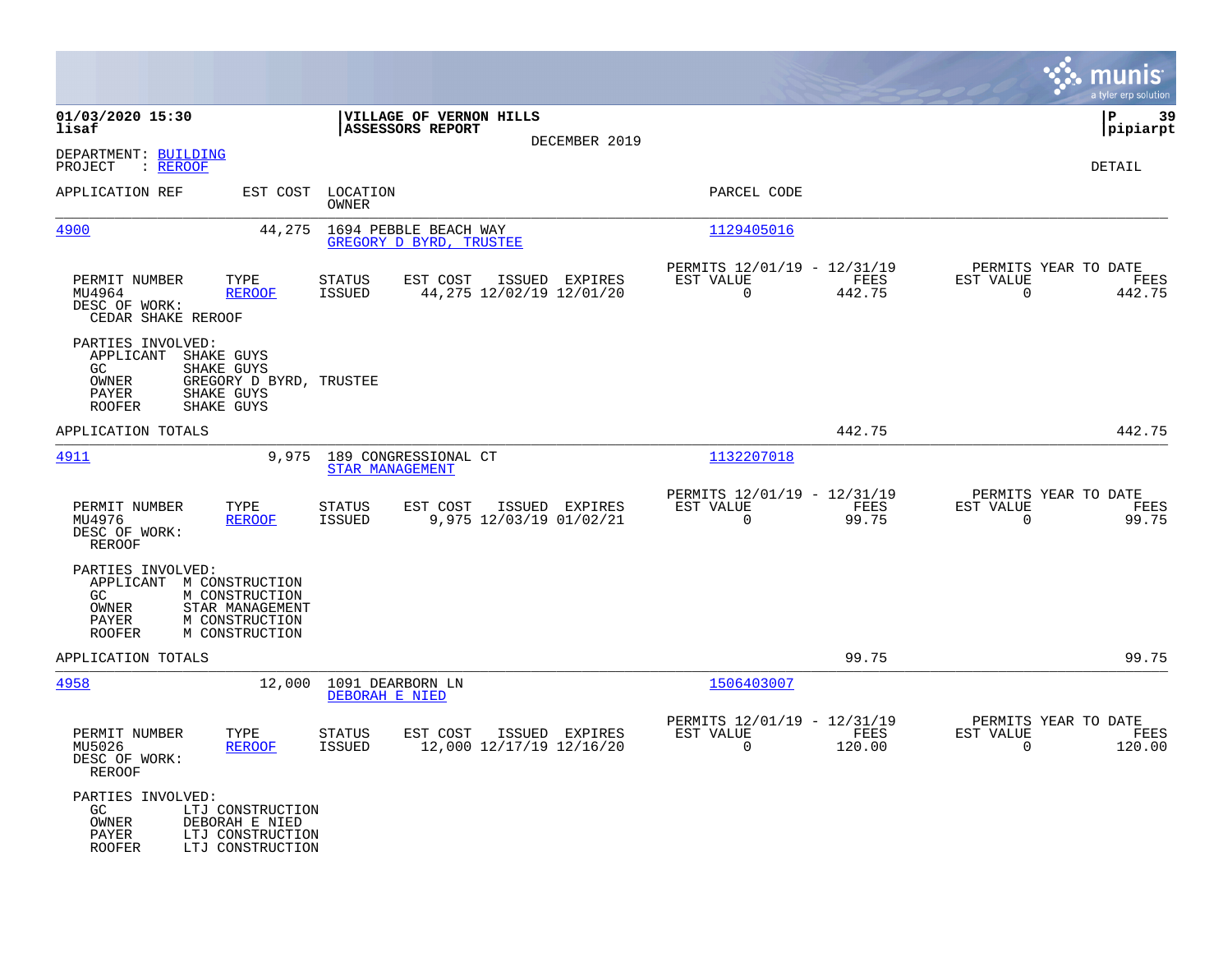|                                                                                                                                                                 |                                                                                         |                                                                 | munis<br>a tyler erp solution                                      |
|-----------------------------------------------------------------------------------------------------------------------------------------------------------------|-----------------------------------------------------------------------------------------|-----------------------------------------------------------------|--------------------------------------------------------------------|
| 01/03/2020 15:30<br>lisaf                                                                                                                                       | VILLAGE OF VERNON HILLS<br><b>ASSESSORS REPORT</b><br>DECEMBER 2019                     |                                                                 | -39<br>l P<br> pipiarpt                                            |
| DEPARTMENT: BUILDING<br>: REROOF<br>PROJECT                                                                                                                     |                                                                                         |                                                                 | DETAIL                                                             |
| APPLICATION REF                                                                                                                                                 | EST COST LOCATION<br>OWNER                                                              | PARCEL CODE                                                     |                                                                    |
| 4900<br>44,275                                                                                                                                                  | 1694 PEBBLE BEACH WAY<br>GREGORY D BYRD, TRUSTEE                                        | 1129405016                                                      |                                                                    |
| TYPE<br>PERMIT NUMBER<br>MU4964<br><b>REROOF</b><br>DESC OF WORK:<br>CEDAR SHAKE REROOF                                                                         | <b>STATUS</b><br>EST COST<br>ISSUED EXPIRES<br>44,275 12/02/19 12/01/20<br>ISSUED       | PERMITS 12/01/19 - 12/31/19<br>EST VALUE<br>FEES<br>0<br>442.75 | PERMITS YEAR TO DATE<br>EST VALUE<br>FEES<br>442.75<br>0           |
| PARTIES INVOLVED:<br>APPLICANT<br>SHAKE GUYS<br>GC.<br>SHAKE GUYS<br>OWNER<br>GREGORY D BYRD, TRUSTEE<br>PAYER<br>SHAKE GUYS<br>SHAKE GUYS<br><b>ROOFER</b>     |                                                                                         |                                                                 |                                                                    |
| APPLICATION TOTALS                                                                                                                                              |                                                                                         | 442.75                                                          | 442.75                                                             |
| 4911<br>9,975                                                                                                                                                   | 189 CONGRESSIONAL CT<br>STAR MANAGEMENT                                                 | 1132207018                                                      |                                                                    |
| PERMIT NUMBER<br>TYPE<br>MU4976<br><b>REROOF</b><br>DESC OF WORK:<br>REROOF                                                                                     | <b>STATUS</b><br>EST COST<br>ISSUED EXPIRES<br><b>ISSUED</b><br>9,975 12/03/19 01/02/21 | PERMITS 12/01/19 - 12/31/19<br>EST VALUE<br>FEES<br>0<br>99.75  | PERMITS YEAR TO DATE<br>EST VALUE<br>FEES<br>$\mathbf 0$<br>99.75  |
| PARTIES INVOLVED:<br>APPLICANT M CONSTRUCTION<br>GC<br>M CONSTRUCTION<br>OWNER<br>STAR MANAGEMENT<br>M CONSTRUCTION<br>PAYER<br>M CONSTRUCTION<br><b>ROOFER</b> |                                                                                         |                                                                 |                                                                    |
| APPLICATION TOTALS                                                                                                                                              |                                                                                         | 99.75                                                           | 99.75                                                              |
| 4958<br>12,000                                                                                                                                                  | 1091 DEARBORN LN<br>DEBORAH E NIED                                                      | 1506403007                                                      |                                                                    |
| PERMIT NUMBER<br>TYPE<br>MU5026<br><b>REROOF</b><br>DESC OF WORK:<br><b>REROOF</b>                                                                              | <b>STATUS</b><br>EST COST<br>ISSUED EXPIRES<br>12,000 12/17/19 12/16/20<br>ISSUED       | PERMITS 12/01/19 - 12/31/19<br>EST VALUE<br>FEES<br>0<br>120.00 | PERMITS YEAR TO DATE<br>EST VALUE<br>FEES<br>$\mathbf 0$<br>120.00 |
| PARTIES INVOLVED:<br>GC.<br>LTJ CONSTRUCTION<br>OWNER<br>DEBORAH E NIED<br>PAYER<br>LTJ CONSTRUCTION<br><b>ROOFER</b><br>LTJ CONSTRUCTION                       |                                                                                         |                                                                 |                                                                    |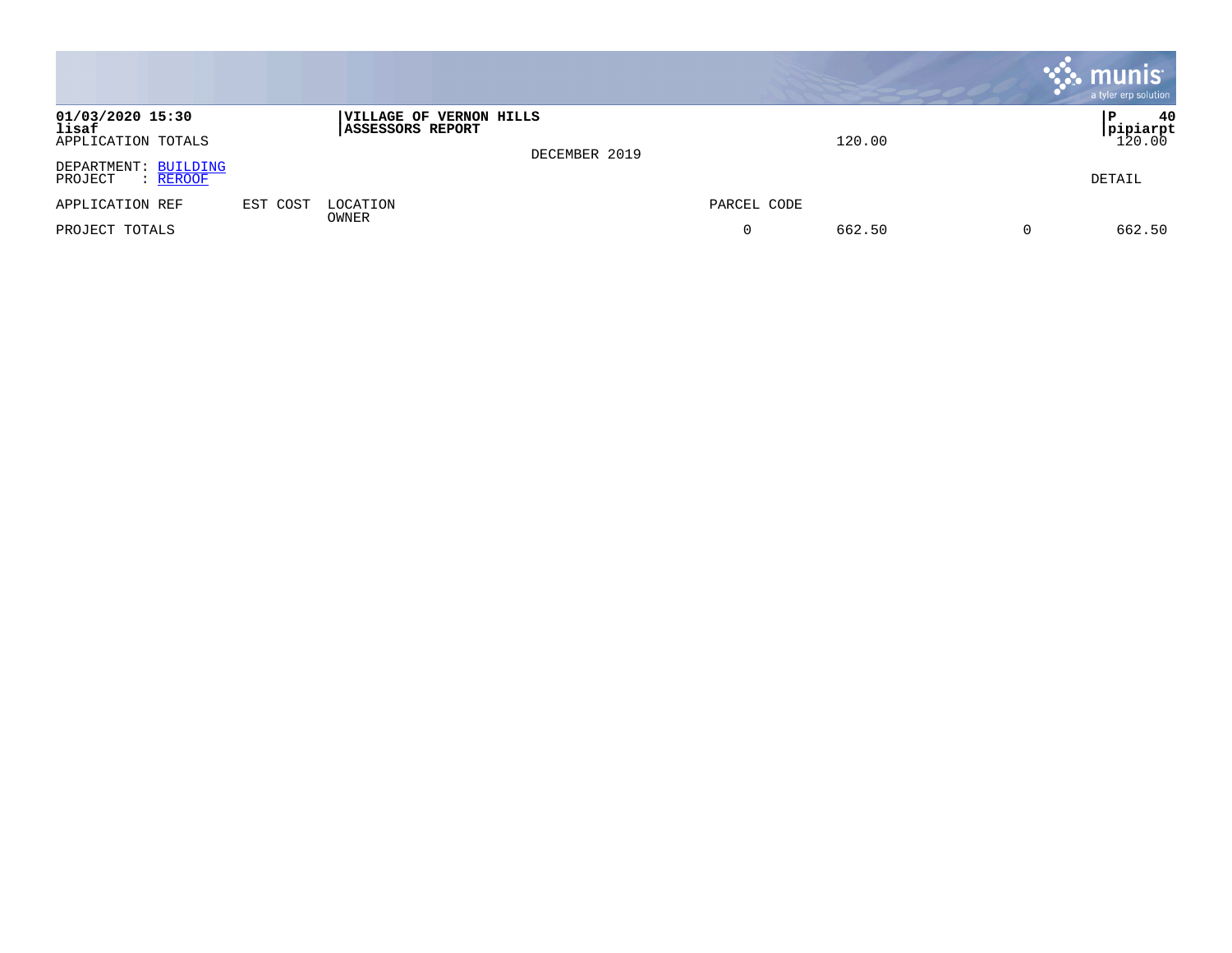|                                                 |          |                                                            |               |             |        | $\boldsymbol{\ddot{\cdot}}$ munis<br>a tyler erp solution |
|-------------------------------------------------|----------|------------------------------------------------------------|---------------|-------------|--------|-----------------------------------------------------------|
| 01/03/2020 15:30<br>lisaf<br>APPLICATION TOTALS |          | <b> VILLAGE OF VERNON HILLS</b><br><b>ASSESSORS REPORT</b> | DECEMBER 2019 |             | 120.00 | 40<br>l P<br>$\frac{\text{pipiarpt}}{120.00}$             |
| DEPARTMENT: BUILDING<br>PROJECT<br>: REROOF     |          |                                                            |               |             |        | DETAIL                                                    |
| APPLICATION REF                                 | EST COST | LOCATION<br>OWNER                                          |               | PARCEL CODE |        |                                                           |
| PROJECT TOTALS                                  |          |                                                            |               | 0           | 662.50 | 662.50                                                    |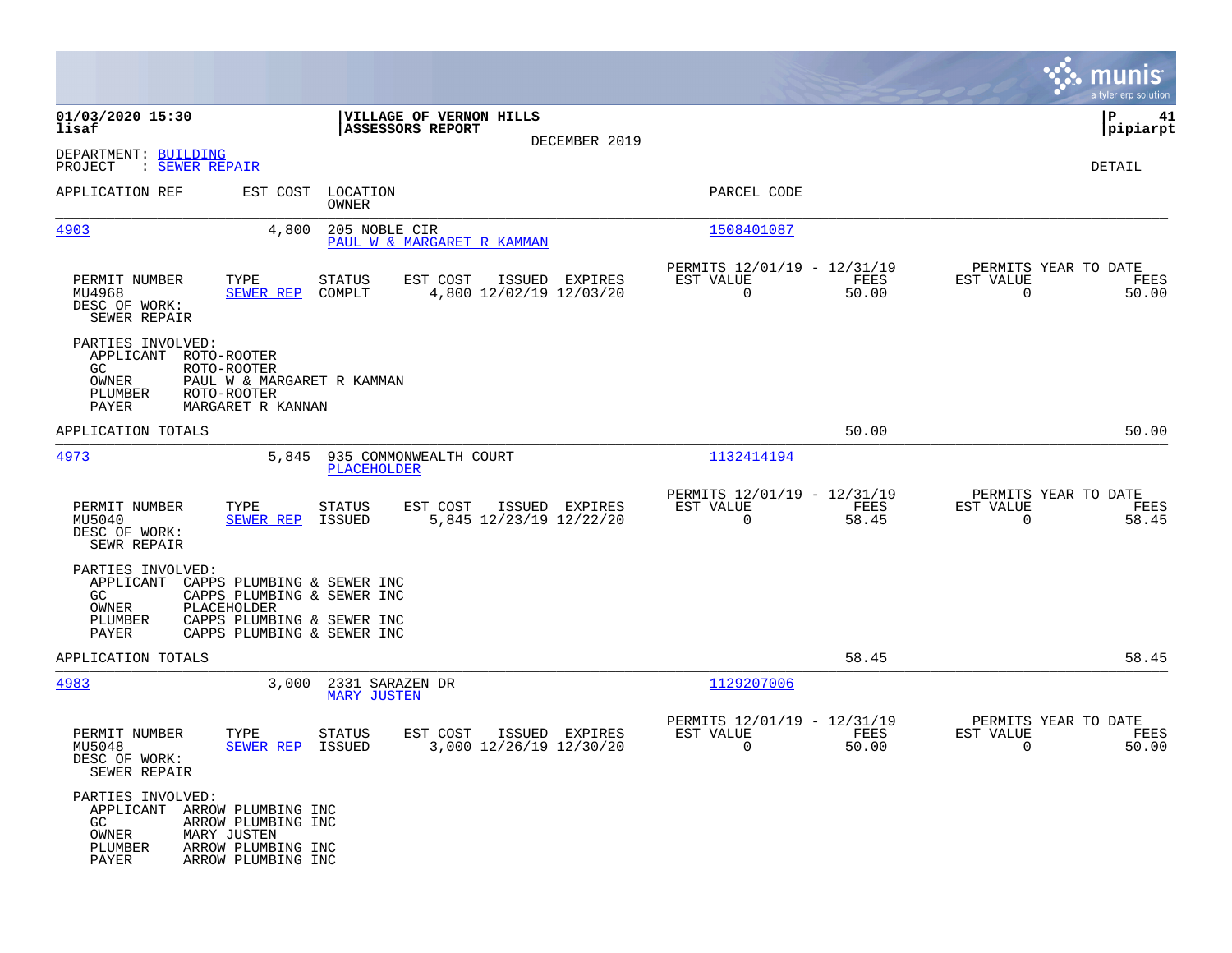|                                                                                      |                                                                                                                                     |                                              |                                     |                |                                                            |               |                                                  | munis<br>a tyler erp solution |
|--------------------------------------------------------------------------------------|-------------------------------------------------------------------------------------------------------------------------------------|----------------------------------------------|-------------------------------------|----------------|------------------------------------------------------------|---------------|--------------------------------------------------|-------------------------------|
| 01/03/2020 15:30<br>lisaf                                                            |                                                                                                                                     | <b>ASSESSORS REPORT</b>                      | VILLAGE OF VERNON HILLS             |                |                                                            |               |                                                  | ΙP<br>41<br> pipiarpt         |
| DEPARTMENT: BUILDING<br>: SEWER REPAIR<br>PROJECT                                    |                                                                                                                                     |                                              |                                     | DECEMBER 2019  |                                                            |               |                                                  | DETAIL                        |
| APPLICATION REF                                                                      |                                                                                                                                     | EST COST LOCATION<br>OWNER                   |                                     |                | PARCEL CODE                                                |               |                                                  |                               |
| 4903                                                                                 | 4,800                                                                                                                               | 205 NOBLE CIR                                | PAUL W & MARGARET R KAMMAN          |                | 1508401087                                                 |               |                                                  |                               |
| PERMIT NUMBER<br>MU4968<br>DESC OF WORK:<br>SEWER REPAIR                             | TYPE<br><b>SEWER REP</b>                                                                                                            | <b>STATUS</b><br>COMPLT                      | EST COST<br>4,800 12/02/19 12/03/20 | ISSUED EXPIRES | PERMITS 12/01/19 - 12/31/19<br>EST VALUE<br>$\overline{0}$ | FEES<br>50.00 | PERMITS YEAR TO DATE<br>EST VALUE<br>$\Omega$    | FEES<br>50.00                 |
| PARTIES INVOLVED:<br>APPLICANT<br>GC.<br>OWNER<br>PLUMBER<br>PAYER                   | ROTO-ROOTER<br>ROTO-ROOTER<br>PAUL W & MARGARET R KAMMAN<br>ROTO-ROOTER<br>MARGARET R KANNAN                                        |                                              |                                     |                |                                                            |               |                                                  |                               |
| APPLICATION TOTALS                                                                   |                                                                                                                                     |                                              |                                     |                |                                                            | 50.00         |                                                  | 50.00                         |
| 4973                                                                                 | 5,845                                                                                                                               | 935 COMMONWEALTH COURT<br><b>PLACEHOLDER</b> |                                     |                | 1132414194                                                 |               |                                                  |                               |
| PERMIT NUMBER<br>MU5040<br>DESC OF WORK:<br>SEWR REPAIR                              | TYPE<br><b>SEWER REP</b>                                                                                                            | STATUS<br>ISSUED                             | EST COST<br>5,845 12/23/19 12/22/20 | ISSUED EXPIRES | PERMITS 12/01/19 - 12/31/19<br>EST VALUE<br>$\mathbf 0$    | FEES<br>58.45 | PERMITS YEAR TO DATE<br>EST VALUE<br>$\mathbf 0$ | FEES<br>58.45                 |
| PARTIES INVOLVED:<br>APPLICANT<br>GC.<br>OWNER<br>PLUMBER<br>PAYER                   | CAPPS PLUMBING & SEWER INC<br>CAPPS PLUMBING & SEWER INC<br>PLACEHOLDER<br>CAPPS PLUMBING & SEWER INC<br>CAPPS PLUMBING & SEWER INC |                                              |                                     |                |                                                            |               |                                                  |                               |
| APPLICATION TOTALS                                                                   |                                                                                                                                     |                                              |                                     |                |                                                            | 58.45         |                                                  | 58.45                         |
| 4983                                                                                 | 3,000                                                                                                                               | 2331 SARAZEN DR<br><b>MARY JUSTEN</b>        |                                     |                | 1129207006                                                 |               |                                                  |                               |
| PERMIT NUMBER<br>MU5048<br>DESC OF WORK:<br>SEWER REPAIR                             | TYPE<br>SEWER REP ISSUED                                                                                                            | STATUS                                       | EST COST<br>3,000 12/26/19 12/30/20 | ISSUED EXPIRES | PERMITS 12/01/19 - 12/31/19<br>EST VALUE<br>0              | FEES<br>50.00 | PERMITS YEAR TO DATE<br>EST VALUE<br>0           | FEES<br>50.00                 |
| PARTIES INVOLVED:<br>APPLICANT ARROW PLUMBING INC<br>GC<br>OWNER<br>PLUMBER<br>PAYER | ARROW PLUMBING INC<br>MARY JUSTEN<br>ARROW PLUMBING INC<br>ARROW PLUMBING INC                                                       |                                              |                                     |                |                                                            |               |                                                  |                               |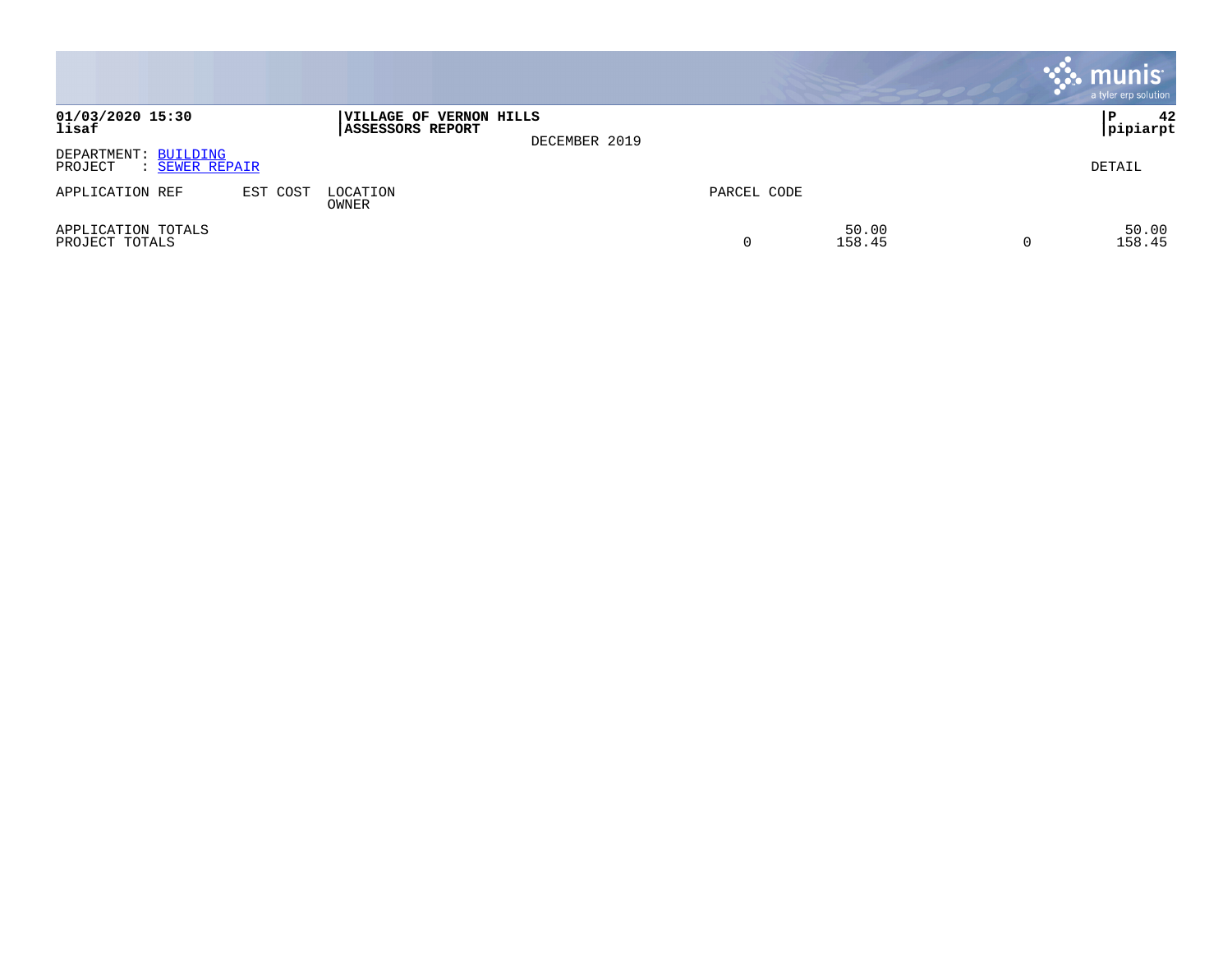|                                                   |          |                                                    |               |             |                 | <b>munis</b><br>a tyler erp solution |
|---------------------------------------------------|----------|----------------------------------------------------|---------------|-------------|-----------------|--------------------------------------|
| 01/03/2020 15:30<br>lisaf                         |          | VILLAGE OF VERNON HILLS<br><b>ASSESSORS REPORT</b> | DECEMBER 2019 |             |                 | 42<br>P<br> pipiarpt                 |
| DEPARTMENT: BUILDING<br>PROJECT<br>: SEWER REPAIR |          |                                                    |               |             |                 | DETAIL                               |
| APPLICATION REF                                   | EST COST | LOCATION<br>OWNER                                  |               | PARCEL CODE |                 |                                      |
| APPLICATION TOTALS<br>PROJECT TOTALS              |          |                                                    |               | 0           | 50.00<br>158.45 | 50.00<br>158.45                      |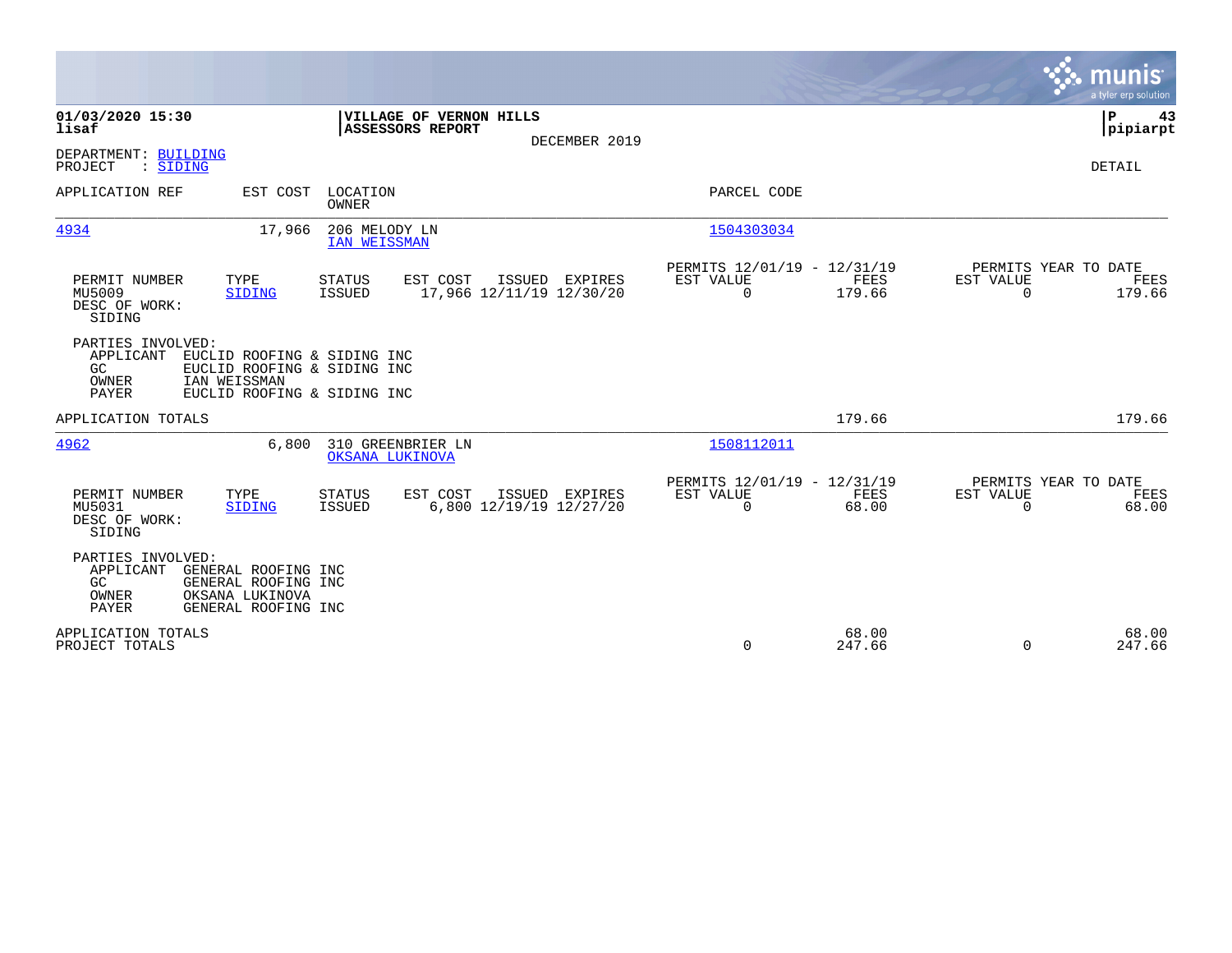|                                                        |                                                                                                           |                               |                                             |                |                                                      |                       |                                               | munis<br>a tyler erp solution |
|--------------------------------------------------------|-----------------------------------------------------------------------------------------------------------|-------------------------------|---------------------------------------------|----------------|------------------------------------------------------|-----------------------|-----------------------------------------------|-------------------------------|
| 01/03/2020 15:30<br>lisaf                              |                                                                                                           |                               | VILLAGE OF VERNON HILLS<br>ASSESSORS REPORT |                |                                                      |                       |                                               | P<br>43<br> pipiarpt          |
| DEPARTMENT: BUILDING<br>: SIDING<br>PROJECT            |                                                                                                           |                               |                                             | DECEMBER 2019  |                                                      |                       |                                               | DETAIL                        |
| APPLICATION REF                                        | EST COST                                                                                                  | LOCATION<br><b>OWNER</b>      |                                             |                | PARCEL CODE                                          |                       |                                               |                               |
| 4934                                                   | 17,966                                                                                                    | 206 MELODY LN<br>IAN WEISSMAN |                                             |                | 1504303034                                           |                       |                                               |                               |
| PERMIT NUMBER<br>MU5009<br>DESC OF WORK:<br>SIDING     | TYPE<br>SIDING                                                                                            | <b>STATUS</b><br>ISSUED       | EST COST<br>17,966 12/11/19 12/30/20        | ISSUED EXPIRES | PERMITS 12/01/19 - 12/31/19<br>EST VALUE<br>$\Omega$ | <b>FEES</b><br>179.66 | PERMITS YEAR TO DATE<br>EST VALUE<br>$\Omega$ | FEES<br>179.66                |
| PARTIES INVOLVED:<br>APPLICANT<br>GC<br>OWNER<br>PAYER | EUCLID ROOFING & SIDING INC<br>EUCLID ROOFING & SIDING INC<br>IAN WEISSMAN<br>EUCLID ROOFING & SIDING INC |                               |                                             |                |                                                      |                       |                                               |                               |
| APPLICATION TOTALS                                     |                                                                                                           |                               |                                             |                |                                                      | 179.66                |                                               | 179.66                        |
| 4962                                                   | 6,800                                                                                                     | OKSANA LUKINOVA               | 310 GREENBRIER LN                           |                | 1508112011                                           |                       |                                               |                               |
| PERMIT NUMBER<br>MU5031<br>DESC OF WORK:<br>SIDING     | TYPE<br><b>SIDING</b>                                                                                     | <b>STATUS</b><br>ISSUED       | EST COST<br>6,800 12/19/19 12/27/20         | ISSUED EXPIRES | PERMITS 12/01/19 - 12/31/19<br>EST VALUE<br>$\Omega$ | FEES<br>68.00         | PERMITS YEAR TO DATE<br>EST VALUE<br>$\Omega$ | FEES<br>68.00                 |
| PARTIES INVOLVED:<br>APPLICANT<br>GC<br>OWNER<br>PAYER | GENERAL ROOFING INC<br>GENERAL ROOFING INC<br>OKSANA LUKINOVA<br>GENERAL ROOFING INC                      |                               |                                             |                |                                                      |                       |                                               |                               |
| APPLICATION TOTALS<br>PROJECT TOTALS                   |                                                                                                           |                               |                                             |                | $\Omega$                                             | 68.00<br>247.66       | $\Omega$                                      | 68.00<br>247.66               |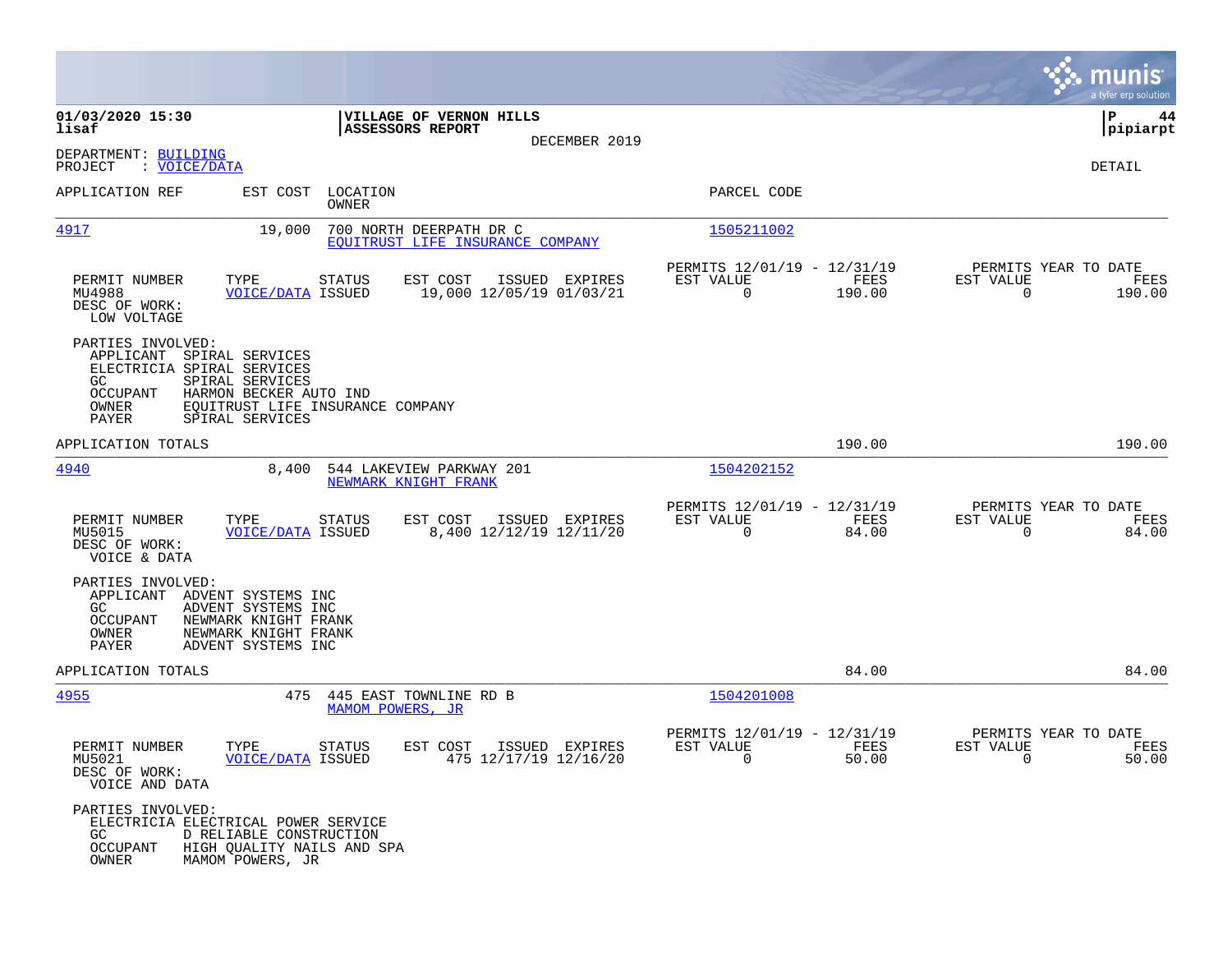|                                                                                                                                                                                    |                                                                                              |                                                                                                                                                                                                                                                                                                                                                                                                 | munis<br>a tyler erp solution                                   |
|------------------------------------------------------------------------------------------------------------------------------------------------------------------------------------|----------------------------------------------------------------------------------------------|-------------------------------------------------------------------------------------------------------------------------------------------------------------------------------------------------------------------------------------------------------------------------------------------------------------------------------------------------------------------------------------------------|-----------------------------------------------------------------|
| 01/03/2020 15:30<br>lisaf                                                                                                                                                          | VILLAGE OF VERNON HILLS<br><b>ASSESSORS REPORT</b>                                           |                                                                                                                                                                                                                                                                                                                                                                                                 | P<br>44<br> pipiarpt                                            |
| DEPARTMENT: BUILDING<br>: VOICE/DATA<br>PROJECT                                                                                                                                    | DECEMBER 2019                                                                                |                                                                                                                                                                                                                                                                                                                                                                                                 | DETAIL                                                          |
| APPLICATION REF                                                                                                                                                                    | EST COST LOCATION<br>OWNER                                                                   | PARCEL CODE                                                                                                                                                                                                                                                                                                                                                                                     |                                                                 |
| <u>4917</u>                                                                                                                                                                        | 19,000<br>700 NORTH DEERPATH DR C<br>EQUITRUST LIFE INSURANCE COMPANY                        | 1505211002                                                                                                                                                                                                                                                                                                                                                                                      |                                                                 |
| TYPE<br>PERMIT NUMBER<br>MU4988<br>DESC OF WORK:<br>LOW VOLTAGE                                                                                                                    | EST COST<br>ISSUED EXPIRES<br>STATUS<br><b>VOICE/DATA ISSUED</b><br>19,000 12/05/19 01/03/21 | PERMITS 12/01/19 - 12/31/19<br>EST VALUE<br>FEES<br>$\mathbf 0$<br>190.00                                                                                                                                                                                                                                                                                                                       | PERMITS YEAR TO DATE<br>EST VALUE<br>FEES<br>190.00<br>$\Omega$ |
| PARTIES INVOLVED:<br>APPLICANT SPIRAL SERVICES<br>ELECTRICIA SPIRAL SERVICES<br>GC.<br>SPIRAL SERVICES<br>OCCUPANT<br>OWNER<br>PAYER<br>SPIRAL SERVICES                            | HARMON BECKER AUTO IND<br>EQUITRUST LIFE INSURANCE COMPANY                                   |                                                                                                                                                                                                                                                                                                                                                                                                 |                                                                 |
| APPLICATION TOTALS                                                                                                                                                                 |                                                                                              | 190.00                                                                                                                                                                                                                                                                                                                                                                                          | 190.00                                                          |
| 4940                                                                                                                                                                               | 8,400<br>544 LAKEVIEW PARKWAY 201<br>NEWMARK KNIGHT FRANK                                    | 1504202152                                                                                                                                                                                                                                                                                                                                                                                      |                                                                 |
| PERMIT NUMBER<br>TYPE<br>MU5015<br>DESC OF WORK:<br>VOICE & DATA                                                                                                                   | EST COST<br>ISSUED EXPIRES<br>STATUS<br>8,400 12/12/19 12/11/20<br><b>VOICE/DATA ISSUED</b>  | PERMITS 12/01/19 - 12/31/19<br>EST VALUE<br>FEES<br>$\Omega$<br>84.00                                                                                                                                                                                                                                                                                                                           | PERMITS YEAR TO DATE<br>EST VALUE<br>FEES<br>$\Omega$<br>84.00  |
| PARTIES INVOLVED:<br>APPLICANT ADVENT SYSTEMS INC<br>ADVENT SYSTEMS INC<br>GC.<br>NEWMARK KNIGHT FRANK<br>OCCUPANT<br>OWNER<br>NEWMARK KNIGHT FRANK<br>PAYER<br>ADVENT SYSTEMS INC |                                                                                              |                                                                                                                                                                                                                                                                                                                                                                                                 |                                                                 |
| APPLICATION TOTALS                                                                                                                                                                 |                                                                                              | 84.00                                                                                                                                                                                                                                                                                                                                                                                           | 84.00                                                           |
| <u>4955</u>                                                                                                                                                                        | 445 EAST TOWNLINE RD B<br>475<br>MAMOM POWERS, JR                                            | 1504201008                                                                                                                                                                                                                                                                                                                                                                                      |                                                                 |
| PERMIT NUMBER<br>TYPE<br>MU5021<br>DESC OF WORK:<br>VOICE AND DATA                                                                                                                 | EST COST<br>STATUS<br>ISSUED EXPIRES<br><b>VOICE/DATA ISSUED</b><br>475 12/17/19 12/16/20    | PERMITS 12/01/19 - 12/31/19<br>EST VALUE<br>FEES<br>50.00<br>$\overline{a}$ and $\overline{a}$ and $\overline{a}$ and $\overline{a}$ and $\overline{a}$ and $\overline{a}$ and $\overline{a}$ and $\overline{a}$ and $\overline{a}$ and $\overline{a}$ and $\overline{a}$ and $\overline{a}$ and $\overline{a}$ and $\overline{a}$ and $\overline{a}$ and $\overline{a}$ and $\overline{a}$ and | PERMITS YEAR TO DATE<br>EST VALUE<br>FEES<br>50.00<br>$\sim$ 0  |
| PARTIES INVOLVED:<br>ELECTRICIA ELECTRICAL POWER SERVICE<br>GC<br>OCCUPANT<br>OWNER<br>MAMOM POWERS, JR                                                                            | D RELIABLE CONSTRUCTION<br>HIGH QUALITY NAILS AND SPA                                        |                                                                                                                                                                                                                                                                                                                                                                                                 |                                                                 |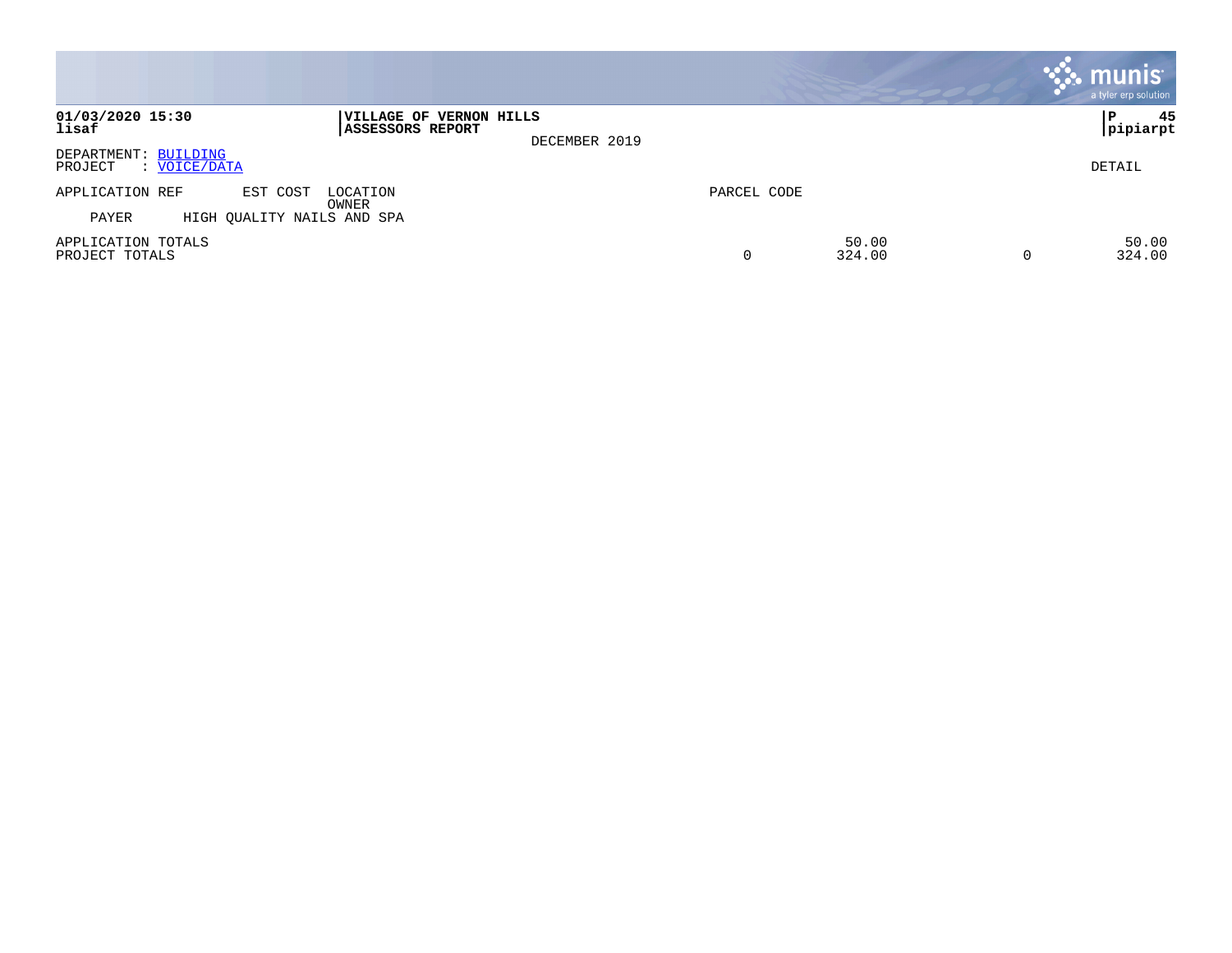|                                                 |                                                              |             |                 | <b>munis</b><br>a tyler erp solution |
|-------------------------------------------------|--------------------------------------------------------------|-------------|-----------------|--------------------------------------|
| 01/03/2020 15:30<br>lisaf                       | VILLAGE OF VERNON HILLS<br>ASSESSORS REPORT<br>DECEMBER 2019 |             |                 | 45<br>P<br> pipiarpt                 |
| DEPARTMENT: BUILDING<br>: VOICE/DATA<br>PROJECT |                                                              |             |                 | DETAIL                               |
| APPLICATION REF<br>EST COST                     | LOCATION<br>OWNER                                            | PARCEL CODE |                 |                                      |
| PAYER<br>HIGH QUALITY NAILS AND SPA             |                                                              |             |                 |                                      |
| APPLICATION TOTALS<br>PROJECT TOTALS            |                                                              | 0           | 50.00<br>324.00 | 50.00<br>324.00                      |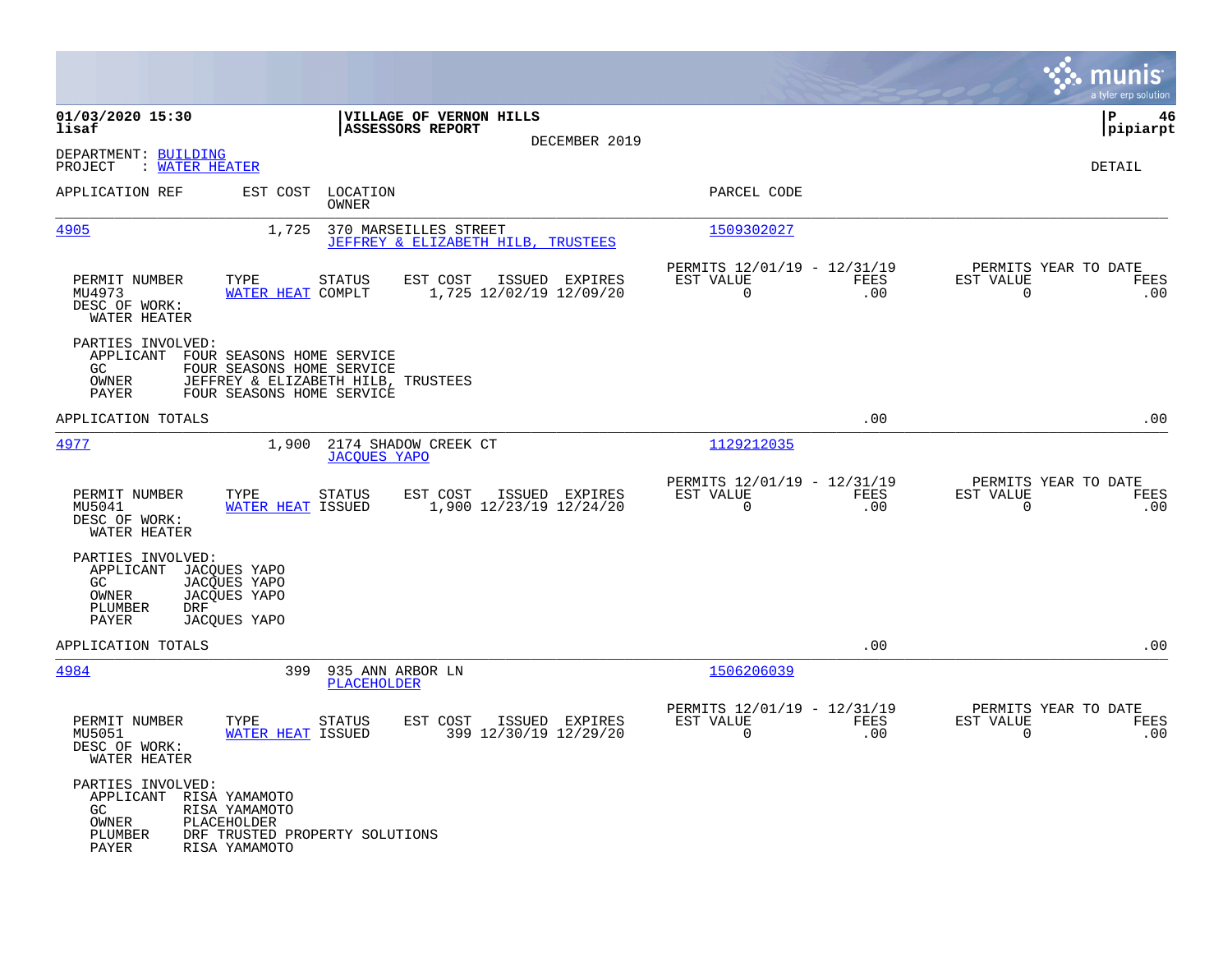|                                                                                  |                                                                                                                                     |                                                                        | munis<br>a tyler erp solution                                   |
|----------------------------------------------------------------------------------|-------------------------------------------------------------------------------------------------------------------------------------|------------------------------------------------------------------------|-----------------------------------------------------------------|
| 01/03/2020 15:30<br>lisaf                                                        | VILLAGE OF VERNON HILLS<br><b>ASSESSORS REPORT</b><br>DECEMBER 2019                                                                 |                                                                        | l P<br>46<br> pipiarpt                                          |
| DEPARTMENT: BUILDING<br>: WATER HEATER<br>PROJECT                                |                                                                                                                                     |                                                                        | DETAIL                                                          |
| APPLICATION REF                                                                  | EST COST LOCATION<br>OWNER                                                                                                          | PARCEL CODE                                                            |                                                                 |
| 4905                                                                             | 370 MARSEILLES STREET<br>1,725<br>JEFFREY & ELIZABETH HILB, TRUSTEES                                                                | 1509302027                                                             |                                                                 |
| PERMIT NUMBER<br>MU4973<br>DESC OF WORK:<br>WATER HEATER                         | EST COST<br>TYPE<br><b>STATUS</b><br>ISSUED EXPIRES<br>WATER HEAT COMPLT<br>1,725 12/02/19 12/09/20                                 | PERMITS 12/01/19 - 12/31/19<br>EST VALUE<br>FEES<br>$\mathbf 0$<br>.00 | PERMITS YEAR TO DATE<br>EST VALUE<br>FEES<br>$\mathbf 0$<br>.00 |
| PARTIES INVOLVED:<br>GC.<br>OWNER<br>PAYER                                       | APPLICANT FOUR SEASONS HOME SERVICE<br>FOUR SEASONS HOME SERVICE<br>JEFFREY & ELIZABETH HILB, TRUSTEES<br>FOUR SEASONS HOME SERVICE |                                                                        |                                                                 |
| APPLICATION TOTALS                                                               |                                                                                                                                     | .00                                                                    | .00                                                             |
| 4977                                                                             | 1,900<br>2174 SHADOW CREEK CT<br><b>JACOUES YAPO</b>                                                                                | 1129212035                                                             |                                                                 |
| PERMIT NUMBER<br>MU5041<br>DESC OF WORK:<br>WATER HEATER                         | EST COST<br>ISSUED EXPIRES<br>TYPE<br><b>STATUS</b><br>1,900 12/23/19 12/24/20<br><b>WATER HEAT ISSUED</b>                          | PERMITS 12/01/19 - 12/31/19<br>EST VALUE<br>FEES<br>$\Omega$<br>.00    | PERMITS YEAR TO DATE<br>EST VALUE<br>FEES<br>$\Omega$<br>.00    |
| PARTIES INVOLVED:<br>APPLICANT<br>GC<br>OWNER<br>PLUMBER<br><b>DRF</b><br>PAYER  | JACQUES YAPO<br>JACQUES YAPO<br>JACQUES YAPO<br>JACQUES YAPO                                                                        |                                                                        |                                                                 |
| APPLICATION TOTALS                                                               |                                                                                                                                     | .00                                                                    | .00                                                             |
| 4984                                                                             | 399<br>935 ANN ARBOR LN<br>PLACEHOLDER                                                                                              | 1506206039                                                             |                                                                 |
| PERMIT NUMBER<br>MU5051<br>DESC OF WORK:<br>WATER HEATER                         | TYPE<br>EST COST<br>ISSUED EXPIRES<br>STATUS<br><b>WATER HEAT ISSUED</b><br>399 12/30/19 12/29/20                                   | PERMITS 12/01/19 - 12/31/19<br>EST VALUE<br>FEES<br>$\mathbf 0$<br>.00 | PERMITS YEAR TO DATE<br>EST VALUE<br>FEES<br>0<br>.00           |
| PARTIES INVOLVED:<br>APPLICANT RISA YAMAMOTO<br>GC.<br>OWNER<br>PLUMBER<br>PAYER | RISA YAMAMOTO<br>PLACEHOLDER<br>DRF TRUSTED PROPERTY SOLUTIONS<br>RISA YAMAMOTO                                                     |                                                                        |                                                                 |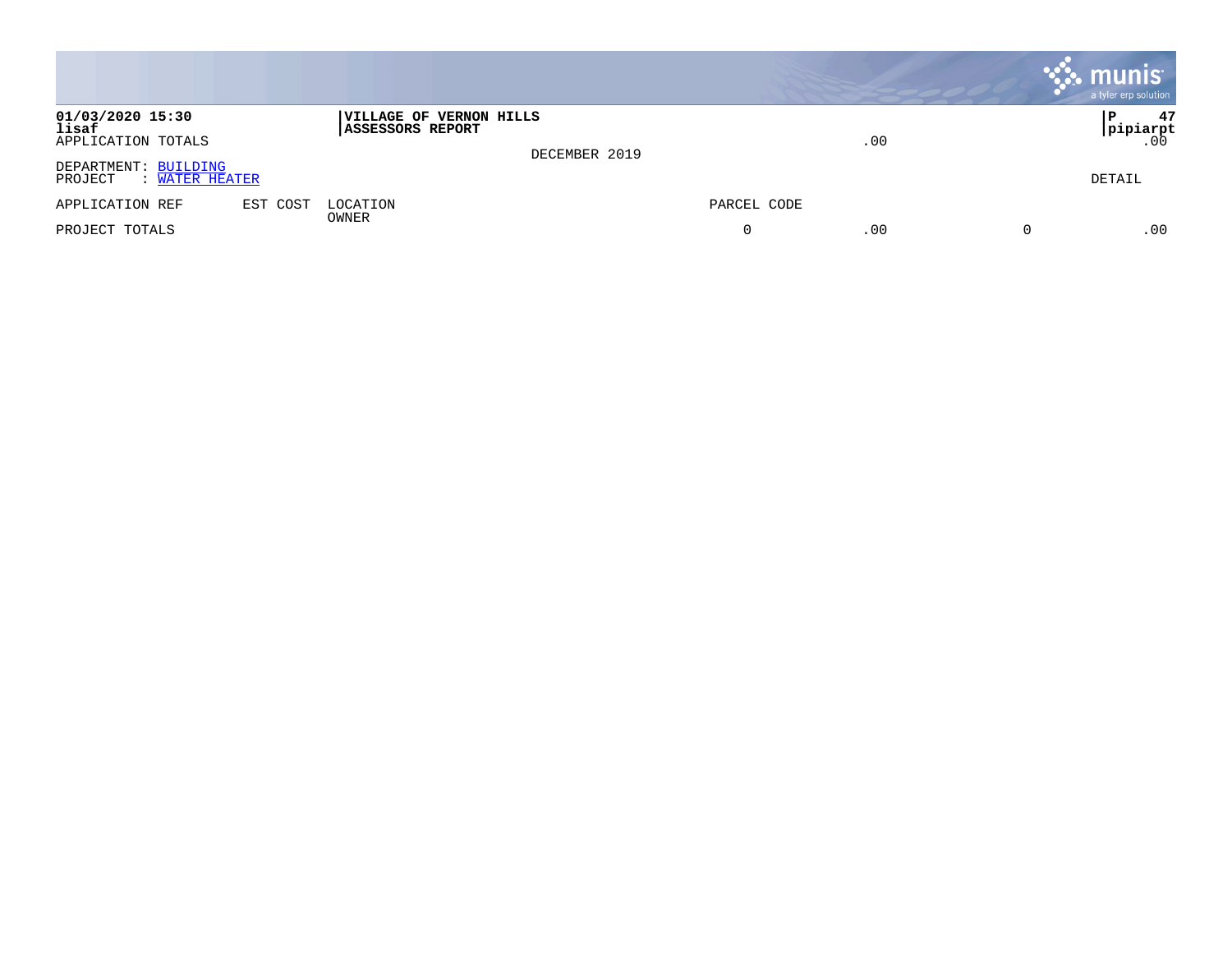|                                                   |          |                                             |               |             |     | $\mathbb{R}$ munis<br>a tyler erp solution |
|---------------------------------------------------|----------|---------------------------------------------|---------------|-------------|-----|--------------------------------------------|
| 01/03/2020 15:30<br>lisaf<br>APPLICATION TOTALS   |          | VILLAGE OF VERNON HILLS<br>ASSESSORS REPORT | DECEMBER 2019 |             | .00 | 47<br>l P<br> pipiarpt<br>.00              |
| DEPARTMENT: BUILDING<br>: WATER HEATER<br>PROJECT |          |                                             |               |             |     | DETAIL                                     |
| APPLICATION REF                                   | EST COST | LOCATION<br>OWNER                           |               | PARCEL CODE |     |                                            |
| PROJECT TOTALS                                    |          |                                             |               |             | .00 | .00                                        |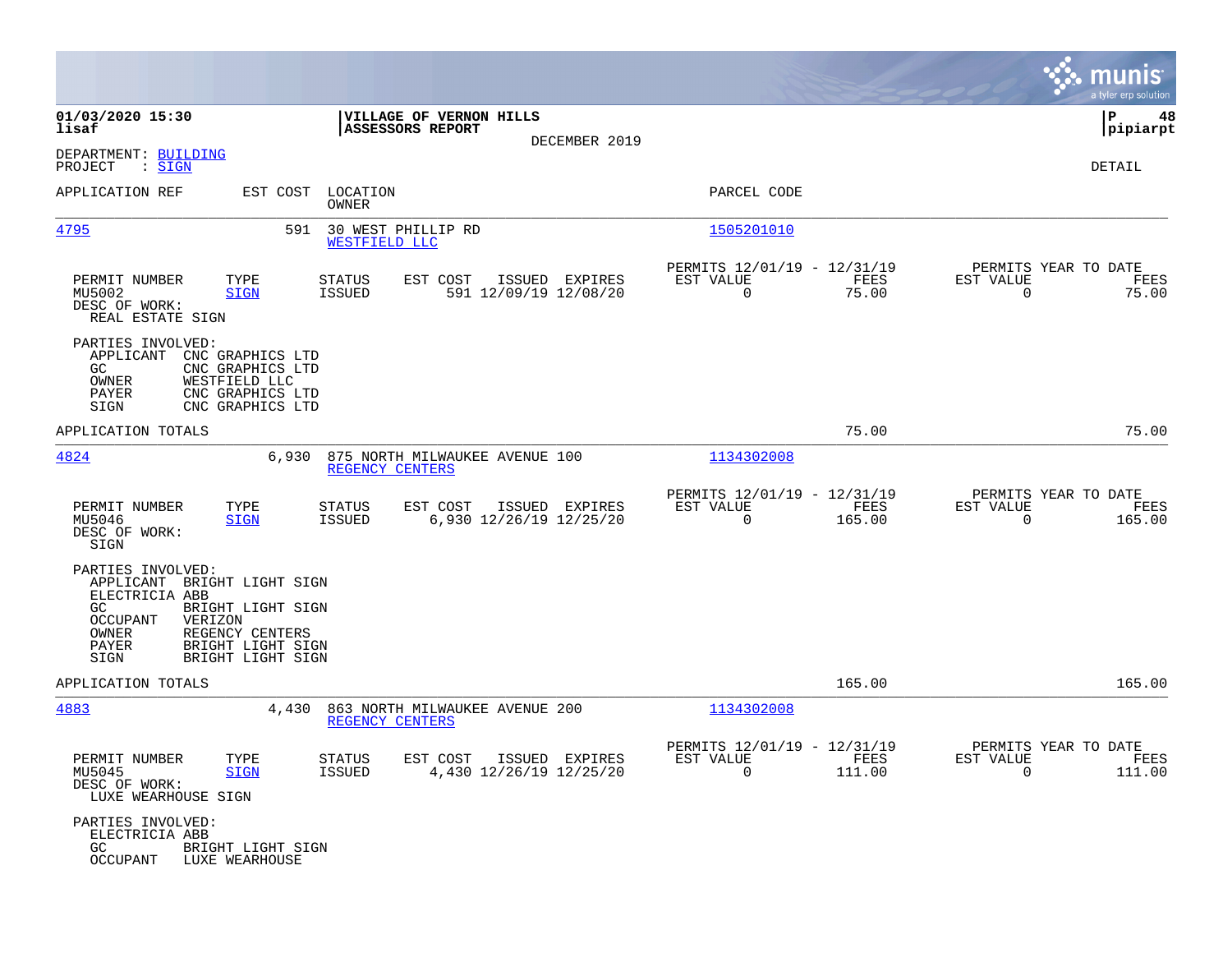|                                                                                                                                                                                                                 |                                                                                |                                                                             | munis<br>a tyler erp solution                                     |
|-----------------------------------------------------------------------------------------------------------------------------------------------------------------------------------------------------------------|--------------------------------------------------------------------------------|-----------------------------------------------------------------------------|-------------------------------------------------------------------|
| 01/03/2020 15:30<br>lisaf                                                                                                                                                                                       | VILLAGE OF VERNON HILLS<br>ASSESSORS REPORT                                    |                                                                             | 48<br>IΡ<br> pipiarpt                                             |
| DEPARTMENT: BUILDING<br>PROJECT<br>$:$ SIGN                                                                                                                                                                     | DECEMBER 2019                                                                  |                                                                             | DETAIL                                                            |
| APPLICATION REF                                                                                                                                                                                                 | EST COST LOCATION<br><b>OWNER</b>                                              | PARCEL CODE                                                                 |                                                                   |
| 4795                                                                                                                                                                                                            | 30 WEST PHILLIP RD<br>591<br>WESTFIELD LLC                                     | 1505201010                                                                  |                                                                   |
| PERMIT NUMBER<br>TYPE<br>MU5002<br><b>SIGN</b><br>DESC OF WORK:<br>REAL ESTATE SIGN                                                                                                                             | STATUS<br>EST COST<br>ISSUED EXPIRES<br><b>ISSUED</b><br>591 12/09/19 12/08/20 | PERMITS 12/01/19 - 12/31/19<br>EST VALUE<br>FEES<br>$\overline{0}$<br>75.00 | PERMITS YEAR TO DATE<br>EST VALUE<br>FEES<br>$\mathbf 0$<br>75.00 |
| PARTIES INVOLVED:<br>APPLICANT<br>CNC GRAPHICS LTD<br>GC.<br>CNC GRAPHICS LTD<br>OWNER<br>WESTFIELD LLC<br>PAYER<br>CNC GRAPHICS LTD<br>SIGN<br>CNC GRAPHICS LTD                                                |                                                                                |                                                                             |                                                                   |
| APPLICATION TOTALS                                                                                                                                                                                              |                                                                                | 75.00                                                                       | 75.00                                                             |
| 4824<br>6,930                                                                                                                                                                                                   | 875 NORTH MILWAUKEE AVENUE 100<br>REGENCY CENTERS                              | 1134302008                                                                  |                                                                   |
| PERMIT NUMBER<br>TYPE<br>MU5046<br><b>SIGN</b><br>DESC OF WORK:<br>SIGN                                                                                                                                         | EST COST<br>ISSUED EXPIRES<br>STATUS<br>6,930 12/26/19 12/25/20<br>ISSUED      | PERMITS 12/01/19 - 12/31/19<br>EST VALUE<br>FEES<br>$\mathbf 0$<br>165.00   | PERMITS YEAR TO DATE<br>EST VALUE<br>FEES<br>$\Omega$<br>165.00   |
| PARTIES INVOLVED:<br>APPLICANT<br>BRIGHT LIGHT SIGN<br>ELECTRICIA ABB<br>GC.<br>BRIGHT LIGHT SIGN<br>OCCUPANT<br>VERIZON<br>OWNER<br>REGENCY CENTERS<br>PAYER<br>BRIGHT LIGHT SIGN<br>SIGN<br>BRIGHT LIGHT SIGN |                                                                                |                                                                             |                                                                   |
| APPLICATION TOTALS                                                                                                                                                                                              |                                                                                | 165.00                                                                      | 165.00                                                            |
| 4883<br>4,430                                                                                                                                                                                                   | 863 NORTH MILWAUKEE AVENUE 200<br>REGENCY CENTERS                              | 1134302008                                                                  |                                                                   |
| PERMIT NUMBER<br>TYPE<br>MU5045<br><b>SIGN</b><br>DESC OF WORK:<br>LUXE WEARHOUSE SIGN                                                                                                                          | STATUS<br>EST COST ISSUED EXPIRES<br>4,430 12/26/19 12/25/20<br>ISSUED         | PERMITS 12/01/19 - 12/31/19<br>EST VALUE<br>FEES<br>$\Omega$<br>111.00      | PERMITS YEAR TO DATE<br>EST VALUE<br>FEES<br>$\Omega$<br>111.00   |
| PARTIES INVOLVED:<br>ELECTRICIA ABB<br>GC<br>BRIGHT LIGHT SIGN<br>OCCUPANT<br>LUXE WEARHOUSE                                                                                                                    |                                                                                |                                                                             |                                                                   |